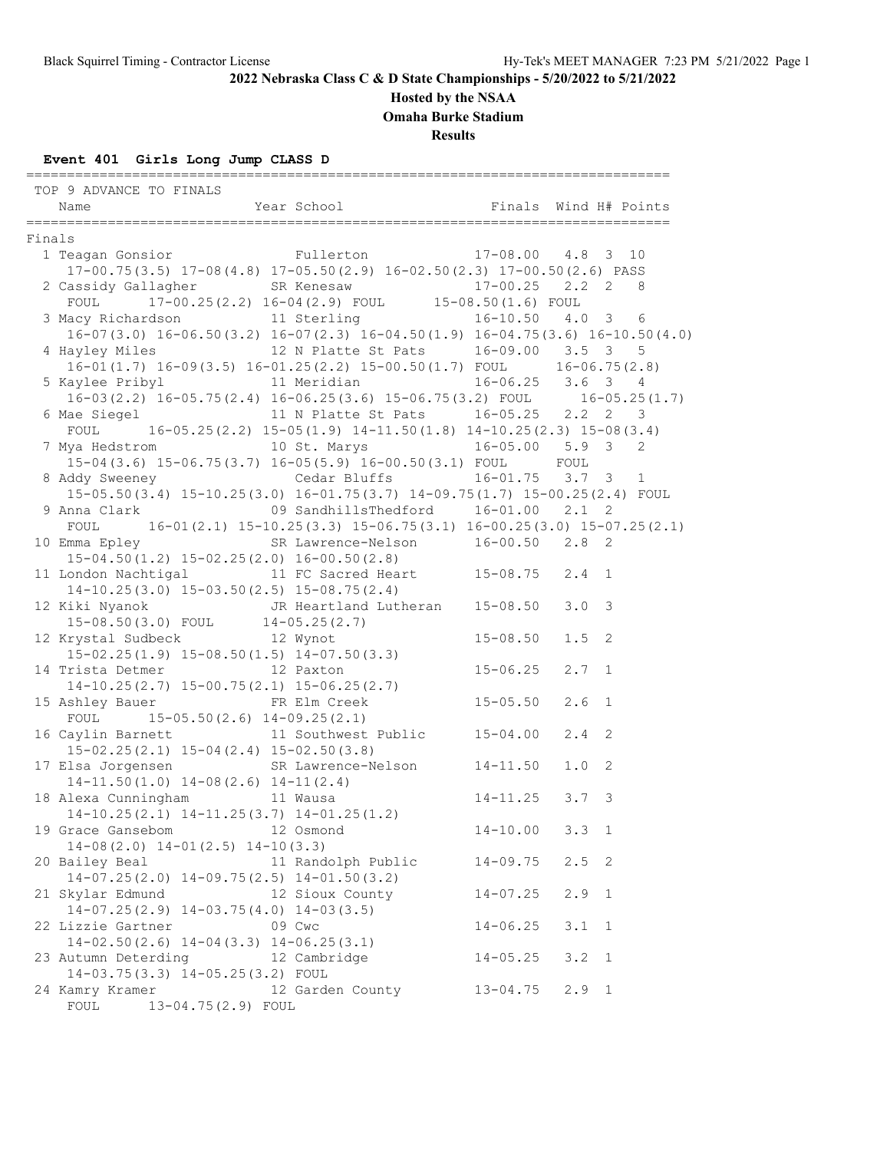### **Hosted by the NSAA**

**Omaha Burke Stadium**

**Results**

### **Event 401 Girls Long Jump CLASS D**

 TOP 9 ADVANCE TO FINALS Name Year School Finals Wind H# Points =============================================================================== Finals 1 Teagan Gonsior Fullerton 17-08.00 4.8 3 10 17-00.75(3.5) 17-08(4.8) 17-05.50(2.9) 16-02.50(2.3) 17-00.50(2.6) PASS 2 Cassidy Gallagher SR Kenesaw 17-00.25 2.2 2 8 FOUL 17-00.25(2.2) 16-04(2.9) FOUL 15-08.50(1.6) FOUL 3 Macy Richardson 11 Sterling 16-10.50 4.0 3 6 16-07(3.0) 16-06.50(3.2) 16-07(2.3) 16-04.50(1.9) 16-04.75(3.6) 16-10.50(4.0) 4 Hayley Miles 12 N Platte St Pats 16-09.00 3.5 3 5 16-01(1.7) 16-09(3.5) 16-01.25(2.2) 15-00.50(1.7) FOUL 16-06.75(2.8) 5 Kaylee Pribyl 11 Meridian 16-06.25 3.6 3 4 16-03(2.2) 16-05.75(2.4) 16-06.25(3.6) 15-06.75(3.2) FOUL 16-05.25(1.7) 6 Mae Siegel 11 N Platte St Pats 16-05.25 2.2 2 3 FOUL 16-05.25(2.2) 15-05(1.9) 14-11.50(1.8) 14-10.25(2.3) 15-08(3.4) 7 Mya Hedstrom 10 St. Marys 16-05.00 5.9 3 2 15-04(3.6) 15-06.75(3.7) 16-05(5.9) 16-00.50(3.1) FOUL FOUL 8 Addy Sweeney Cedar Bluffs 16-01.75 3.7 3 1 15-05.50(3.4) 15-10.25(3.0) 16-01.75(3.7) 14-09.75(1.7) 15-00.25(2.4) FOUL 9 Anna Clark 09 SandhillsThedford 16-01.00 2.1 2 FOUL 16-01(2.1) 15-10.25(3.3) 15-06.75(3.1) 16-00.25(3.0) 15-07.25(2.1) 10 Emma Epley SR Lawrence-Nelson 16-00.50 2.8 2 15-04.50(1.2) 15-02.25(2.0) 16-00.50(2.8) 11 London Nachtigal 11 FC Sacred Heart 15-08.75 2.4 1 14-10.25(3.0) 15-03.50(2.5) 15-08.75(2.4) 12 Kiki Nyanok JR Heartland Lutheran 15-08.50 3.0 3 15-08.50(3.0) FOUL 14-05.25(2.7) 12 Krystal Sudbeck 12 Wynot 15-08.50 1.5 2 15-02.25(1.9) 15-08.50(1.5) 14-07.50(3.3) 14 Trista Detmer 12 Paxton 15-06.25 2.7 1 14-10.25(2.7) 15-00.75(2.1) 15-06.25(2.7) 15 Ashley Bauer FR Elm Creek 15-05.50 2.6 1 FOUL 15-05.50(2.6) 14-09.25(2.1) 16 Caylin Barnett 11 Southwest Public 15-04.00 2.4 2 15-02.25(2.1) 15-04(2.4) 15-02.50(3.8) 17 Elsa Jorgensen SR Lawrence-Nelson 14-11.50 1.0 2 14-11.50(1.0) 14-08(2.6) 14-11(2.4) 18 Alexa Cunningham 11 Wausa 14-11.25 3.7 3 14-10.25(2.1) 14-11.25(3.7) 14-01.25(1.2) 19 Grace Gansebom 12 Osmond 14-10.00 3.3 1 14-08(2.0) 14-01(2.5) 14-10(3.3) 20 Bailey Beal 11 Randolph Public 14-09.75 2.5 2 14-07.25(2.0) 14-09.75(2.5) 14-01.50(3.2) 21 Skylar Edmund 12 Sioux County 14-07.25 2.9 1 14-07.25(2.9) 14-03.75(4.0) 14-03(3.5) 22 Lizzie Gartner 09 Cwc 14-06.25 3.1 1 14-02.50(2.6) 14-04(3.3) 14-06.25(3.1) 23 Autumn Deterding 12 Cambridge 14-05.25 3.2 1 14-03.75(3.3) 14-05.25(3.2) FOUL 24 Kamry Kramer 12 Garden County 13-04.75 2.9 1 FOUL 13-04.75(2.9) FOUL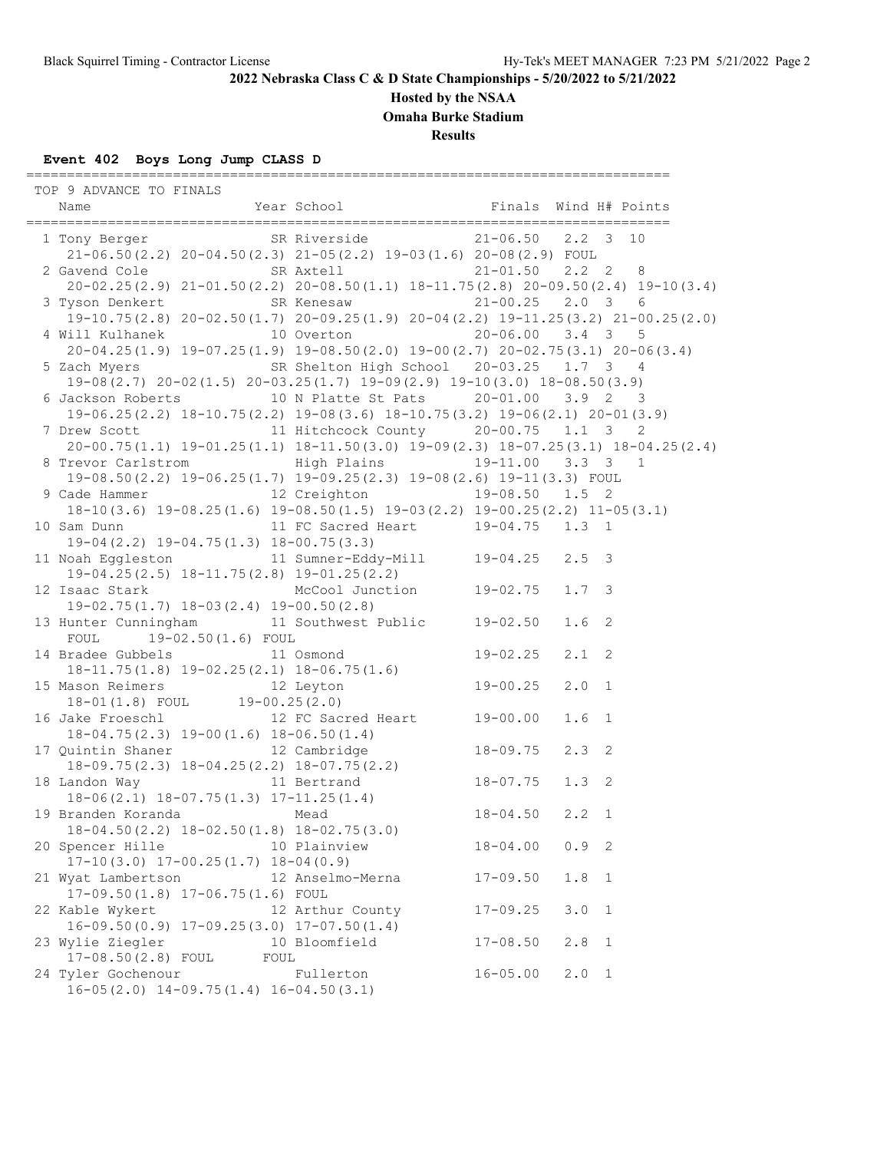**Hosted by the NSAA**

**Omaha Burke Stadium**

**Results**

# **Event 402 Boys Long Jump CLASS D**

| TOP 9 ADVANCE TO FINALS                                                                                                            |                  |              |                  |              |
|------------------------------------------------------------------------------------------------------------------------------------|------------------|--------------|------------------|--------------|
| 1 Tony Berger SR Riverside 21-06.50 2.2 3 10                                                                                       |                  |              |                  |              |
| $21-06.50(2.2)$ $20-04.50(2.3)$ $21-05(2.2)$ $19-03(1.6)$ $20-08(2.9)$ FOUL                                                        |                  |              |                  |              |
| 2 Gavend Cole 5R Axtell 21-01.50 2.2 2 8                                                                                           |                  |              |                  |              |
| $20-02.25(2.9)$ $21-01.50(2.2)$ $20-08.50(1.1)$ $18-11.75(2.8)$ $20-09.50(2.4)$ $19-10(3.4)$                                       |                  |              |                  |              |
| 3 Tyson Denkert SR Kenesaw 21-00.25 2.0 3 6                                                                                        |                  |              |                  |              |
| $19-10.75(2.8) 20-02.50(1.7) 20-09.25(1.9) 20-04(2.2) 19-11.25(3.2) 21-00.25(2.0)$<br>4 Will Kulhanek 10 Overton 20-06.00 3.4 3 5  |                  |              |                  |              |
| $20-04.25(1.9)$ $19-07.25(1.9)$ $19-08.50(2.0)$ $19-00(2.7)$ $20-02.75(3.1)$ $20-06(3.4)$                                          |                  |              |                  |              |
| 5 Zach Myers SR Shelton High School 20-03.25 1.7 3 4                                                                               |                  |              |                  |              |
| 19-08 (2.7) 20-02 (1.5) 20-03.25 (1.7) 19-09 (2.9) 19-10 (3.0) 18-08.50 (3.9)                                                      |                  |              |                  |              |
| 6 Jackson Roberts 10 N Platte St Pats 20-01.00 3.9 2 3                                                                             |                  |              |                  |              |
| $19-06.25(2.2)$ $18-10.75(2.2)$ $19-08(3.6)$ $18-10.75(3.2)$ $19-06(2.1)$ $20-01(3.9)$                                             |                  |              |                  |              |
| 7 Drew Scott 11 Hitchcock County 20-00.75 1.1 3                                                                                    |                  |              |                  | 2            |
| $20-00.75(1.1)$ $19-01.25(1.1)$ $18-11.50(3.0)$ $19-09(2.3)$ $18-07.25(3.1)$ $18-04.25(2.4)$                                       |                  |              |                  |              |
| 8 Trevor Carlstrom Migh Plains 19-11.00 3.3 3 1                                                                                    |                  |              |                  |              |
| $19-08.50(2.2)$ $19-06.25(1.7)$ $19-09.25(2.3)$ $19-08(2.6)$ $19-11(3.3)$ FOUL                                                     |                  |              |                  |              |
| 9 Cade Hammer 12 Creighton 19-08.50 1.5 2                                                                                          |                  |              |                  |              |
| $18-10(3.6)$ $19-08.25(1.6)$ $19-08.50(1.5)$ $19-03(2.2)$ $19-00.25(2.2)$ $11-05(3.1)$                                             |                  |              |                  |              |
| 10 Sam Dunn 11 FC Sacred Heart 19-04.75 1.3 1                                                                                      |                  |              |                  |              |
| $19-04(2.2)$ $19-04.75(1.3)$ $18-00.75(3.3)$                                                                                       |                  |              |                  |              |
| 11 Noah Eggleston 11 Sumner-Eddy-Mill 19-04.25 2.5 3                                                                               |                  |              |                  |              |
| $19-04.25(2.5)$ $18-11.75(2.8)$ $19-01.25(2.2)$                                                                                    |                  |              |                  |              |
| $19-04.25(2.5)$ $18-11.75(2.8)$ $19-01.25(2.2)$<br>12 Isaac Stark McCool Junction 19-02.75                                         |                  |              | $1.7 \quad 3$    |              |
| $19-02.75(1.7)$ $18-03(2.4)$ $19-00.50(2.8)$                                                                                       |                  |              |                  |              |
| 13 Hunter Cunningham 11 Southwest Public 19-02.50                                                                                  |                  |              | 1.6 <sub>2</sub> |              |
| FOUL 19-02.50(1.6) FOUL                                                                                                            |                  |              |                  |              |
|                                                                                                                                    |                  |              | $2.1$ 2          |              |
|                                                                                                                                    |                  |              |                  |              |
| 14 Bradee Gubbels<br>18-11.75(1.8) 19-02.25(2.1) 18-06.75(1.6)<br>15 Mason Reimers<br>18-01(1.8) FOUL<br>19-00.25(2.0)<br>19-00.25 |                  |              | $2.0$ 1          |              |
| 16 Jake Froeschl 12 FC Sacred Heart 19-00.00                                                                                       |                  |              |                  |              |
|                                                                                                                                    |                  |              | 1.6 <sub>1</sub> |              |
| $18-04.75(2.3)$ $19-00(1.6)$ $18-06.50(1.4)$<br>17 Quintin Shaner 12 Cambridge                                                     |                  | $18 - 09.75$ | $2.3$ 2          |              |
|                                                                                                                                    |                  |              |                  |              |
| %)<br>18-09.75(2.3) 18-04.25(2.2) 18-07.75(2.2)<br>11 Bertrand 18-07.75<br>18 Landon Way 11 Bertrand                               |                  |              |                  |              |
| 11 DELLININ<br>18-06(2.1) 18-07.75(1.3) 17-11.25(1.4)<br>Mead 18-04.50 2.2 1                                                       |                  |              |                  |              |
| 19 Branden Koranda Mead                                                                                                            |                  |              |                  |              |
|                                                                                                                                    |                  |              |                  |              |
| 18-04.50(2.2) 18-02.50(1.8) 18-02.75(3.0)<br>20 Spencer Hille 10 Plainview                                                         |                  | $18 - 04.00$ | $0.9$ 2          |              |
| $17-10(3.0)$ $17-00.25(1.7)$ $18-04(0.9)$                                                                                          |                  |              |                  |              |
| 21 Wyat Lambertson 12 Anselmo-Merna                                                                                                |                  | $17 - 09.50$ | 1.8              | $\mathbf{1}$ |
| 17-09.50(1.8) 17-06.75(1.6) FOUL                                                                                                   |                  |              |                  |              |
| 22 Kable Wykert                                                                                                                    | 12 Arthur County | $17 - 09.25$ | 3.0              | $\mathbf{1}$ |
| $16-09.50(0.9)$ $17-09.25(3.0)$ $17-07.50(1.4)$                                                                                    |                  |              |                  |              |
| 23 Wylie Ziegler                                                                                                                   | 10 Bloomfield    | $17 - 08.50$ | $2.8$ 1          |              |
| 17-08.50(2.8) FOUL<br>FOUL                                                                                                         |                  |              |                  |              |
| 24 Tyler Gochenour<br>$16-05(2.0)$ $14-09.75(1.4)$ $16-04.50(3.1)$                                                                 | Fullerton        | $16 - 05.00$ | $2.0 \t1$        |              |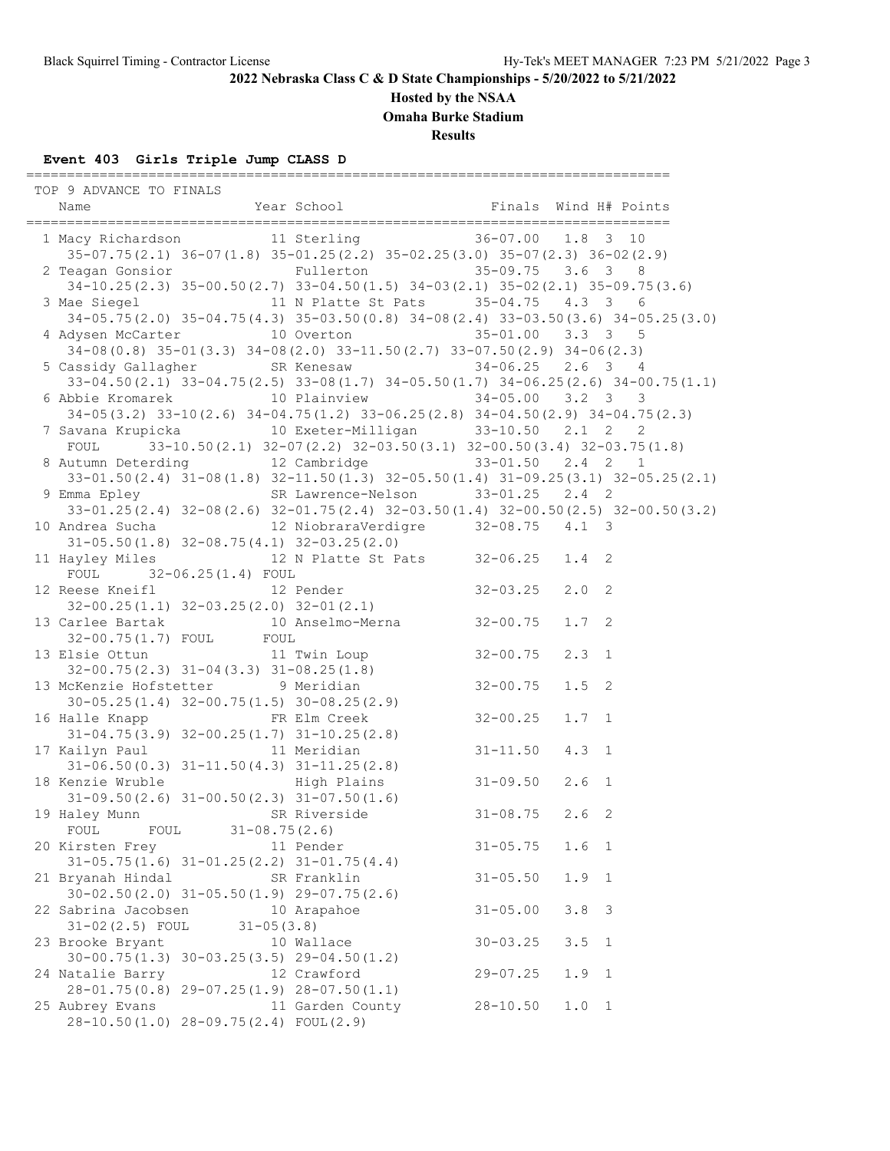## **Hosted by the NSAA**

**Omaha Burke Stadium**

**Results**

## **Event 403 Girls Triple Jump CLASS D**

| TOP 9 ADVANCE TO FINALS                                                                                                                    |                  |              |                                |
|--------------------------------------------------------------------------------------------------------------------------------------------|------------------|--------------|--------------------------------|
| Name                                                                                                                                       |                  |              |                                |
|                                                                                                                                            |                  |              |                                |
| 1 Macy Richardson 11 Sterling 36-07.00 1.8 3 10                                                                                            |                  |              |                                |
| 35-07.75 (2.1) 36-07 (1.8) 35-01.25 (2.2) 35-02.25 (3.0) 35-07 (2.3) 36-02 (2.9)                                                           |                  |              |                                |
| 2 Teagan Gonsior Fullerton 35-09.75 3.6 3 8                                                                                                |                  |              |                                |
| $34-10.25(2.3)$ $35-00.50(2.7)$ $33-04.50(1.5)$ $34-03(2.1)$ $35-02(2.1)$ $35-09.75(3.6)$                                                  |                  |              |                                |
| 3 Mae Siegel 11 N Platte St Pats 35-04.75 4.3 3 6                                                                                          |                  |              |                                |
| 34-05.75(2.0) 35-04.75(4.3) 35-03.50(0.8) 34-08(2.4) 33-03.50(3.6) 34-05.25(3.0)                                                           |                  |              |                                |
| 4 Adysen McCarter 10 Overton 35-01.00 3.3 3 5                                                                                              |                  |              |                                |
| $34-08(0.8)$ $35-01(3.3)$ $34-08(2.0)$ $33-11.50(2.7)$ $33-07.50(2.9)$ $34-06(2.3)$                                                        |                  |              |                                |
| 5 Cassidy Gallagher SR Kenesaw 34-06.25 2.6 3 4                                                                                            |                  |              |                                |
| $33-04.50(2.1)$ $33-04.75(2.5)$ $33-08(1.7)$ $34-05.50(1.7)$ $34-06.25(2.6)$ $34-00.75(1.1)$                                               |                  |              |                                |
| 6 Abbie Kromarek 10 Plainview 34-05.00 3.2 3 3                                                                                             |                  |              |                                |
| 34-05 (3.2) 33-10 (2.6) 34-04.75 (1.2) 33-06.25 (2.8) 34-04.50 (2.9) 34-04.75 (2.3)                                                        |                  |              |                                |
| 7 Savana Krupicka (10 Exeter-Milligan (33-10.50 2.1 2)                                                                                     |                  |              | 2                              |
| FOUL $33-10.50(2.1)$ $32-07(2.2)$ $32-03.50(3.1)$ $32-00.50(3.4)$ $32-03.75(1.8)$                                                          |                  |              |                                |
|                                                                                                                                            |                  |              |                                |
| 8 Autumn Deterding 12 Cambridge 33-01.50 2.4 2 1<br>33-01.50 (2.4) 31-08 (1.8) 32-11.50 (1.3) 32-05.50 (1.4) 31-09.25 (3.1) 32-05.25 (2.1) |                  |              |                                |
| 9 Emma Epley SR Lawrence-Nelson 33-01.25 2.4 2                                                                                             |                  |              |                                |
| $33-01.25(2.4)$ $32-08(2.6)$ $32-01.75(2.4)$ $32-03.50(1.4)$ $32-00.50(2.5)$ $32-00.50(3.2)$                                               |                  |              |                                |
|                                                                                                                                            |                  |              |                                |
| $31-05.50(1.8)$ $32-08.75(4.1)$ $32-03.25(2.0)$                                                                                            |                  |              |                                |
| 11 Hayley Miles 6. 12 N Platte St Pats 32-06.25 1.4 2                                                                                      |                  |              |                                |
| FOUL 32-06.25(1.4) FOUL                                                                                                                    |                  |              |                                |
| FOUL $32-06.25(1.4)$ FOUL $12$ Reese Kneifl $12$ Pender $32-03.25$                                                                         |                  |              | $2.0$ 2                        |
|                                                                                                                                            |                  |              |                                |
| $32-00.25(1.1)$ $32-03.25(2.0)$ $32-01(2.1)$<br>13 Carlee Bartak 10 Anselmo-Merna 32-00.75                                                 |                  |              | $1.7-2$                        |
|                                                                                                                                            |                  |              |                                |
| 32-00.75(1.7) FOUL FOUL                                                                                                                    |                  |              |                                |
| 13 Elsie Ottun 11 Twin Loup 32-00.75                                                                                                       |                  |              | $2.3$ 1                        |
| $32-00.75(2.3)$ $31-04(3.3)$ $31-08.25(1.8)$                                                                                               |                  |              |                                |
| 13 McKenzie Hofstetter 9 Meridian<br>30-05.25(1.4) 32-00.75(1.5) 30-08.25(2.9)                                                             |                  | $32 - 00.75$ | $1.5$ 2                        |
|                                                                                                                                            | $32 - 00.25$     |              |                                |
| 16 Halle Knapp National FR Elm Creek                                                                                                       |                  |              | $1.7 \quad 1$                  |
| $31-04.75(3.9)$ $32-00.25(1.7)$ $31-10.25(2.8)$                                                                                            |                  | $31 - 11.50$ |                                |
| 17 Kailyn Paul 11 Meridian                                                                                                                 |                  |              | $4.3 \quad 1$                  |
| 31-06.50(0.3) 31-11.50(4.3) 31-11.25(2.8)<br>18 Kenzie Wruble High Plains 31-09.50                                                         |                  |              |                                |
|                                                                                                                                            |                  |              |                                |
|                                                                                                                                            |                  |              |                                |
| (enzie Wruble<br>31-09.50(2.6) 31-00.50(2.3) 31-07.50(1.6)<br>SR Riverside 31-08.75 2.6 2<br>19 Haley Munn SR Riverside                    |                  |              |                                |
| FOUL FOUL 31-08.75(2.6)                                                                                                                    |                  |              |                                |
| 20 Kirsten Frey                                                                                                                            | 11 Pender        | $31 - 05.75$ | 1.6 <sub>1</sub>               |
| $31-05.75(1.6)$ $31-01.25(2.2)$ $31-01.75(4.4)$                                                                                            |                  |              |                                |
| 21 Bryanah Hindal                                                                                                                          | SR Franklin      | $31 - 05.50$ | 1.9<br>$\mathbf{1}$            |
| $30-02.50(2.0)$ $31-05.50(1.9)$ $29-07.75(2.6)$                                                                                            |                  |              |                                |
| 22 Sabrina Jacobsen                                                                                                                        | 10 Arapahoe      | $31 - 05.00$ | 3.8<br>$\overline{\mathbf{3}}$ |
| $31 - 02(2.5)$ FOUL<br>$31 - 05(3.8)$                                                                                                      |                  |              |                                |
| 23 Brooke Bryant                                                                                                                           | 10 Wallace       | $30 - 03.25$ | 3.5<br>- 1                     |
| $30-00.75(1.3)$ $30-03.25(3.5)$ $29-04.50(1.2)$                                                                                            |                  |              |                                |
| 24 Natalie Barry                                                                                                                           | 12 Crawford      | $29 - 07.25$ | 1.9<br>$\mathbf{1}$            |
| $28 - 01.75(0.8)$ $29 - 07.25(1.9)$ $28 - 07.50(1.1)$                                                                                      |                  |              |                                |
| 25 Aubrey Evans                                                                                                                            | 11 Garden County | $28 - 10.50$ | $1.0 \t1$                      |
| 28-10.50(1.0) 28-09.75(2.4) FOUL(2.9)                                                                                                      |                  |              |                                |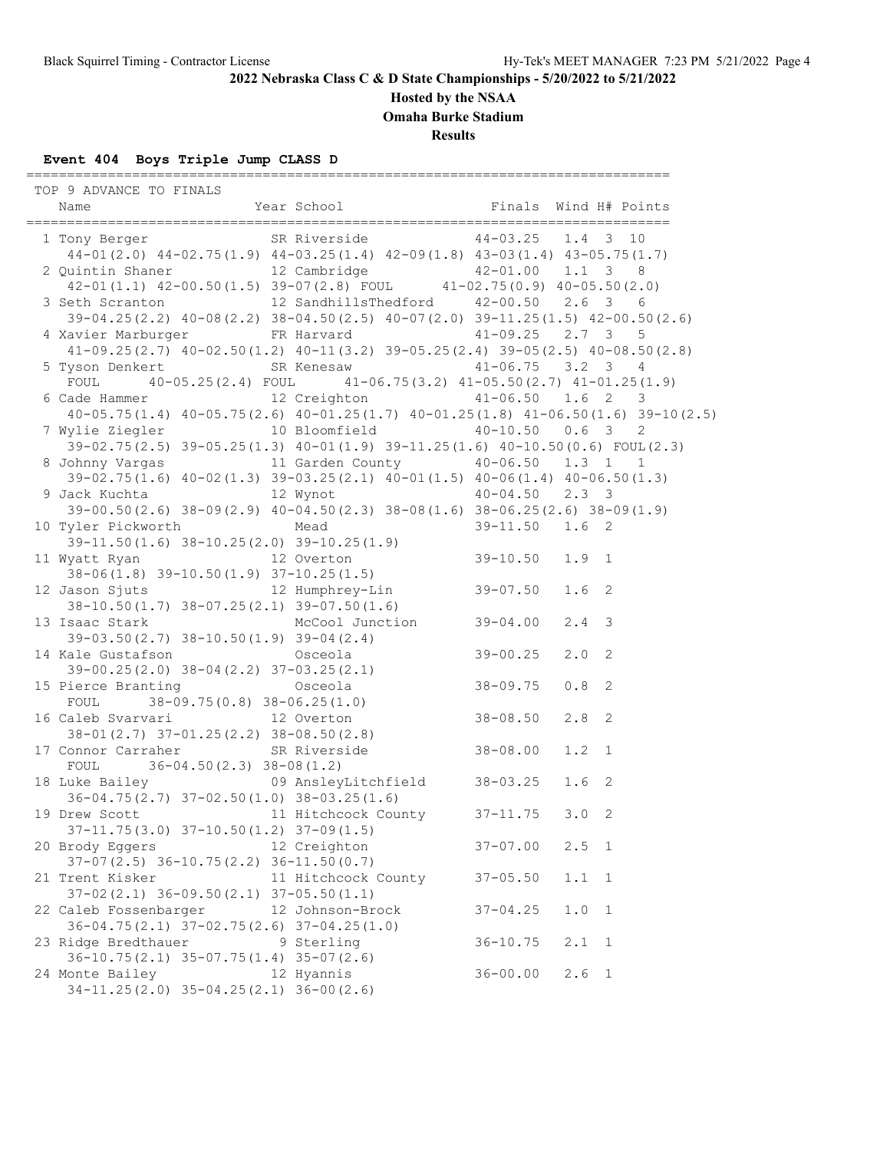## **Hosted by the NSAA**

**Omaha Burke Stadium**

**Results**

## **Event 404 Boys Triple Jump CLASS D**

| TOP 9 ADVANCE TO FINALS                                                                                                                                       |                     |              |                  |                            |
|---------------------------------------------------------------------------------------------------------------------------------------------------------------|---------------------|--------------|------------------|----------------------------|
| 1 Tony Berger SR Riverside 44-03.25 1.4 3 10<br>$44-01(2.0)$ $44-02.75(1.9)$ $44-03.25(1.4)$ $42-09(1.8)$ $43-03(1.4)$ $43-05.75(1.7)$                        |                     |              |                  |                            |
| 2 Quintin Shaner 12 Cambridge 42-01.00 1.1 3 8<br>42-01(1.1) 42-00.50(1.5) 39-07(2.8) FOUL 41-02.75(0.9) 40-05.50(2.0)                                        |                     |              |                  |                            |
| 3 Seth Scranton 12 SandhillsThedford 42-00.50 2.6 3 6                                                                                                         |                     |              |                  |                            |
| 39-04.25 (2.2) 40-08 (2.2) 38-04.50 (2.5) 40-07 (2.0) 39-11.25 (1.5) 42-00.50 (2.6)                                                                           |                     |              |                  |                            |
| 4 Xavier Marburger FR Harvard 41-09.25 2.7 3 5                                                                                                                |                     |              |                  |                            |
| $41-09.25(2.7)$ $40-02.50(1.2)$ $40-11(3.2)$ $39-05.25(2.4)$ $39-05(2.5)$ $40-08.50(2.8)$                                                                     |                     |              |                  |                            |
| 5 Tyson Denkert SR Kenesaw 41-06.75 3.2 3 4                                                                                                                   |                     |              |                  |                            |
| FOUL $40-05.25(2.4)$ FOUL $41-06.75(3.2)$ $41-05.50(2.7)$ $41-01.25(1.9)$<br>6 Cade Hammer 12 Creighton 41-06.50 1.6 2 3                                      |                     |              |                  |                            |
| $40-05.75(1.4)$ $40-05.75(2.6)$ $40-01.25(1.7)$ $40-01.25(1.8)$ $41-06.50(1.6)$ $39-10(2.5)$                                                                  |                     |              |                  |                            |
| 7 Wylie Ziegler 10 Bloomfield 40-10.50 0.6 3                                                                                                                  |                     |              |                  | 2                          |
| 39-02.75(2.5) 39-05.25(1.3) 40-01(1.9) 39-11.25(1.6) 40-10.50(0.6) FOUL(2.3)                                                                                  |                     |              |                  |                            |
| 8 Johnny Vargas 11 Garden County 40-06.50 1.3 1 1<br>39-02.75(1.6) $40-02(1.3)$ 39-03.25(2.1) $40-01(1.5)$ $40-06(1.4)$ $40-06.50(1.3)$                       |                     |              |                  |                            |
|                                                                                                                                                               |                     |              |                  |                            |
| 9 Jack Kuchta                 12 Wynot             40-04.50   2.3   3                                                                                         |                     |              |                  |                            |
| $39-00.50(2.6)$ $38-09(2.9)$ $40-04.50(2.3)$ $38-08(1.6)$ $38-06.25(2.6)$ $38-09(1.9)$                                                                        |                     |              |                  |                            |
| 10 Tyler Pickworth Mead<br>yler Pickworth Mead 39-11.50 1.6 2<br>39-11.50 (1.6) 38-10.25 (2.0) 39-10.25 (1.9)<br>watt Buss                                    |                     |              |                  |                            |
|                                                                                                                                                               |                     |              |                  |                            |
|                                                                                                                                                               |                     |              |                  |                            |
| 39-11.50(1.6) 38-10.25(2.0) 39-10.25(1.9)<br>11 Wyatt Ryan 12 Overton 38-06(1.8) 39-10.50(1.9) 37-10.25(1.5)<br>12 Jason Sjuts 12 Humphrey-Lin 39-07.50 1.6 2 |                     |              |                  |                            |
| $38-10.50(1.7)$ $38-07.25(2.1)$ $39-07.50(1.6)$                                                                                                               |                     |              |                  |                            |
| 13 Isaac Stark McCool Junction 39-04.00                                                                                                                       |                     |              | $2.4 - 3$        |                            |
| $39-03.50(2.7)$ $38-10.50(1.9)$ $39-04(2.4)$                                                                                                                  |                     |              |                  |                            |
| 14 Kale Gustafson Martin Osceola                                                                                                                              |                     | $39 - 00.25$ | $2.0$ 2          |                            |
| $39-00.25(2.0)$ $38-04(2.2)$ $37-03.25(2.1)$                                                                                                                  |                     | $38 - 09.75$ | 0.8              | $\overline{\phantom{0}}^2$ |
| 15 Pierce Branting 0sceola<br>FOUI 38-09 75/0 81 38-06 25/1 01<br>FOUL $38-09.75(0.8) 38-06.25(1.0)$                                                          |                     |              |                  |                            |
| 16 Caleb Svarvari 12 Overton 38-08.50<br>38-01(2.7) 37-01.25(2.2) 38-08.50(2.8)<br>17 Connor Carrabor 2018                                                    |                     |              | $2.8$ 2          |                            |
|                                                                                                                                                               |                     |              |                  |                            |
| 17 Connor Carraher SR Riverside 38-08.00                                                                                                                      |                     |              | $1.2 \quad 1$    |                            |
| FOUL $36-04.50(2.3) 38-08(1.2)$                                                                                                                               |                     |              |                  |                            |
| 18 Luke Bailey 69 AnsleyLitchfield 38-03.25                                                                                                                   |                     |              | 1.6 <sub>2</sub> |                            |
| $36-04.75(2.7)$ $37-02.50(1.0)$ $38-03.25(1.6)$<br>19 Drew Scott 11 Hitchcock County 37-11.75 3.0 2                                                           |                     |              |                  |                            |
| $37-11.75(3.0)$ $37-10.50(1.2)$ $37-09(1.5)$                                                                                                                  |                     |              |                  |                            |
| 20 Brody Eggers                                                                                                                                               | 12 Creighton        | $37 - 07.00$ | 2.5 1            |                            |
| $37-07(2.5)$ $36-10.75(2.2)$ $36-11.50(0.7)$                                                                                                                  |                     |              |                  |                            |
| 21 Trent Kisker                                                                                                                                               | 11 Hitchcock County | $37 - 05.50$ | 1.1              | $\overline{1}$             |
| $37-02(2.1)$ $36-09.50(2.1)$ $37-05.50(1.1)$                                                                                                                  |                     |              |                  |                            |
| 22 Caleb Fossenbarger                                                                                                                                         | 12 Johnson-Brock    | $37 - 04.25$ | $1.0$            | $\mathbf{1}$               |
| $36-04.75(2.1)$ $37-02.75(2.6)$ $37-04.25(1.0)$<br>23 Ridge Bredthauer                                                                                        |                     |              |                  |                            |
| $36-10.75(2.1)$ $35-07.75(1.4)$ $35-07(2.6)$                                                                                                                  | 9 Sterling          | $36 - 10.75$ | 2.1              | $\mathbf{1}$               |
| 24 Monte Bailey                                                                                                                                               | 12 Hyannis          | $36 - 00.00$ | $2.6 \quad 1$    |                            |
| $34-11.25(2.0)$ $35-04.25(2.1)$ $36-00(2.6)$                                                                                                                  |                     |              |                  |                            |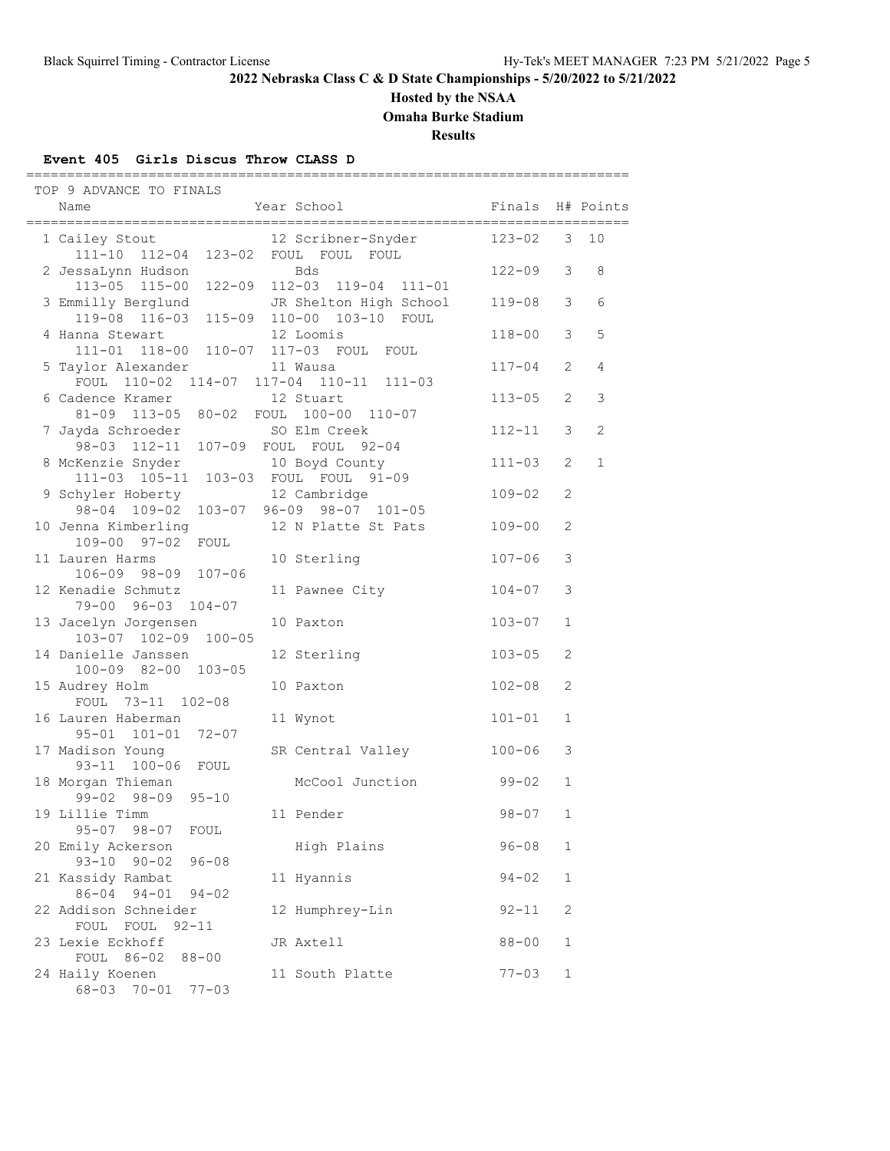## **Hosted by the NSAA**

**Omaha Burke Stadium**

**Results**

## **Event 405 Girls Discus Throw CLASS D**

| TOP 9 ADVANCE TO FINALS                                               |                                                     |            |                       |              |
|-----------------------------------------------------------------------|-----------------------------------------------------|------------|-----------------------|--------------|
| Name<br>----------------                                              | Year School                                         | Finals     |                       | H# Points    |
| 1 Cailey Stout<br>111-10 112-04 123-02 FOUL FOUL FOUL                 | 12 Scribner-Snyder                                  | $123 - 02$ | 3                     | 10           |
| 2 JessaLynn Hudson<br>$113 - 05$ $115 - 00$<br>122-09                 | <b>Bds</b><br>112-03 119-04 111-01                  | 122-09     | 3                     | 8            |
| 3 Emmilly Berglund<br>119-08 116-03                                   | JR Shelton High School<br>115-09 110-00 103-10 FOUL | 119-08     | 3                     | 6            |
| 4 Hanna Stewart<br>111-01 118-00 110-07 117-03 FOUL FOUL              | 12 Loomis                                           | $118 - 00$ | 3                     | 5            |
| 5 Taylor Alexander<br>FOUL 110-02 114-07 117-04 110-11 111-03         | 11 Wausa                                            | $117 - 04$ | 2                     | 4            |
| 6 Cadence Kramer<br>81-09 113-05 80-02 FOUL 100-00 110-07             | 12 Stuart                                           | $113 - 05$ | $\mathbf{2}^{\prime}$ | $\mathsf 3$  |
| 7 Jayda Schroeder SO Elm Creek<br>98-03 112-11 107-09 FOUL FOUL 92-04 |                                                     | 112-11     | 3                     | 2            |
| 8 McKenzie Snyder<br>111-03  105-11  103-03  FOUL  FOUL  91-09        | 10 Boyd County                                      | $111 - 03$ | 2                     | $\mathbf{1}$ |
| 9 Schyler Hoberty<br>98-04 109-02 103-07 96-09 98-07 101-05           | 12 Cambridge                                        | $109 - 02$ | 2                     |              |
| 10 Jenna Kimberling<br>109-00 97-02 FOUL                              | 12 N Platte St Pats                                 | $109 - 00$ | 2                     |              |
| 11 Lauren Harms<br>106-09 98-09 107-06                                | 10 Sterling                                         | $107 - 06$ | 3                     |              |
| 12 Kenadie Schmutz<br>79-00 96-03 104-07                              | 11 Pawnee City                                      | $104 - 07$ | 3                     |              |
| 13 Jacelyn Jorgensen<br>103-07 102-09 100-05                          | 10 Paxton                                           | $103 - 07$ | $\mathbf 1$           |              |
| 14 Danielle Janssen<br>100-09 82-00 103-05                            | 12 Sterling                                         | $103 - 05$ | 2                     |              |
| 15 Audrey Holm<br>FOUL 73-11 102-08                                   | 10 Paxton                                           | $102 - 08$ | $\mathbf{2}$          |              |
| 16 Lauren Haberman<br>95-01 101-01 72-07                              | 11 Wynot                                            | $101 - 01$ | 1                     |              |
| 17 Madison Young<br>93-11 100-06 FOUL                                 | SR Central Valley                                   | $100 - 06$ | 3                     |              |
| 18 Morgan Thieman<br>$99 - 02$ $98 - 09$<br>$95 - 10$                 | McCool Junction                                     | $99 - 02$  | $\mathbf{1}$          |              |
| 19 Lillie Timm<br>$95 - 07$ $98 - 07$<br>FOUL                         | 11 Pender                                           | $98 - 07$  | 1                     |              |
| 20 Emily Ackerson<br>$93 - 10$<br>$90 - 02$<br>$96 - 08$              | High Plains                                         | $96 - 08$  | 1                     |              |
| 21 Kassidy Rambat<br>$86 - 04$ 94-01<br>$94 - 02$                     | 11 Hyannis                                          | $94 - 02$  | 1                     |              |
| 22 Addison Schneider<br>FOUL FOUL 92-11                               | 12 Humphrey-Lin                                     | $92 - 11$  | 2                     |              |
| 23 Lexie Eckhoff<br>FOUL 86-02<br>$88 - 00$                           | JR Axtell                                           | $88 - 00$  | 1                     |              |
| 24 Haily Koenen<br>$68 - 03$<br>$70 - 01$<br>$77 - 03$                | 11 South Platte                                     | $77 - 03$  | 1                     |              |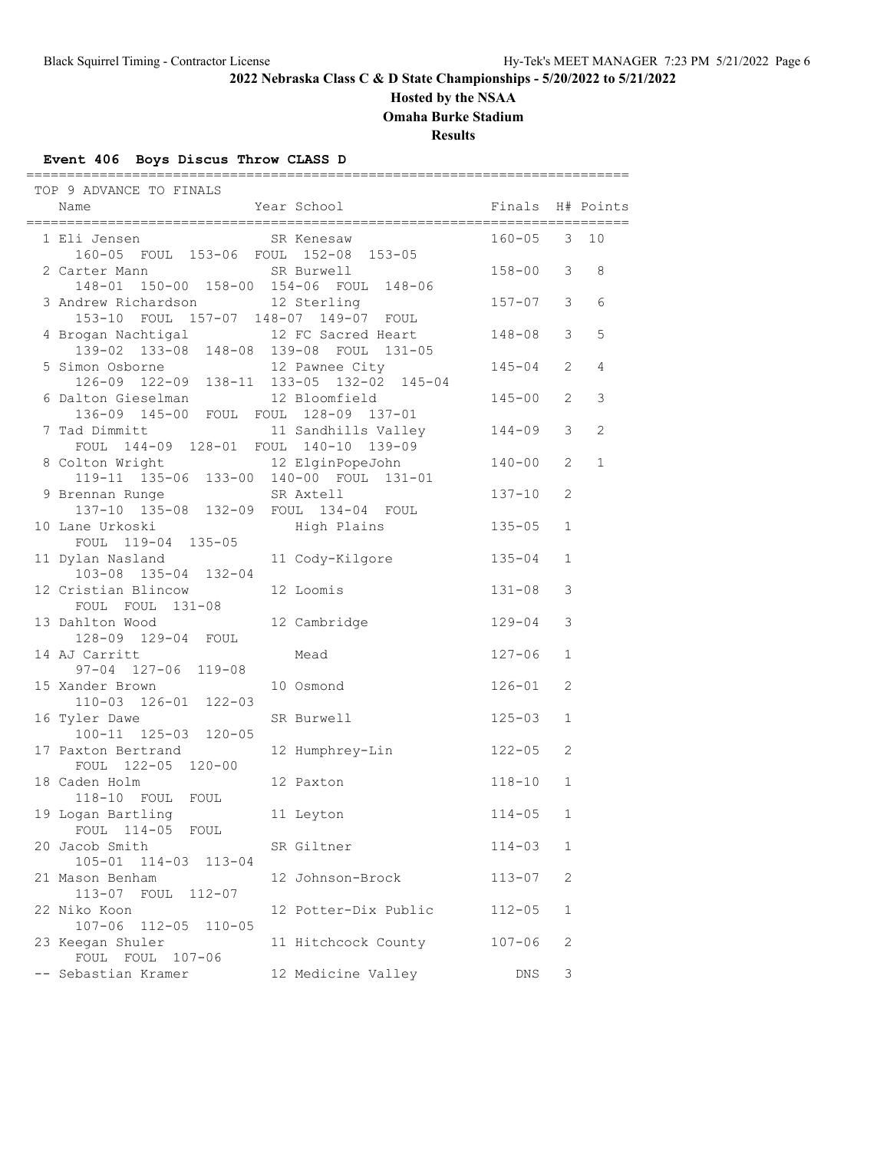# **Hosted by the NSAA**

**Omaha Burke Stadium**

**Results**

### **Event 406 Boys Discus Throw CLASS D**

| TOP 9 ADVANCE TO FINALS                                                     |                                         |                 |              |   |
|-----------------------------------------------------------------------------|-----------------------------------------|-----------------|--------------|---|
| Name                                                                        | Year School <a> Finals H# Points</a>    |                 |              |   |
| 1 Eli Jensen SR Kenesaw<br>160-05 FOUL 153-06 FOUL 152-08 153-05            |                                         | $160 - 05$ 3 10 |              |   |
| 2 Carter Mann SR Burwell<br>148-01 150-00 158-00 154-06 FOUL 148-06         |                                         | $158 - 00$ 3    |              | 8 |
| 3 Andrew Richardson 12 Sterling<br>153-10 FOUL 157-07 148-07 149-07 FOUL    |                                         | $157 - 07$ 3    |              | 6 |
| 4 Brogan Nachtigal 12 FC Sacred Heart                                       | 139-02 133-08 148-08 139-08 FOUL 131-05 | $148 - 08$ 3    |              | 5 |
| 5 Simon Osborne<br>126-09 122-09 138-11 133-05 132-02 145-04                |                                         | $145 - 04$ 2    |              | 4 |
| 6 Dalton Gieselman<br>136-09 145-00 FOUL FOUL 128-09 137-01                 | 12 Bloomfield                           | $145 - 00$      | 2            | 3 |
| 7 Tad Dimmitt 11 Sandhills Valley<br>FOUL 144-09 128-01 FOUL 140-10 139-09  |                                         | $144 - 09$      | 3            | 2 |
| 8 Colton Wright 12 ElginPopeJohn<br>119-11 135-06 133-00 140-00 FOUL 131-01 |                                         | $140 - 00$      | 2            | 1 |
| 9 Brennan Runge SR Axtell<br>137-10 135-08 132-09 FOUL 134-04 FOUL          |                                         | $137 - 10$      | 2            |   |
| 10 Lane Urkoski<br>FOUL 119-04 135-05                                       | High Plains                             | $135 - 05$      | 1            |   |
| 11 Dylan Nasland<br>103-08 135-04 132-04                                    | 11 Cody-Kilgore                         | $135 - 04$      | $\mathbf{1}$ |   |
| 12 Cristian Blincow<br>FOUL FOUL 131-08                                     | 12 Loomis                               | $131 - 08$      | 3            |   |
| 13 Dahlton Wood<br>128-09 129-04 FOUL                                       | 12 Cambridge                            | $129 - 04$      | 3            |   |
| 14 AJ Carritt<br>$97 - 04$ $127 - 06$ $119 - 08$                            | Mead                                    | 127-06          | $\mathbf{1}$ |   |
| 15 Xander Brown 10 Osmond<br>110-03 126-01 122-03                           |                                         | $126 - 01$      | 2            |   |
| 16 Tyler Dawe<br>100-11 125-03 120-05                                       | SR Burwell                              | $125 - 03$      | 1            |   |
| 17 Paxton Bertrand<br>FOUL 122-05 120-00                                    | 12 Humphrey-Lin                         | $122 - 05$      | 2            |   |
| 18 Caden Holm<br>118-10 FOUL FOUL                                           | 12 Paxton                               | $118 - 10$      | $\mathbf{1}$ |   |
| 19 Logan Bartling<br>FOUL 114-05 FOUL                                       | 11 Leyton                               | $114 - 05$ 1    |              |   |
| 20 Jacob Smith<br>105-01 114-03 113-04                                      | SR Giltner                              | $114 - 03$      | 1            |   |
| 21 Mason Benham<br>113-07 FOUL 112-07                                       | 12 Johnson-Brock                        | $113 - 07$      | 2            |   |
| 22 Niko Koon<br>107-06 112-05<br>$110 - 05$                                 | 12 Potter-Dix Public                    | $112 - 05$      | $\mathbf 1$  |   |
| 23 Keegan Shuler<br>FOUL FOUL 107-06                                        | 11 Hitchcock County                     | $107 - 06$      | 2            |   |
| -- Sebastian Kramer                                                         | 12 Medicine Valley                      | DNS             | 3            |   |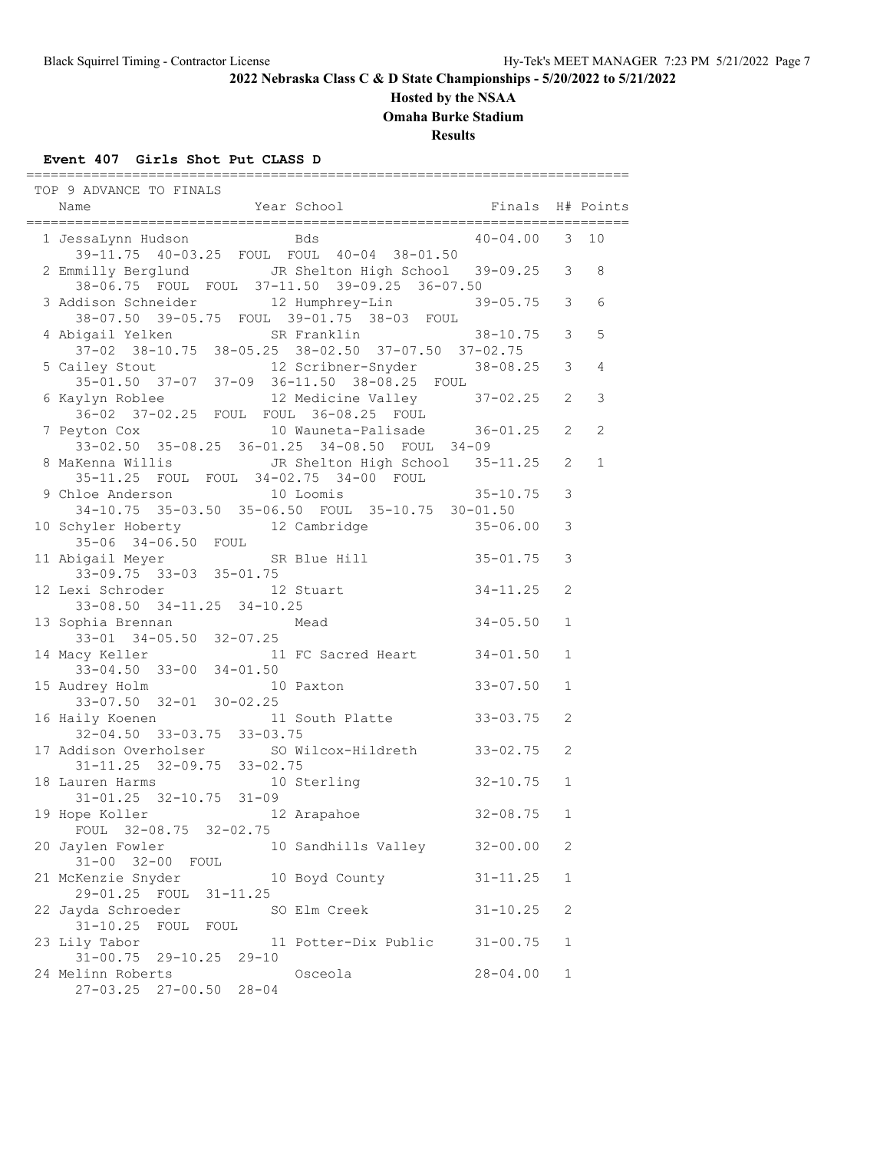### **Hosted by the NSAA**

**Omaha Burke Stadium**

**Results**

### **Event 407 Girls Shot Put CLASS D**

 TOP 9 ADVANCE TO FINALS Name Year School Finals H# Points ==========================================================================  $40-04.00$  3 10 39-11.75 40-03.25 FOUL FOUL 40-04 38-01.50 2 Emmilly Berglund JR Shelton High School 39-09.25 3 8 38-06.75 FOUL FOUL 37-11.50 39-09.25 36-07.50 3 Addison Schneider 12 Humphrey-Lin 39-05.75 3 6 38-07.50 39-05.75 FOUL 39-01.75 38-03 FOUL 4 Abigail Yelken SR Franklin 38-10.75 3 5 37-02 38-10.75 38-05.25 38-02.50 37-07.50 37-02.75 5 Cailey Stout 12 Scribner-Snyder 38-08.25 3 4 35-01.50 37-07 37-09 36-11.50 38-08.25 FOUL 6 Kaylyn Roblee 12 Medicine Valley 37-02.25 2 3 36-02 37-02.25 FOUL FOUL 36-08.25 FOUL 7 Peyton Cox 10 Wauneta-Palisade 36-01.25 2 2 7 Peyton Cox 10 Wauneta-Palisade 36-01.25 2 2<br>33-02.50 35-08.25 36-01.25 34-08.50 FOUL 34-09<br>8 MaKenna Willis JR Shelton High School 35-11.25 2 1 8 MaKenna Willis JR Shelton High School 35-11.25 2 1 35-11.25 FOUL FOUL 34-02.75 34-00 FOUL 9 Chloe Anderson 10 Loomis 35-10.75 3 34-10.75 35-03.50 35-06.50 FOUL 35-10.75 30-01.50 10 Schyler Hoberty 12 Cambridge 35-06.00 3 35-06 34-06.50 FOUL 11 Abigail Meyer SR Blue Hill 35-01.75 3 33-09.75 33-03 35-01.75 12 Lexi Schroder 12 Stuart 34-11.25 2 33-08.50 34-11.25 34-10.25 13 Sophia Brennan Mead 34-05.50 1 33-01 34-05.50 32-07.25 14 Macy Keller 11 FC Sacred Heart 34-01.50 1<br>33-04.50 33-00 34-01.50 33-04.50 33-00 34-01.50 15 Audrey Holm 10 Paxton 33-07.50 1 33-07.50 32-01 30-02.25 16 Haily Koenen 11 South Platte 33-03.75 2 32-04.50 33-03.75 33-03.75 17 Addison Overholser SO Wilcox-Hildreth 33-02.75 2 31-11.25 32-09.75 33-02.75 18 Lauren Harms 10 Sterling 32-10.75 1 31-01.25 32-10.75 31-09 19 Hope Koller 12 Arapahoe 32-08.75 1 FOUL 32-08.75 32-02.75 20 Jaylen Fowler 10 Sandhills Valley 32-00.00 2 31-00 32-00 FOUL 21 McKenzie Snyder 10 Boyd County 31-11.25 1 29-01.25 FOUL 31-11.25 22 Jayda Schroeder SO Elm Creek 31-10.25 2 31-10.25 FOUL FOUL 23 Lily Tabor 11 Potter-Dix Public 31-00.75 1  $31-00.75$  29-10.25 29-10 24 Melinn Roberts Osceola 28-04.00 1 27-03.25 27-00.50 28-04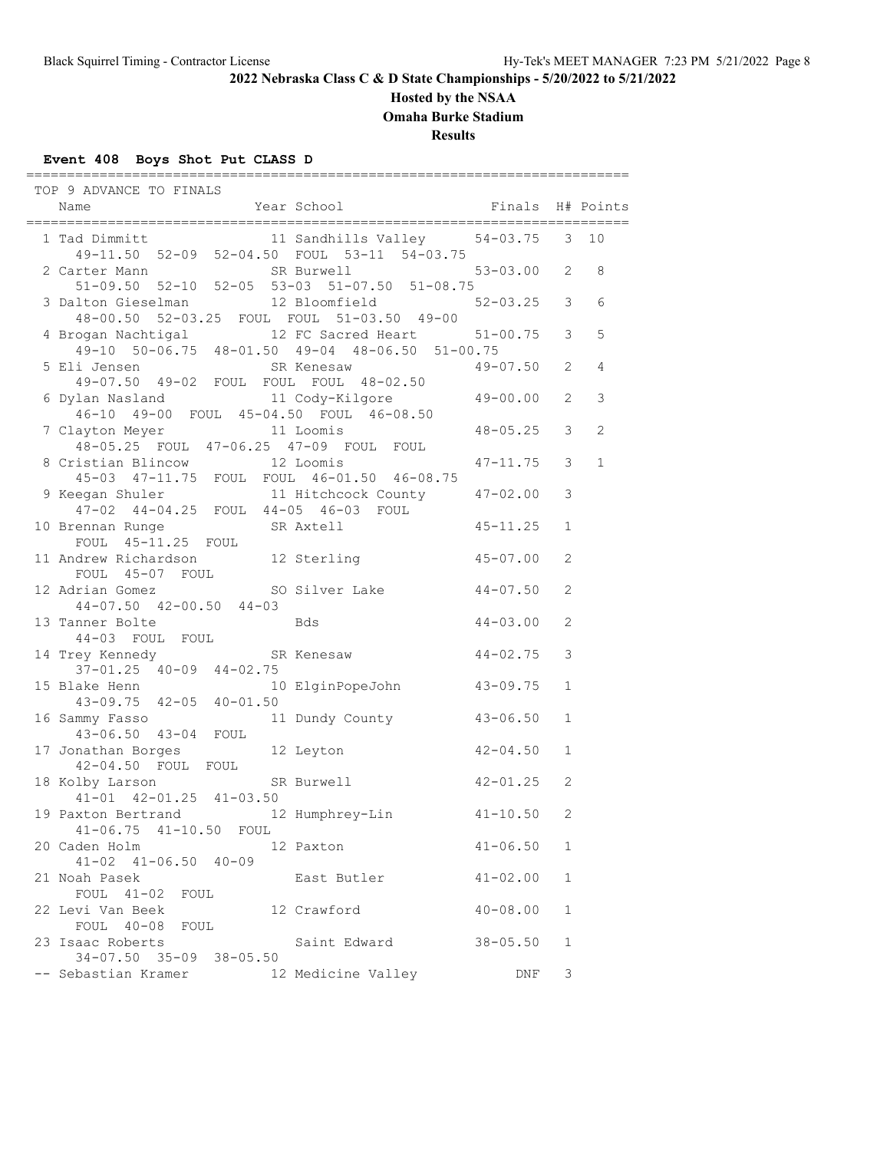### **Hosted by the NSAA**

**Omaha Burke Stadium**

**Results**

### **Event 408 Boys Shot Put CLASS D**

 TOP 9 ADVANCE TO FINALS Name The Year School The Finals H# Points ========================================================================== 1 Tad Dimmitt 11 Sandhills Valley 54-03.75 3 10 49-11.50 52-09 52-04.50 FOUL 53-11 54-03.75 2 Carter Mann SR Burwell 53-03.00 2 8 51-09.50 52-10 52-05 53-03 51-07.50 51-08.75 3 Dalton Gieselman 12 Bloomfield 52-03.25 3 6 48-00.50 52-03.25 FOUL FOUL 51-03.50 49-00 4 Brogan Nachtigal 12 FC Sacred Heart 51-00.75 3 5 49-10 50-06.75 48-01.50 49-04 48-06.50 51-00.75 5 Eli Jensen SR Kenesaw 49-07.50 49-02 FOUL FOUL FOUL 48-02.50 6 Dylan Nasland 11 Cody-Kilgore 49-00.00 2 3 46-10 49-00 FOUL 45-04.50 FOUL 46-08.50 7 Clayton Meyer 11 Loomis 48-05.25 3 2 48-05.25 FOUL 47-06.25 47-09 FOUL FOUL 8 Cristian Blincow 12 Loomis 47-11.75 3 1 45-03 47-11.75 FOUL FOUL 46-01.50 46-08.75 9 Keegan Shuler 11 Hitchcock County 47-02.00 3 47-02 44-04.25 FOUL 44-05 46-03 FOUL 10 Brennan Runge SR Axtell 45-11.25 1 FOUL 45-11.25 FOUL 11 Andrew Richardson 12 Sterling 45-07.00 2 FOUL 45-07 FOUL 12 Adrian Gomez SO Silver Lake 44-07.50 2 44-07.50 42-00.50 44-03  $44 - 07.30$   $42 - 00.30$   $43$  Bds  $44 - 03.00$  2 44-03 FOUL FOUL 14 Trey Kennedy SR Kenesaw 44-02.75 3 37-01.25 40-09 44-02.75<br>15 Blake Henn 10 10 ElginPopeJohn 43-09.75 1 43-09.75 42-05 40-01.50 16 Sammy Fasso 11 Dundy County 43-06.50 1 43-06.50 43-04 FOUL<br>17 Jonathan Borges 17 Jonathan Borges 12 Leyton 42-04.50 1 42-04.50 FOUL FOUL 18 Kolby Larson SR Burwell 42-01.25 2 41-01 42-01.25 41-03.50 19 Paxton Bertrand 12 Humphrey-Lin 41-10.50 2 41-06.75 41-10.50 FOUL 20 Caden Holm 12 Paxton 41-06.50 1 41-02 41-06.50 40-09 21 Noah Pasek East Butler 41-02.00 1 FOUL 41-02 FOUL 22 Levi Van Beek 12 Crawford 40-08.00 1 FOUL 40-08 FOUL 23 Isaac Roberts Saint Edward 38-05.50 1 34-07.50 35-09 38-05.50 -- Sebastian Kramer 12 Medicine Valley DNF 3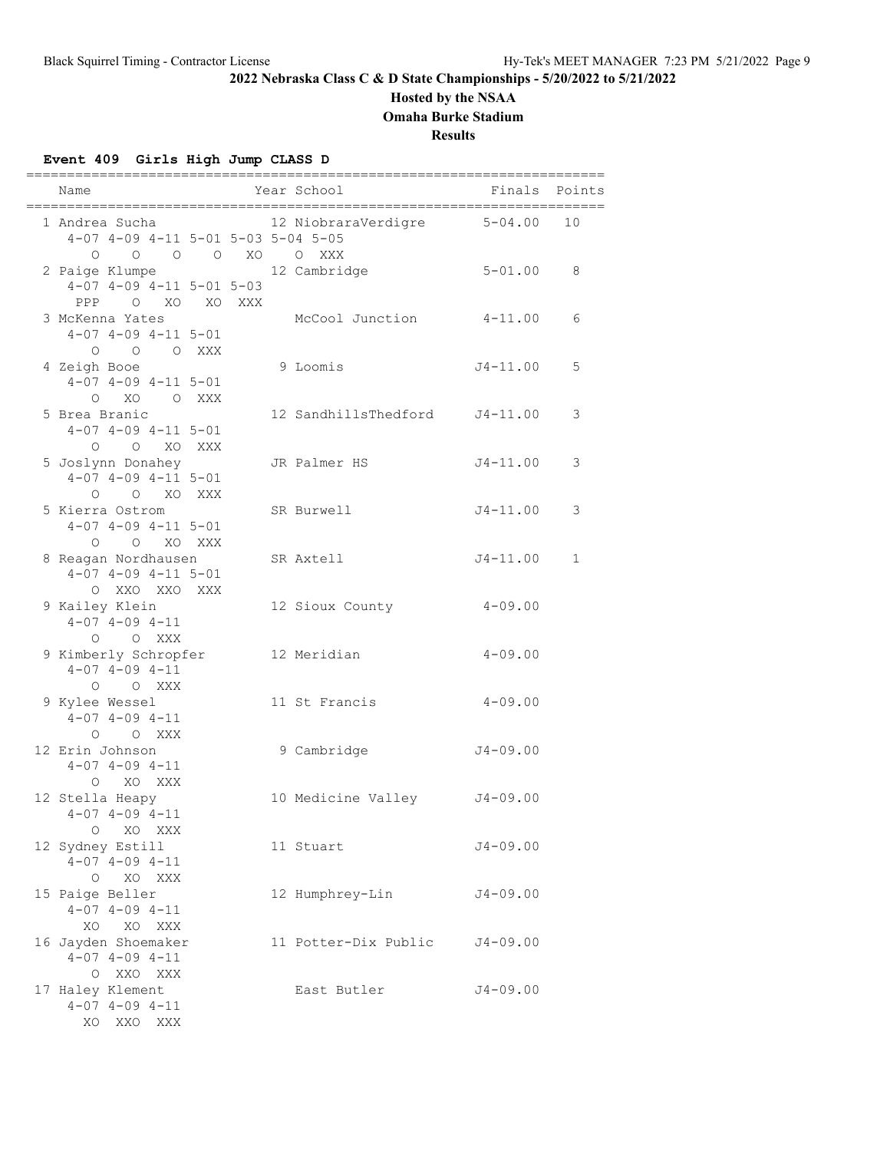## **Hosted by the NSAA**

**Omaha Burke Stadium**

**Results**

## **Event 409 Girls High Jump CLASS D**

| Name                                                                           |  | Year School                 | Finals       | Points       |
|--------------------------------------------------------------------------------|--|-----------------------------|--------------|--------------|
| 1 Andrea Sucha<br>4-07 4-09 4-11 5-01 5-03 5-04 5-05                           |  | 12 NiobraraVerdigre 5-04.00 |              | 10           |
| 0 0 0 0 XO 0 XXX<br>2 Paige Klumpe<br>$4-07$ $4-09$ $4-11$ $5-01$ $5-03$       |  | 12 Cambridge                | $5 - 01.00$  | 8            |
| PPP O XO XO XXX<br>3 McKenna Yates<br>$4-07$ $4-09$ $4-11$ $5-01$<br>O O O XXX |  | McCool Junction             | $4 - 11.00$  | 6            |
| 4 Zeigh Booe<br>$4-07$ $4-09$ $4-11$ $5-01$<br>O XO O XXX                      |  | 9 Loomis                    | $J4 - 11.00$ | 5            |
| 5 Brea Branic<br>$4-07$ $4-09$ $4-11$ $5-01$<br>O O XO XXX                     |  | 12 SandhillsThedford        | $J4 - 11.00$ | 3            |
| 5 Joslynn Donahey<br>$4-07$ $4-09$ $4-11$ $5-01$<br>$O$ $O$ $XO$ $XXX$         |  | JR Palmer HS                | $J4 - 11.00$ | 3            |
| 5 Kierra Ostrom<br>$4-07$ $4-09$ $4-11$ $5-01$<br>O O XO XXX                   |  | SR Burwell                  | $J4 - 11.00$ | 3            |
| 8 Reagan Nordhausen<br>$4-07$ $4-09$ $4-11$ $5-01$<br>O XXO XXO XXX            |  | SR Axtell                   | $J4 - 11.00$ | $\mathbf{1}$ |
| 9 Kailey Klein<br>$4-07$ $4-09$ $4-11$<br>O O XXX                              |  | 12 Sioux County             | $4 - 09.00$  |              |
| 9 Kimberly Schropfer<br>$4-07$ $4-09$ $4-11$<br>O O XXX                        |  | 12 Meridian                 | $4 - 09.00$  |              |
| 9 Kylee Wessel<br>$4-07$ $4-09$ $4-11$<br>O O XXX                              |  | 11 St Francis               | $4 - 09.00$  |              |
| 12 Erin Johnson<br>$4 - 07$ $4 - 09$ $4 - 11$<br>O XO XXX                      |  | 9 Cambridge                 | $J4 - 09.00$ |              |
| 12 Stella Heapy<br>$4 - 07$ $4 - 09$ $4 - 11$<br>XO XXX<br>$\circ$             |  | 10 Medicine Valley J4-09.00 |              |              |
| 12 Sydney Estill<br>$4 - 07$ $4 - 09$ $4 - 11$<br>XO XXX<br>$\circ$            |  | 11 Stuart                   | $J4 - 09.00$ |              |
| 15 Paige Beller<br>$4 - 07$ $4 - 09$ $4 - 11$<br>XO XXX<br>XO                  |  | 12 Humphrey-Lin             | $J4 - 09.00$ |              |
| 16 Jayden Shoemaker<br>$4 - 07$ $4 - 09$ $4 - 11$<br>O XXO XXX                 |  | 11 Potter-Dix Public        | $J4 - 09.00$ |              |
| 17 Haley Klement<br>$4 - 07$ $4 - 09$ $4 - 11$<br>XO XXO XXX                   |  | East Butler                 | $J4 - 09.00$ |              |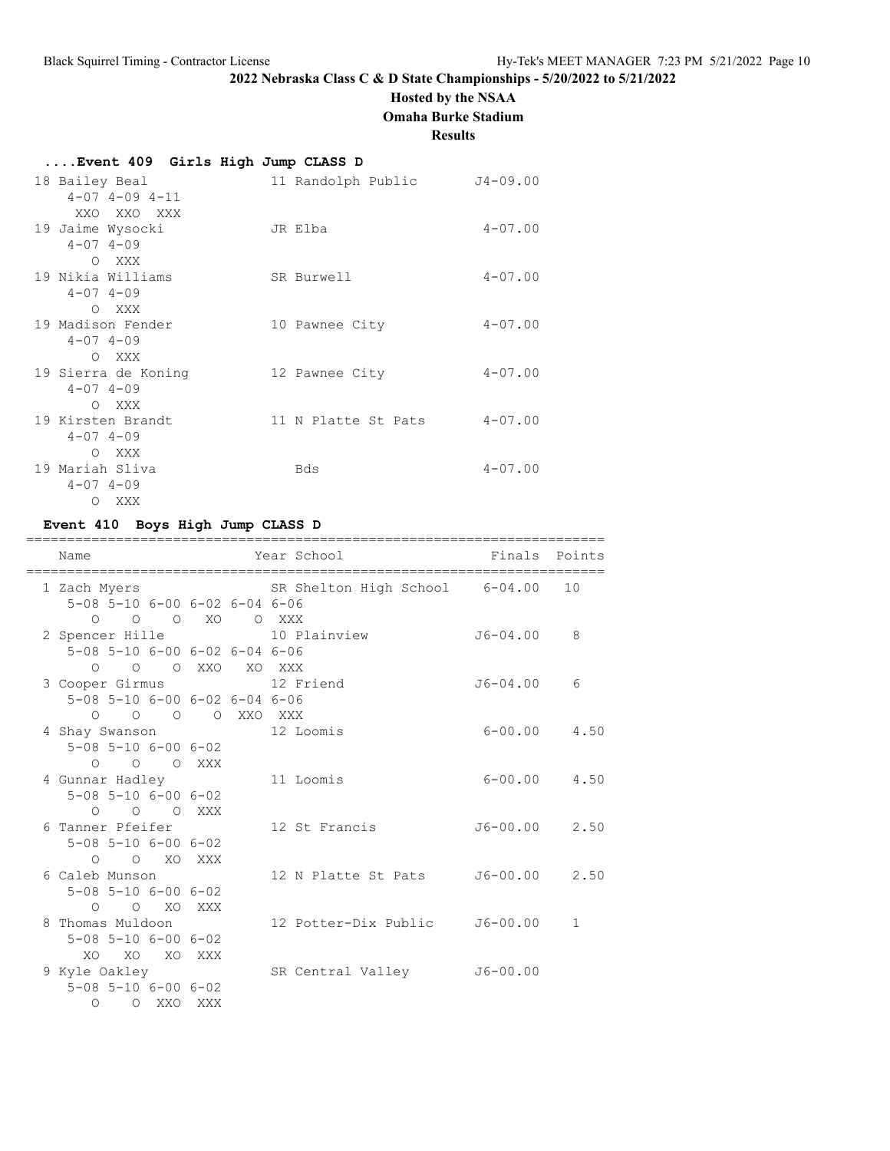# **Hosted by the NSAA**

**Omaha Burke Stadium**

**Results**

# **....Event 409 Girls High Jump CLASS D**

| 18 Bailey Beal             | 11 Randolph Public  | $J4 - 09.00$ |
|----------------------------|---------------------|--------------|
| $4 - 07$ $4 - 09$ $4 - 11$ |                     |              |
| XXO XXO XXX                |                     |              |
| 19 Jaime Wysocki           | JR Elba             | $4 - 07.00$  |
| $4 - 07$ $4 - 09$          |                     |              |
| O XXX                      |                     |              |
| 19 Nikia Williams          | SR Burwell          | $4 - 07.00$  |
| $4 - 07$ $4 - 09$          |                     |              |
| O XXX                      |                     |              |
| 19 Madison Fender          | 10 Pawnee City      | $4 - 07.00$  |
| $4 - 07$ $4 - 09$          |                     |              |
| O XXX                      |                     |              |
| 19 Sierra de Koning        | 12 Pawnee City      | $4 - 07.00$  |
| $4 - 07$ $4 - 09$          |                     |              |
| O XXX                      |                     |              |
| 19 Kirsten Brandt          | 11 N Platte St Pats | $4 - 07.00$  |
| $4 - 07$ $4 - 09$          |                     |              |
| O XXX                      |                     |              |
| 19 Mariah Sliva            | Bds                 | $4 - 07.00$  |
| $4 - 07$ $4 - 09$          |                     |              |
| O XXX                      |                     |              |

## **Event 410 Boys High Jump CLASS D**

| Name                                                                            | :======= | Year School                                 | Finals            | Points |
|---------------------------------------------------------------------------------|----------|---------------------------------------------|-------------------|--------|
| 5-08 5-10 6-00 6-02 6-04 6-06                                                   |          | 1 Zach Myers SR Shelton High School 6-04.00 |                   | 10     |
| 0 0 0 XO 0 XXX<br>2 Spencer Hille 10 Plainview<br>5-08 5-10 6-00 6-02 6-04 6-06 |          |                                             | $J6 - 04.00$      | 8      |
| O O O XXO XO XXX                                                                |          |                                             |                   |        |
| 3 Cooper Girmus 12 Friend<br>5-08 5-10 6-00 6-02 6-04 6-06                      |          |                                             | J6-04.00          | 6      |
| O O O O XXO XXX<br>4 Shay Swanson 12 Loomis                                     |          |                                             | $6 - 00.00$ 4.50  |        |
| $5 - 08$ $5 - 10$ $6 - 00$ $6 - 02$<br>$O$ $O$ $O$ $XXX$                        |          |                                             |                   |        |
| 4 Gunnar Hadley<br>$5 - 08$ $5 - 10$ $6 - 00$ $6 - 02$                          |          | 11 Loomis                                   | $6 - 00.00$ 4.50  |        |
| O O O XXX<br>6 Tanner Pfeifer                                                   |          | 12 St Francis                               | $J6 - 00.00$ 2.50 |        |
| $5 - 08$ $5 - 10$ $6 - 00$ $6 - 02$<br>$O$ $O$ $XO$ $XXX$                       |          |                                             |                   |        |
| 6 Caleb Munson<br>$5 - 08$ $5 - 10$ $6 - 00$ $6 - 02$                           |          | 12 N Platte St Pats                         | $J6 - 00.00$ 2.50 |        |
| O O XO XXX<br>8 Thomas Muldoon                                                  |          | 12 Potter-Dix Public J6-00.00               |                   | 1      |
| $5 - 08$ $5 - 10$ $6 - 00$ $6 - 02$                                             |          |                                             |                   |        |
| XO.<br>XO<br>XO<br>9 Kyle Oakley                                                | XXX      | SR Central Valley J6-00.00                  |                   |        |
| $5 - 08$ $5 - 10$ $6 - 00$ $6 - 02$<br>$\Omega$<br>O XXO                        | XXX      |                                             |                   |        |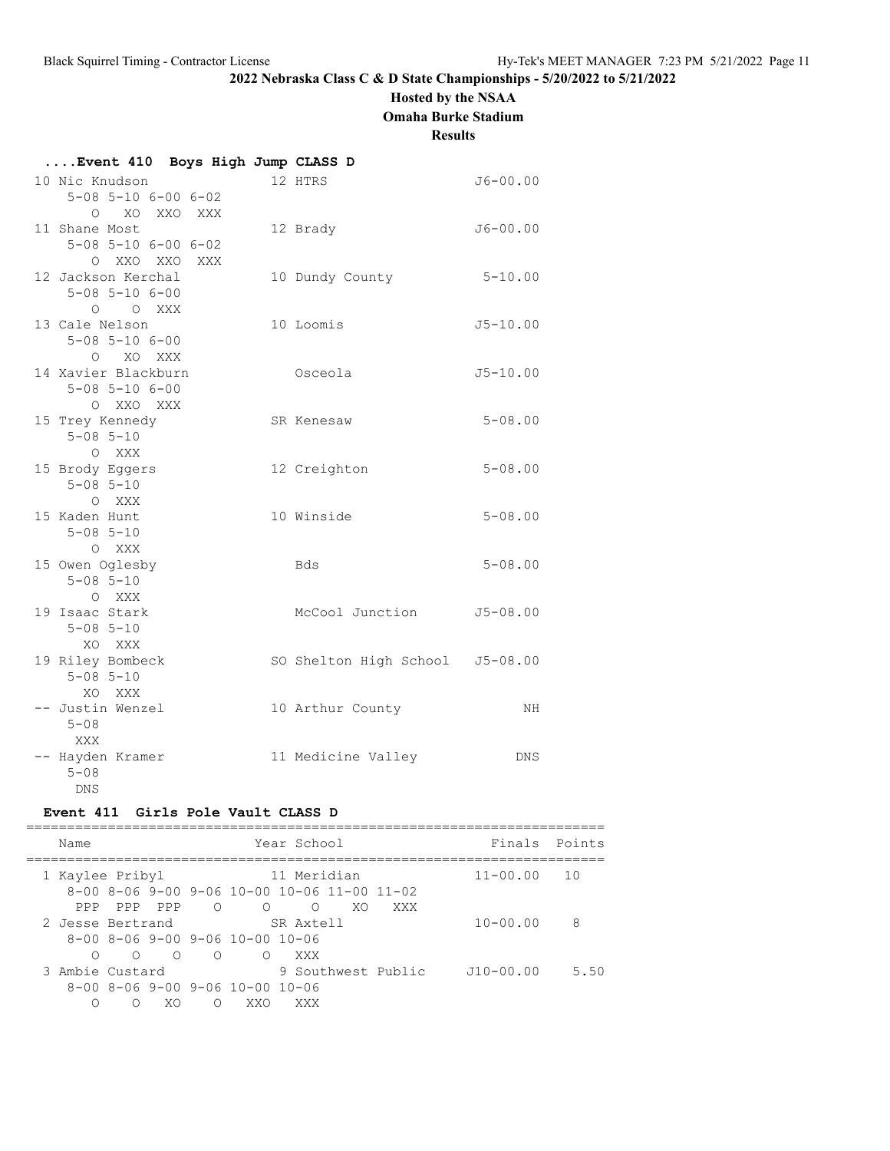# **Hosted by the NSAA**

**Omaha Burke Stadium**

### **Results**

| Event 410 Boys High Jump CLASS D                 |                                 |              |
|--------------------------------------------------|---------------------------------|--------------|
| 10 Nic Knudson                                   | 12 HTRS                         | $J6 - 00.00$ |
| $5 - 08$ $5 - 10$ $6 - 00$ $6 - 02$              |                                 |              |
| O XO XXO XXX                                     |                                 |              |
| 11 Shane Most                                    | 12 Brady                        | $J6 - 00.00$ |
| $5 - 08$ $5 - 10$ $6 - 00$ $6 - 02$              |                                 |              |
| O XXO XXO XXX                                    |                                 | $5 - 10.00$  |
| 12 Jackson Kerchal<br>$5 - 08$ $5 - 10$ $6 - 00$ | 10 Dundy County                 |              |
| O O XXX                                          |                                 |              |
| 13 Cale Nelson                                   | 10 Loomis                       | $J5 - 10.00$ |
| $5 - 08$ $5 - 10$ $6 - 00$                       |                                 |              |
| O XO XXX                                         |                                 |              |
| 14 Xavier Blackburn                              | Osceola                         | $J5 - 10.00$ |
| $5 - 08$ $5 - 10$ $6 - 00$                       |                                 |              |
| O XXO XXX                                        |                                 |              |
| 15 Trey Kennedy                                  | SR Kenesaw                      | $5 - 08.00$  |
| $5 - 08$ $5 - 10$                                |                                 |              |
| O XXX<br>15 Brody Eggers                         | 12 Creighton                    | $5 - 08.00$  |
| $5 - 08$ $5 - 10$                                |                                 |              |
| O XXX                                            |                                 |              |
| 15 Kaden Hunt                                    | 10 Winside                      | $5 - 08.00$  |
| $5 - 08$ $5 - 10$                                |                                 |              |
| O XXX                                            |                                 |              |
| 15 Owen Oglesby                                  | Bds                             | $5 - 08.00$  |
| $5 - 08$ $5 - 10$                                |                                 |              |
| O XXX<br>19 Isaac Stark                          | McCool Junction                 |              |
| $5 - 08$ $5 - 10$                                |                                 | $J5 - 08.00$ |
| XO XXX                                           |                                 |              |
| 19 Riley Bombeck                                 | SO Shelton High School J5-08.00 |              |
| $5 - 08$ $5 - 10$                                |                                 |              |
| XO XXX                                           |                                 |              |
| -- Justin Wenzel                                 | 10 Arthur County                | NH           |
| $5 - 08$                                         |                                 |              |
| XXX                                              |                                 |              |
| -- Hayden Kramer<br>$5 - 08$                     | 11 Medicine Valley              | <b>DNS</b>   |
| DNS                                              |                                 |              |

### **Event 411 Girls Pole Vault CLASS D**

| Name             |         |            |            |                                                             | Year School |    |                    | Finals Points |      |
|------------------|---------|------------|------------|-------------------------------------------------------------|-------------|----|--------------------|---------------|------|
| 1 Kaylee Pribyl  |         |            |            |                                                             | 11 Meridian |    |                    | $11 - 00.00$  | - 10 |
|                  |         |            |            | $8-00$ $8-06$ $9-00$ $9-06$ $10-00$ $10-06$ $11-00$ $11-02$ |             |    |                    |               |      |
| PPP.             | PPP     | PPP        | $\bigcirc$ | $\bigcirc$                                                  | ∩           | XO | XXX                |               |      |
| 2 Jesse Bertrand |         |            |            |                                                             | SR Axtell   |    |                    | $10 - 00.00$  | 8    |
|                  |         |            |            | 8-00 8-06 9-00 9-06 10-00 10-06                             |             |    |                    |               |      |
| ∩                | $\circ$ | $\bigcirc$ | $\circ$    | ∩                                                           | XXX         |    |                    |               |      |
| 3 Ambie Custard  |         |            |            |                                                             |             |    | 9 Southwest Public | $J10-00.00$   | 5.50 |
|                  |         |            |            | 8-00 8-06 9-00 9-06 10-00 10-06                             |             |    |                    |               |      |
| ∩                | ∩       | XO         | ∩          | XXO                                                         | XXX         |    |                    |               |      |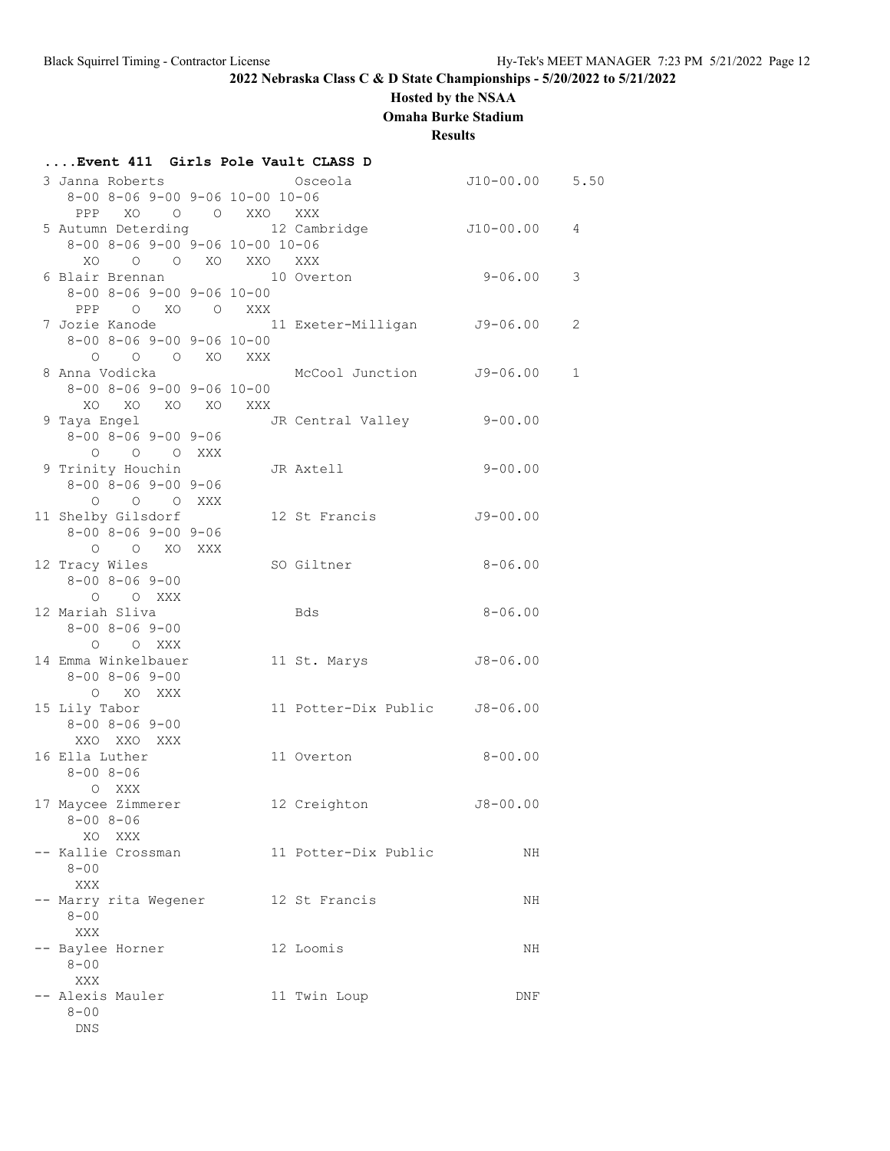# **Hosted by the NSAA**

**Omaha Burke Stadium**

**Results**

| Event 411 Girls Pole Vault CLASS D                 |                                                             |                  |              |
|----------------------------------------------------|-------------------------------------------------------------|------------------|--------------|
| 3 Janna Roberts<br>8-00 8-06 9-00 9-06 10-00 10-06 | Osceola                                                     | $J10-00.00$ 5.50 |              |
| PPP XO O O XXO XXX                                 |                                                             |                  |              |
| 5 Autumn Deterding 12 Cambridge                    |                                                             | $J10-00.00$      | 4            |
| $8-00$ $8-06$ $9-00$ $9-06$ $10-00$ $10-06$        |                                                             |                  |              |
| XO O O XO XXO XXX                                  |                                                             |                  |              |
| 6 Blair Brennan                                    | 10 Overton                                                  | $9 - 06.00$      | 3            |
| $8 - 00$ $8 - 06$ $9 - 00$ $9 - 06$ $10 - 00$      |                                                             |                  |              |
| PPP O XO O XXX                                     |                                                             |                  |              |
|                                                    | 7 Jozie Kanode                           11 Exeter-Milligan | $J9 - 06.00$     | 2            |
| $8 - 00$ $8 - 06$ $9 - 00$ $9 - 06$ $10 - 00$      |                                                             |                  |              |
| O O O XO XXX                                       |                                                             |                  |              |
| 8 Anna Vodicka                                     | McCool Junction J9-06.00                                    |                  | $\mathbf{1}$ |
| $8 - 00$ $8 - 06$ $9 - 00$ $9 - 06$ $10 - 00$      |                                                             |                  |              |
| XO XO XO XO XXX                                    |                                                             |                  |              |
| 9 Taya Engel                                       | JR Central Valley 9-00.00                                   |                  |              |
| $8 - 00$ $8 - 06$ $9 - 00$ $9 - 06$                |                                                             |                  |              |
| O O O XXX                                          |                                                             |                  |              |
| 9 Trinity Houchin                                  | JR Axtell                                                   | $9 - 00.00$      |              |
| $8 - 00$ $8 - 06$ $9 - 00$ $9 - 06$                |                                                             |                  |              |
| O O O XXX                                          |                                                             |                  |              |
| 11 Shelby Gilsdorf                                 | 12 St Francis                                               | $J9 - 00.00$     |              |
| $8 - 00$ $8 - 06$ $9 - 00$ $9 - 06$                |                                                             |                  |              |
| O O XO XXX                                         |                                                             |                  |              |
| 12 Tracy Wiles                                     | SO Giltner                                                  | $8 - 06.00$      |              |
| $8 - 00$ $8 - 06$ $9 - 00$                         |                                                             |                  |              |
| O O XXX                                            |                                                             |                  |              |
| 12 Mariah Sliva                                    | Bds                                                         | $8 - 06.00$      |              |
| $8 - 00$ $8 - 06$ $9 - 00$                         |                                                             |                  |              |
| O O XXX                                            |                                                             |                  |              |
| 14 Emma Winkelbauer                                | 11 St. Marys                                                | $J8 - 06.00$     |              |
| $8 - 00$ $8 - 06$ $9 - 00$                         |                                                             |                  |              |
| O XO XXX                                           |                                                             |                  |              |
| 15 Lily Tabor                                      | 11 Potter-Dix Public J8-06.00                               |                  |              |
| $8 - 00$ $8 - 06$ $9 - 00$<br>XXO XXO XXX          |                                                             |                  |              |
| 16 Ella Luther                                     | 11 Overton                                                  | $8 - 00.00$      |              |
| $8 - 008 - 06$                                     |                                                             |                  |              |
| O XXX                                              |                                                             |                  |              |
| 17 Maycee Zimmerer                                 | 12 Creighton                                                | $J8 - 00.00$     |              |
| $8 - 00$ $8 - 06$                                  |                                                             |                  |              |
| XO XXX                                             |                                                             |                  |              |
| -- Kallie Crossman                                 | 11 Potter-Dix Public                                        | ΝH               |              |
| $8 - 00$                                           |                                                             |                  |              |
| XXX                                                |                                                             |                  |              |
| -- Marry rita Wegener                              | 12 St Francis                                               | ΝH               |              |
| $8 - 00$                                           |                                                             |                  |              |
| XXX                                                |                                                             |                  |              |
| -- Baylee Horner                                   | 12 Loomis                                                   | ΝH               |              |
| $8 - 00$                                           |                                                             |                  |              |
| XXX                                                |                                                             |                  |              |
| -- Alexis Mauler                                   | 11 Twin Loup                                                | DNF              |              |
| $8 - 00$                                           |                                                             |                  |              |
| <b>DNS</b>                                         |                                                             |                  |              |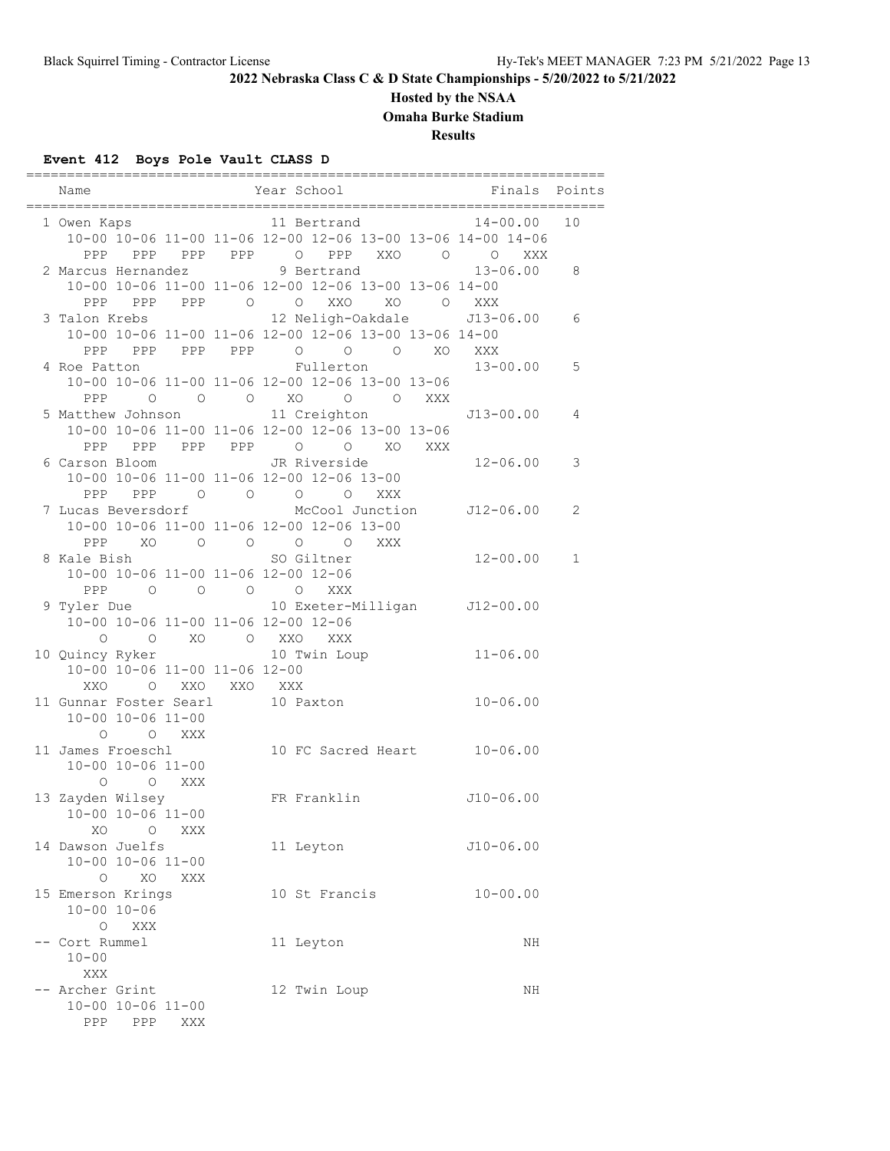# **Hosted by the NSAA**

**Omaha Burke Stadium**

**Results**

# **Event 412 Boys Pole Vault CLASS D**

| Name                   |                               |                                                                                              |             | Year School                                           |            |          | Finals                                                                         | Points |
|------------------------|-------------------------------|----------------------------------------------------------------------------------------------|-------------|-------------------------------------------------------|------------|----------|--------------------------------------------------------------------------------|--------|
|                        |                               |                                                                                              |             |                                                       |            |          |                                                                                |        |
| 1 Owen Kaps            |                               |                                                                                              |             | 11 Bertrand                                           |            |          | 14-00.00                                                                       | 10     |
|                        |                               |                                                                                              |             |                                                       |            |          | 10-00 10-06 11-00 11-06 12-00 12-06 13-00 13-06 14-00 14-06                    |        |
|                        |                               |                                                                                              |             |                                                       |            |          | PPP PPP PPP PPP O PPP XXO O O<br>XXX                                           |        |
| 2 Marcus Hernandez     |                               |                                                                                              |             | 9 Bertrand                                            |            |          | $13 - 06.00$                                                                   | 8      |
|                        |                               |                                                                                              |             | 10-00 10-06 11-00 11-06 12-00 12-06 13-00 13-06 14-00 |            |          |                                                                                |        |
| PPP                    |                               |                                                                                              |             | PPP PPP 0 0 XXO                                       |            | XO O XXX |                                                                                |        |
| 3 Talon Krebs          |                               |                                                                                              |             |                                                       |            |          | 12 Neligh-Oakdale J13-06.00                                                    | 6      |
|                        |                               |                                                                                              |             | 10-00 10-06 11-00 11-06 12-00 12-06 13-00 13-06 14-00 |            |          |                                                                                |        |
|                        |                               |                                                                                              |             | PPP PPP PPP PPP 0 0 0 XO XXX                          |            |          |                                                                                |        |
| 4 Roe Patton           |                               |                                                                                              |             | Fullerton                                             |            |          | $13 - 00.00$                                                                   | 5      |
|                        |                               |                                                                                              |             | 10-00 10-06 11-00 11-06 12-00 12-06 13-00 13-06       |            |          |                                                                                |        |
| PPP                    | $\overline{a}$                |                                                                                              |             | O O XO O O XXX                                        |            |          |                                                                                |        |
|                        |                               |                                                                                              |             |                                                       |            |          | 5 Matthew Johnson 11 Creighton 513-00.00                                       | 4      |
|                        |                               |                                                                                              |             | 10-00 10-06 11-00 11-06 12-00 12-06 13-00 13-06       |            |          |                                                                                |        |
|                        |                               |                                                                                              |             | PPP PPP PPP PPP 0 0 XO XXX                            |            |          |                                                                                |        |
| 6 Carson Bloom         |                               |                                                                                              |             | JR Riverside                                          |            |          | 12-06.00                                                                       | 3      |
|                        |                               |                                                                                              |             | 10-00 10-06 11-00 11-06 12-00 12-06 13-00             |            |          |                                                                                |        |
| PPP                    | PPP                           |                                                                                              |             | $\begin{matrix} 0&0&0&0 \end{matrix}$                 | XXX        |          |                                                                                |        |
| 7 Lucas Beversdorf     |                               |                                                                                              |             |                                                       |            |          | McCool Junction J12-06.00                                                      | 2      |
|                        |                               |                                                                                              |             | 10-00 10-06 11-00 11-06 12-00 12-06 13-00             |            |          |                                                                                |        |
|                        |                               |                                                                                              |             | PPP XO O O O O                                        | <b>XXX</b> |          |                                                                                |        |
| 8 Kale Bish            |                               |                                                                                              |             | SO Giltner                                            |            |          | $12 - 00.00$                                                                   | 1      |
|                        |                               |                                                                                              |             | 10-00 10-06 11-00 11-06 12-00 12-06                   |            |          |                                                                                |        |
| PPP                    |                               | $\begin{array}{ccccccccccccccccc} \circ & \circ & \circ & \circ & \circ & \circ \end{array}$ |             | XXX                                                   |            |          |                                                                                |        |
|                        |                               |                                                                                              |             |                                                       |            |          | 9 Tyler Due                                 10 Exeter-Milligan       J12-00.00 |        |
|                        |                               |                                                                                              |             | 10-00 10-06 11-00 11-06 12-00 12-06                   |            |          |                                                                                |        |
|                        |                               |                                                                                              |             | O O XO O XXO XXX                                      |            |          |                                                                                |        |
| 10 Quincy Ryker        |                               |                                                                                              |             | 10 Twin Loup                                          |            |          | $11 - 06.00$                                                                   |        |
|                        | 10-00 10-06 11-00 11-06 12-00 |                                                                                              |             |                                                       |            |          |                                                                                |        |
| XXO                    | $\circ$                       |                                                                                              | XXO XXO XXX |                                                       |            |          |                                                                                |        |
| 11 Gunnar Foster Searl |                               |                                                                                              |             | 10 Paxton                                             |            |          | $10 - 06.00$                                                                   |        |
|                        | $10 - 00$ $10 - 06$ $11 - 00$ |                                                                                              |             |                                                       |            |          |                                                                                |        |
| $\circ$                |                               | O XXX                                                                                        |             |                                                       |            |          |                                                                                |        |
| 11 James Froeschl      |                               |                                                                                              |             |                                                       |            |          | 10 FC Sacred Heart 10-06.00                                                    |        |
|                        | $10 - 00$ $10 - 06$ $11 - 00$ |                                                                                              |             |                                                       |            |          |                                                                                |        |
| O                      |                               | O XXX                                                                                        |             |                                                       |            |          |                                                                                |        |
| 13 Zayden Wilsey       |                               |                                                                                              |             | FR Franklin                                           |            |          | $J10-06.00$                                                                    |        |
|                        | 10-00 10-06 11-00             |                                                                                              |             |                                                       |            |          |                                                                                |        |
| XO                     | $\circ$                       | XXX                                                                                          |             |                                                       |            |          |                                                                                |        |
| 14 Dawson Juelfs       |                               |                                                                                              |             | 11 Leyton                                             |            |          | J10-06.00                                                                      |        |
|                        | 10-00 10-06 11-00             |                                                                                              |             |                                                       |            |          |                                                                                |        |
| O                      | XO                            | XXX                                                                                          |             |                                                       |            |          |                                                                                |        |
| 15 Emerson Krings      |                               |                                                                                              |             | 10 St Francis                                         |            |          | $10 - 00.00$                                                                   |        |
|                        | $10 - 00$ $10 - 06$           |                                                                                              |             |                                                       |            |          |                                                                                |        |
|                        | O XXX                         |                                                                                              |             |                                                       |            |          |                                                                                |        |
| -- Cort Rummel         |                               |                                                                                              |             | 11 Leyton                                             |            |          | ΝH                                                                             |        |
| $10 - 00$              |                               |                                                                                              |             |                                                       |            |          |                                                                                |        |
| XXX                    |                               |                                                                                              |             |                                                       |            |          |                                                                                |        |
| -- Archer Grint        |                               |                                                                                              |             | 12 Twin Loup                                          |            |          | ΝH                                                                             |        |
|                        | $10 - 00$ $10 - 06$ $11 - 00$ |                                                                                              |             |                                                       |            |          |                                                                                |        |
| PPP                    | PPP                           | XXX                                                                                          |             |                                                       |            |          |                                                                                |        |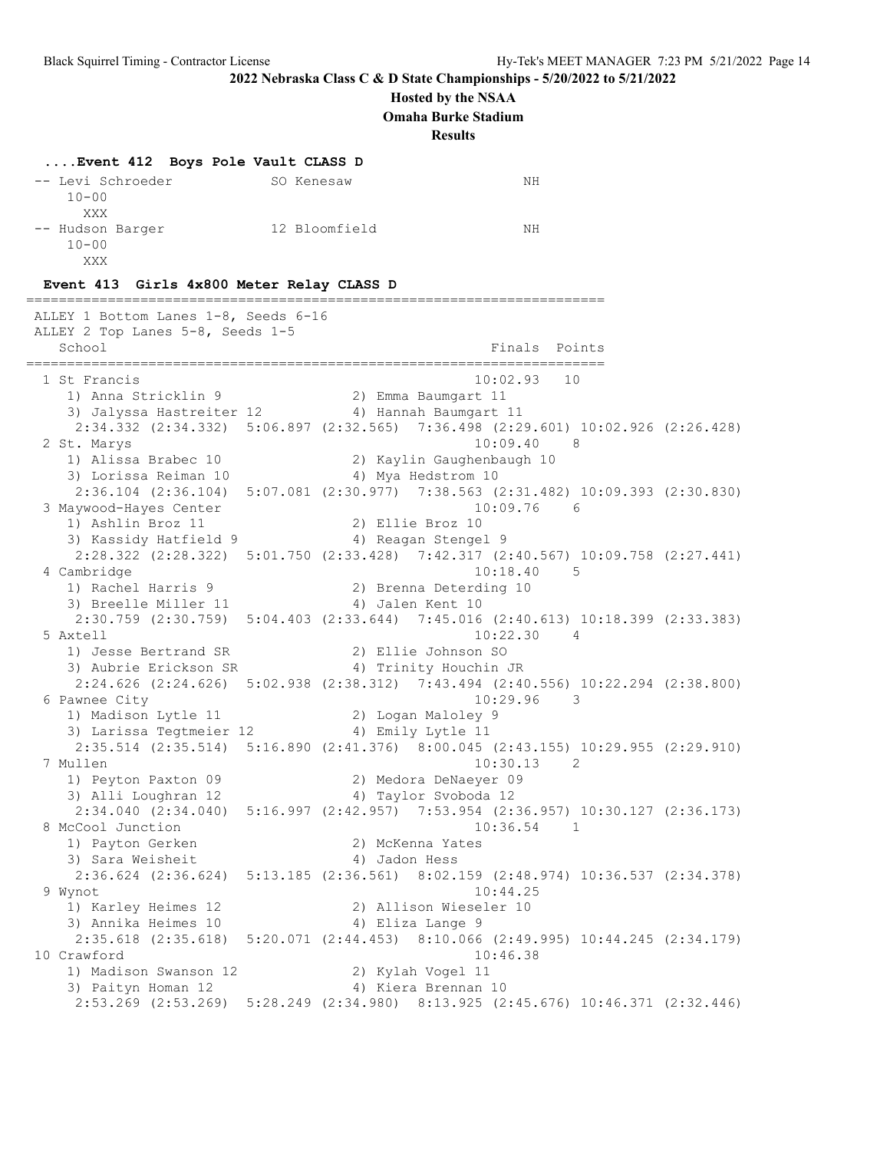### **Hosted by the NSAA**

**Omaha Burke Stadium**

**Results**

### **....Event 412 Boys Pole Vault CLASS D**

| -- Levi Schroeder | SO Kenesaw    | NΗ |
|-------------------|---------------|----|
| $10 - 00$         |               |    |
| XXX               |               |    |
| -- Hudson Barger  | 12 Bloomfield | NΗ |
| $10 - 00$         |               |    |
| xxx               |               |    |

#### **Event 413 Girls 4x800 Meter Relay CLASS D**

======================================================================= ALLEY 1 Bottom Lanes 1-8, Seeds 6-16 ALLEY 2 Top Lanes 5-8, Seeds 1-5 School **Finals** Points ======================================================================= 1 St Francis 10:02.93 10 1) Anna Stricklin 9 2) Emma Baumgart 11 3) Jalyssa Hastreiter 12 4) Hannah Baumgart 11 2:34.332 (2:34.332) 5:06.897 (2:32.565) 7:36.498 (2:29.601) 10:02.926 (2:26.428) 2 St. Marys 10:09.40 8 1) Alissa Brabec 10 2) Kaylin Gaughenbaugh 10 3) Lorissa Reiman 10  $\hskip1cm$  4) Mya Hedstrom 10 2:36.104 (2:36.104) 5:07.081 (2:30.977) 7:38.563 (2:31.482) 10:09.393 (2:30.830) 3 Maywood-Hayes Center<br>1) Ashlin Broz 11 1) Ashlin Broz 11 2) Ellie Broz 10 3) Kassidy Hatfield 9 1944 (4) Reagan Stengel 9 2:28.322 (2:28.322) 5:01.750 (2:33.428) 7:42.317 (2:40.567) 10:09.758 (2:27.441) 4 Cambridge 10:18.40 5 1) Rachel Harris 9 2) Brenna Deterding 10 3) Breelle Miller 11 (4) Jalen Kent 10 2:30.759 (2:30.759) 5:04.403 (2:33.644) 7:45.016 (2:40.613) 10:18.399 (2:33.383) 5 Axtell 10:22.30 4 1) Jesse Bertrand SR 2) Ellie Johnson SO 3) Aubrie Erickson SR 4) Trinity Houchin JR 2:24.626 (2:24.626) 5:02.938 (2:38.312) 7:43.494 (2:40.556) 10:22.294 (2:38.800) 6 Pawnee City 10:29.96 3<br>1) Madison Lytle 11 2) Logan Maloley 9 1) Madison Lytle 11 2) Logan Maloley 9 3) Larissa Tegtmeier 12  $\hskip1cm$  4) Emily Lytle 11 2:35.514 (2:35.514) 5:16.890 (2:41.376) 8:00.045 (2:43.155) 10:29.955 (2:29.910) 7 Mullen 10:30.13 2 1) Peyton Paxton 09 2) Medora DeNaeyer 09 3) Alli Loughran 12 4) Taylor Svoboda 12 2:34.040 (2:34.040) 5:16.997 (2:42.957) 7:53.954 (2:36.957) 10:30.127 (2:36.173) 8 McCool Junction 10:36.54 1 1) Payton Gerken 2) McKenna Yates 3) Sara Weisheit (4) Jadon Hess 2:36.624 (2:36.624) 5:13.185 (2:36.561) 8:02.159 (2:48.974) 10:36.537 (2:34.378) 9 Wynot 10:44.25 1) Karley Heimes 12 2) Allison Wieseler 10 3) Annika Heimes 10  $\hskip1cm$  4) Eliza Lange 9 2:35.618 (2:35.618) 5:20.071 (2:44.453) 8:10.066 (2:49.995) 10:44.245 (2:34.179) 10 Crawford 10:46.38 1) Madison Swanson 12 2) Kylah Vogel 11 3) Paityn Homan 12 4) Kiera Brennan 10 2:53.269 (2:53.269) 5:28.249 (2:34.980) 8:13.925 (2:45.676) 10:46.371 (2:32.446)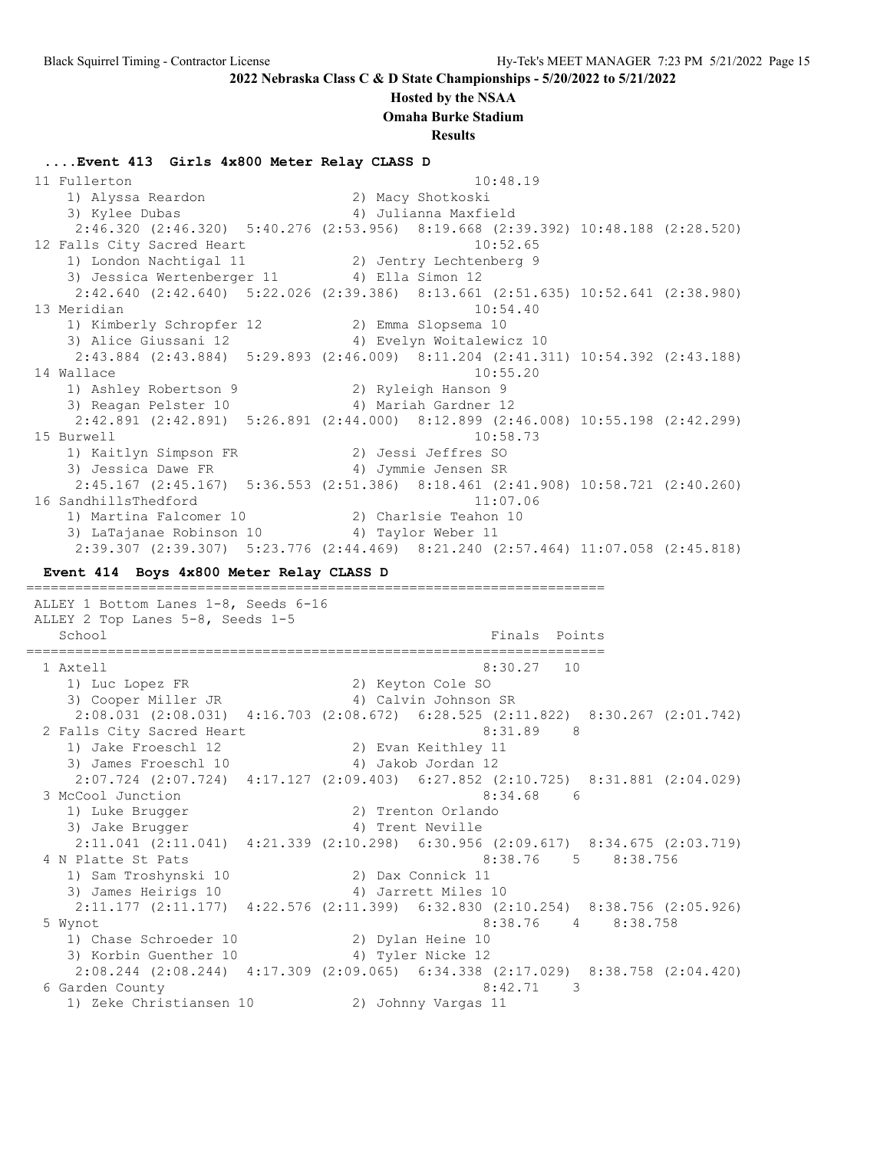### **Hosted by the NSAA**

**Omaha Burke Stadium**

**Results**

**....Event 413 Girls 4x800 Meter Relay CLASS D** 11 Fullerton 10:48.19 1) Alyssa Reardon 2) Macy Shotkoski 1) Alyssa Reardon (2) Macy Shotkoski<br>3) Kylee Dubas (4) Julianna Maxfield 2:46.320 (2:46.320) 5:40.276 (2:53.956) 8:19.668 (2:39.392) 10:48.188 (2:28.520) 12 Falls City Sacred Heart 10:52.65 1) London Nachtigal 11 2) Jentry Lechtenberg 9 3) Jessica Wertenberger 11 <a>> 4) Ella Simon 12 2:42.640 (2:42.640) 5:22.026 (2:39.386) 8:13.661 (2:51.635) 10:52.641 (2:38.980) 13 Meridian 10:54.40 1) Kimberly Schropfer 12 2) Emma Slopsema 10 3) Alice Giussani 12 4) Evelyn Woitalewicz 10 2:43.884 (2:43.884) 5:29.893 (2:46.009) 8:11.204 (2:41.311) 10:54.392 (2:43.188) 14 Wallace 10:55.20 1) Ashley Robertson 9 2) Ryleigh Hanson 9 3) Reagan Pelster 10  $\hskip1cm$  4) Mariah Gardner 12 2:42.891 (2:42.891) 5:26.891 (2:44.000) 8:12.899 (2:46.008) 10:55.198 (2:42.299) 15 Burwell 10:58.73 1) Kaitlyn Simpson FR 2) Jessi Jeffres SO 3) Jessica Dawe FR 4) Jymmie Jensen SR 2:45.167 (2:45.167) 5:36.553 (2:51.386) 8:18.461 (2:41.908) 10:58.721 (2:40.260) 16 SandhillsThedford 11:07.06 1) Martina Falcomer 10 2) Charlsie Teahon 10 3) LaTajanae Robinson 10  $\hskip1cm 4)$  Taylor Weber 11 2:39.307 (2:39.307) 5:23.776 (2:44.469) 8:21.240 (2:57.464) 11:07.058 (2:45.818) **Event 414 Boys 4x800 Meter Relay CLASS D** ======================================================================= ALLEY 1 Bottom Lanes 1-8, Seeds 6-16 ALLEY 2 Top Lanes 5-8, Seeds 1-5 School **Finals** Points ======================================================================= 1 Axtell 8:30.27 10 1) Luc Lopez FR 2) Keyton Cole SO 3) Cooper Miller JR 1997 (Alvin Johnson SR 2:08.031 (2:08.031) 4:16.703 (2:08.672) 6:28.525 (2:11.822) 8:30.267 (2:01.742) 2 Falls City Sacred Heart 8:31.89 8 1) Jake Froeschl 12 2) Evan Keithley 11 3) James Froeschl 10 (4) Jakob Jordan 12 2:07.724 (2:07.724) 4:17.127 (2:09.403) 6:27.852 (2:10.725) 8:31.881 (2:04.029) 3 McCool Junction 8:34.68 6 1) Luke Brugger 2) Trenton Orlando 3) Jake Brugger (4) Trent Neville 2:11.041 (2:11.041) 4:21.339 (2:10.298) 6:30.956 (2:09.617) 8:34.675 (2:03.719) 4 N Platte St Pats 6:38.756 8:38.756 1) Sam Troshynski 10 2) Dax Connick 11 3) James Heirigs 10 (4) Jarrett Miles 10 2:11.177 (2:11.177) 4:22.576 (2:11.399) 6:32.830 (2:10.254) 8:38.756 (2:05.926) 5 Wynot 8:38.76 4 8:38.758 1) Chase Schroeder 10 2) Dylan Heine 10 3) Korbin Guenther 10 <a>
4) Tyler Nicke 12 2:08.244 (2:08.244) 4:17.309 (2:09.065) 6:34.338 (2:17.029) 8:38.758 (2:04.420) 6 Garden County 8:42.71 3 1) Zeke Christiansen 10 2) Johnny Vargas 11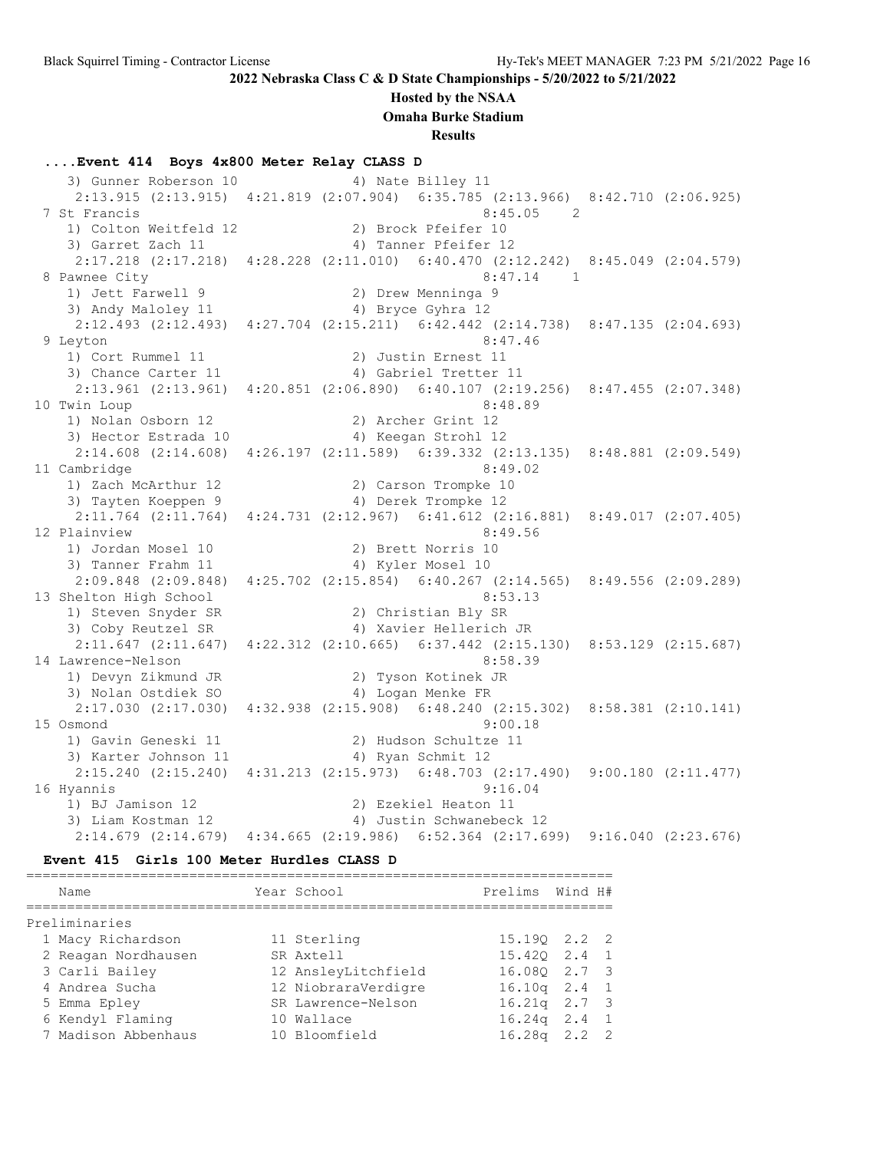### **Hosted by the NSAA**

**Omaha Burke Stadium**

**Results**

### **....Event 414 Boys 4x800 Meter Relay CLASS D**

3) Gunner Roberson 10 4) Nate Billey 11 2:13.915 (2:13.915) 4:21.819 (2:07.904) 6:35.785 (2:13.966) 8:42.710 (2:06.925) 7 St Francis 8:45.05 2 1) Colton Weitfeld 12 2) Brock Pfeifer 10 3) Garret Zach 11 4) Tanner Pfeifer 12 2:17.218 (2:17.218) 4:28.228 (2:11.010) 6:40.470 (2:12.242) 8:45.049 (2:04.579) 8 Pawnee City 8:47.14 1 1) Jett Farwell 9 2) Drew Menninga 9 3) Andy Maloley 11 4) Bryce Gyhra 12 2:12.493 (2:12.493) 4:27.704 (2:15.211) 6:42.442 (2:14.738) 8:47.135 (2:04.693) 9 Leyton 8:47.46 1) Cort Rummel 11 2) Justin Ernest 11 3) Chance Carter 11 4) Gabriel Tretter 11 2:13.961 (2:13.961) 4:20.851 (2:06.890) 6:40.107 (2:19.256) 8:47.455 (2:07.348) 10 Twin Loup 8:48.89 1) Nolan Osborn 12 2) Archer Grint 12 3) Hector Estrada 10 <a>> 4) Keegan Strohl 12 2:14.608 (2:14.608) 4:26.197 (2:11.589) 6:39.332 (2:13.135) 8:48.881 (2:09.549) 11 Cambridge 8:49.02 1) Zach McArthur 12 2) Carson Trompke 10 3) Tayten Koeppen 9 4) Derek Trompke 12 2:11.764 (2:11.764) 4:24.731 (2:12.967) 6:41.612 (2:16.881) 8:49.017 (2:07.405) 12 Plainview 8:49.56 1) Jordan Mosel 10 2) Brett Norris 10 3) Tanner Frahm 11  $\hskip1cm$  4) Kyler Mosel 10 2:09.848 (2:09.848) 4:25.702 (2:15.854) 6:40.267 (2:14.565) 8:49.556 (2:09.289) 13 Shelton High School 8:53.13 1) Steven Snyder SR 2) Christian Bly SR 3) Coby Reutzel SR 4) Xavier Hellerich JR 2:11.647 (2:11.647) 4:22.312 (2:10.665) 6:37.442 (2:15.130) 8:53.129 (2:15.687) 14 Lawrence-Nelson 8:58.39 1) Devyn Zikmund JR 2) Tyson Kotinek JR 3) Nolan Ostdiek SO 4) Logan Menke FR 2:17.030 (2:17.030) 4:32.938 (2:15.908) 6:48.240 (2:15.302) 8:58.381 (2:10.141) 15 Osmond 9:00.18 1) Gavin Geneski 11 2) Hudson Schultze 11 3) Karter Johnson 11 4) Ryan Schmit 12 2:15.240 (2:15.240) 4:31.213 (2:15.973) 6:48.703 (2:17.490) 9:00.180 (2:11.477) 16 Hyannis 9:16.04 1) BJ Jamison 12 2) Ezekiel Heaton 11 3) Liam Kostman 12 4) Justin Schwanebeck 12 2:14.679 (2:14.679) 4:34.665 (2:19.986) 6:52.364 (2:17.699) 9:16.040 (2:23.676)

#### **Event 415 Girls 100 Meter Hurdles CLASS D**

| Name                | Year School         | Prelims          | Wind H# |     |
|---------------------|---------------------|------------------|---------|-----|
|                     |                     |                  |         |     |
| Preliminaries       |                     |                  |         |     |
| 1 Macy Richardson   | 11 Sterling         | 15.190 2.2 2     |         |     |
| 2 Reagan Nordhausen | SR Axtell           | 15.420 2.4 1     |         |     |
| 3 Carli Bailey      | 12 AnsleyLitchfield | 16.080 2.7 3     |         |     |
| 4 Andrea Sucha      | 12 NiobraraVerdigre | $16.10q$ $2.4$ 1 |         |     |
| 5 Emma Epley        | SR Lawrence-Nelson  | $16.21q$ $2.7$ 3 |         |     |
| 6 Kendyl Flaming    | 10 Wallace          | $16.24q$ 2.4 1   |         |     |
| 7 Madison Abbenhaus | 10 Bloomfield       | 16.28a           | 2.2     | - 2 |
|                     |                     |                  |         |     |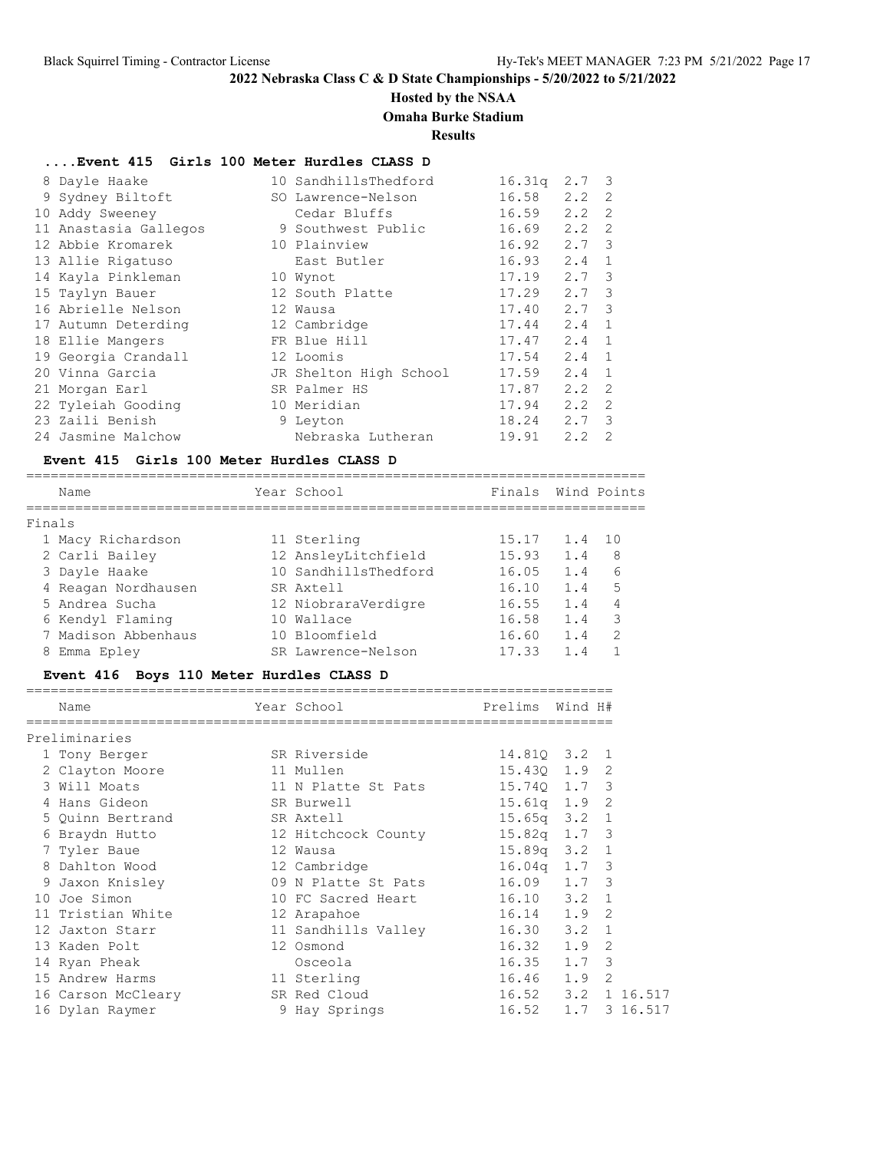# **Hosted by the NSAA**

## **Omaha Burke Stadium**

**Results**

### **....Event 415 Girls 100 Meter Hurdles CLASS D**

| 8 Dayle Haake         | 10 SandhillsThedford   | 16.31q | 2.7           | $\overline{\mathbf{3}}$ |
|-----------------------|------------------------|--------|---------------|-------------------------|
| 9 Sydney Biltoft      | SO Lawrence-Nelson     | 16.58  | 2.2           | -2                      |
| 10 Addy Sweeney       | Cedar Bluffs           | 16.59  | 2.2           | $\mathcal{L}$           |
| 11 Anastasia Gallegos | 9 Southwest Public     | 16.69  | 2.2           | $\mathcal{L}$           |
| 12 Abbie Kromarek     | 10 Plainview           | 16.92  | 2.7           | -3                      |
| 13 Allie Rigatuso     | East Butler            | 16.93  | 2.4           | $\mathbf{1}$            |
| 14 Kayla Pinkleman    | 10 Wynot               | 17.19  | $2.7 \quad 3$ |                         |
| 15 Taylyn Bauer       | 12 South Platte        | 17.29  | $2.7 \quad 3$ |                         |
| 16 Abrielle Nelson    | 12 Wausa               | 17.40  | $2.7 \quad 3$ |                         |
| 17 Autumn Deterding   | 12 Cambridge           | 17.44  | 2.4           | $\mathbf{1}$            |
| 18 Ellie Mangers      | FR Blue Hill           | 17.47  | 2.4           | $\overline{1}$          |
| 19 Georgia Crandall   | 12 Loomis              | 17.54  | 2.4           | $\overline{1}$          |
| 20 Vinna Garcia       | JR Shelton High School | 17.59  | 2.4           | $\overline{1}$          |
| 21 Morgan Earl        | SR Palmer HS           | 17.87  | 2.2           | - 2                     |
| 22 Tyleiah Gooding    | 10 Meridian            | 17.94  | 2.2           | $\mathcal{L}$           |
| 23 Zaili Benish       | 9 Leyton               | 18.24  | 2.7           | $\mathcal{B}$           |
| 24 Jasmine Malchow    | Nebraska Lutheran      | 19.91  | 2.2           | $\mathcal{L}$           |
|                       |                        |        |               |                         |

### **Event 415 Girls 100 Meter Hurdles CLASS D**

============================================================================ Name **The Year School** Principle Finals Wind Points ============================================================================ Finals 1 Macy Richardson 11 Sterling 15.17 1.4 10 2 Carli Bailey 12 AnsleyLitchfield 15.93 1.4 8 3 Dayle Haake 10 SandhillsThedford 16.05 1.4 6 4 Reagan Nordhausen SR Axtell 16.10 1.4 5 5 Andrea Sucha 12 NiobraraVerdigre 16.55 1.4 4 6 Kendyl Flaming 10 Wallace 16.58 1.4 3 7 Madison Abbenhaus 10 Bloomfield 16.60 1.4 2 8 Emma Epley SR Lawrence-Nelson 17.33 1.4 1

### **Event 416 Boys 110 Meter Hurdles CLASS D**

| Name               | Year School         | Prelims          | Wind H# |          |
|--------------------|---------------------|------------------|---------|----------|
| Preliminaries      |                     |                  |         |          |
| 1 Tony Berger      | SR Riverside        | 14.810 3.2 1     |         |          |
| 2 Clayton Moore    | 11 Mullen           | 15.430 1.9 2     |         |          |
| 3 Will Moats       | 11 N Platte St Pats | 15.740 1.7 3     |         |          |
| 4 Hans Gideon      | SR Burwell          | $15.61q$ $1.9$   |         | 2        |
| 5 Ouinn Bertrand   | SR Axtell           | $15.65q$ $3.2$ 1 |         |          |
| 6 Braydn Hutto     | 12 Hitchcock County | $15.82q$ 1.7 3   |         |          |
| 7 Tyler Baue       | 12 Wausa            | $15.89q$ $3.2$ 1 |         |          |
| 8 Dahlton Wood     | 12 Cambridge        | $16.04q$ 1.7 3   |         |          |
| 9 Jaxon Knisley    | 09 N Platte St Pats | $16.09$ $1.7$ 3  |         |          |
| 10 Joe Simon       | 10 FC Sacred Heart  | $16.10$ $3.2$    |         | 1        |
| 11 Tristian White  | 12 Arapahoe         | $16.14$ $1.9$    |         | 2        |
| 12 Jaxton Starr    | 11 Sandhills Valley | $16.30$ $3.2$ 1  |         |          |
| 13 Kaden Polt      | 12 Osmond           | $16.32 \t1.9$    |         | 2        |
| 14 Ryan Pheak      | Osceola             | 16.35            | 1.7 3   |          |
| 15 Andrew Harms    | 11 Sterling         | $16.46$ $1.9$    |         | 2        |
| 16 Carson McCleary | SR Red Cloud        | $16.52$ $3.2$    |         | 1 16.517 |
| 16 Dylan Raymer    | 9 Hay Springs       | 16.52            | 1.7     | 3 16.517 |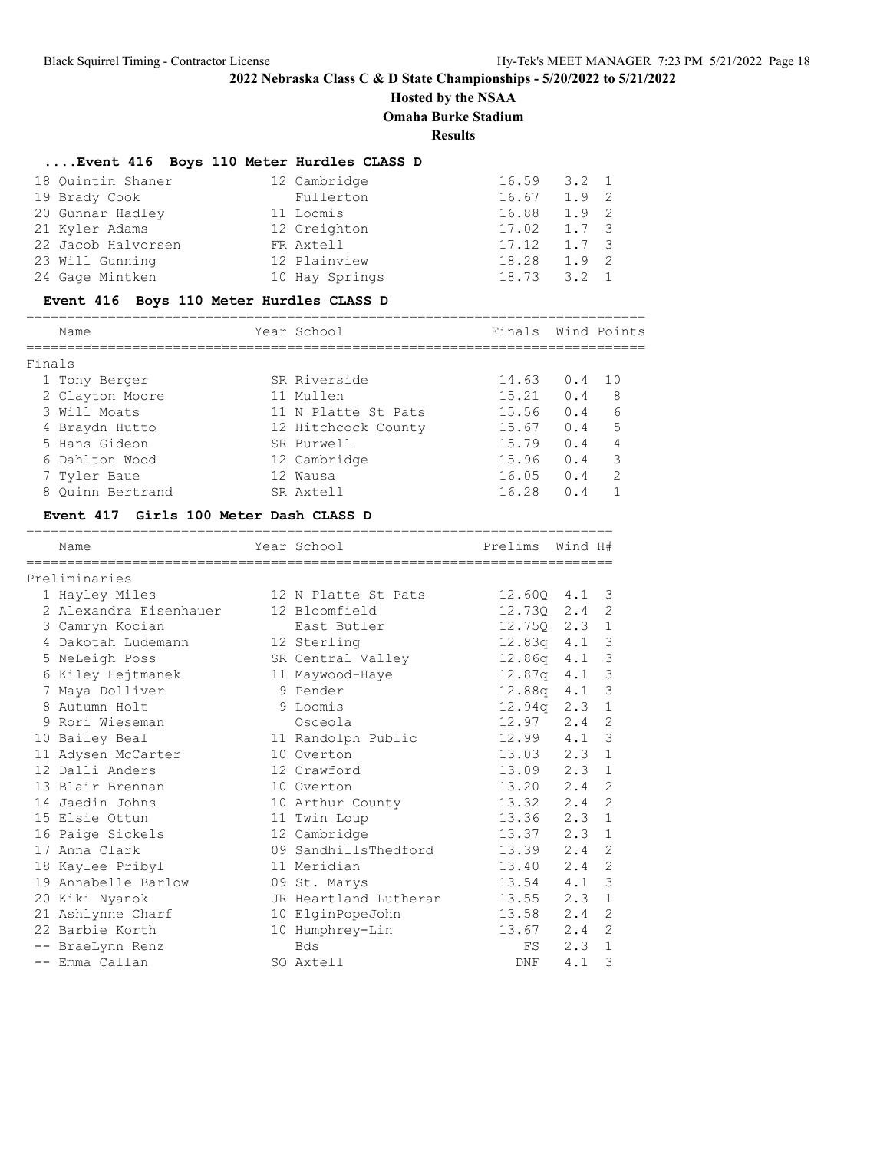# **Hosted by the NSAA**

**Omaha Burke Stadium**

**Results**

# **....Event 416 Boys 110 Meter Hurdles CLASS D**

| 18 Ouintin Shaner  | 12 Cambridge   | 16.59 | $3.2 \quad 1$ |  |
|--------------------|----------------|-------|---------------|--|
| 19 Brady Cook      | Fullerton      | 16.67 | $1.9 \quad 2$ |  |
| 20 Gunnar Hadley   | 11 Loomis      | 16.88 | $1.9 \quad 2$ |  |
| 21 Kyler Adams     | 12 Creighton   | 17.02 | 1.7 3         |  |
| 22 Jacob Halvorsen | FR Axtell      | 17.12 | $1.7 \quad 3$ |  |
| 23 Will Gunning    | 12 Plainview   | 18.28 | $1.9 \quad 2$ |  |
| 24 Gage Mintken    | 10 Hay Springs | 18.73 | $3.2 \quad 1$ |  |

## **Event 416 Boys 110 Meter Hurdles CLASS D**

|        | Name             | Year School         | Finals |                | Wind Points   |
|--------|------------------|---------------------|--------|----------------|---------------|
| Finals |                  |                     |        |                |               |
|        | 1 Tony Berger    | SR Riverside        | 14.63  | $0.4 \quad 10$ |               |
|        | 2 Clayton Moore  | 11 Mullen           | 15.21  | 0.4            | 8             |
|        | 3 Will Moats     | 11 N Platte St Pats | 15.56  | 0.4            | 6             |
|        | 4 Braydn Hutto   | 12 Hitchcock County | 15.67  | 0.4            | 5             |
|        | 5 Hans Gideon    | SR Burwell          | 15.79  | 0.4            | 4             |
|        | 6 Dahlton Wood   | 12 Cambridge        | 15.96  | 0.4            | 3             |
|        | 7 Tyler Baue     | 12 Wausa            | 16.05  | 0.4            | $\mathcal{L}$ |
|        | 8 Ouinn Bertrand | SR Axtell           | 16.28  | 0.4            |               |
|        |                  |                     |        |                |               |

### **Event 417 Girls 100 Meter Dash CLASS D**

| Name                   | -------------------------------<br>Year School | Prelims            | Wind H#       |                |
|------------------------|------------------------------------------------|--------------------|---------------|----------------|
| Preliminaries          |                                                |                    |               |                |
| 1 Hayley Miles         | 12 N Platte St Pats                            | 12.600 4.1         |               | -3             |
| 2 Alexandra Eisenhauer | 12 Bloomfield                                  | 12.730             | 2.4           | 2              |
| 3 Camryn Kocian        | East Butler                                    | 12.750             | 2.3           | 1              |
| 4 Dakotah Ludemann     | 12 Sterling                                    | 12.83a             | 4.1           | $\mathbf{3}$   |
| 5 NeLeigh Poss         | SR Central Valley                              | 12.86q             | 4.1           | $\mathbf{3}$   |
| 6 Kiley Hejtmanek      | 11 Maywood-Haye                                | 12.87a             | 4.1           | $\mathbf{3}$   |
| 7 Maya Dolliver        | 9 Pender                                       | 12.88a             | 4.1           | $\mathcal{S}$  |
| 8 Autumn Holt          | 9 Loomis                                       | 12.94 <sub>q</sub> | 2.3           | $\mathbf{1}$   |
| 9 Rori Wieseman        | Osceola                                        | 12.97              | 2.4           | 2              |
| 10 Bailey Beal         | 11 Randolph Public                             | 12.99              | 4.1           | $\mathbf{3}$   |
| 11 Adysen McCarter     | 10 Overton                                     | 13.03              | 2.3           | $\mathbf{1}$   |
| 12 Dalli Anders        | 12 Crawford                                    | 13.09              | 2.3           | 1              |
| 13 Blair Brennan       | 10 Overton                                     | 13.20              | 2.4           | 2              |
| 14 Jaedin Johns        | 10 Arthur County                               | 13.32              | 2.4           | $\overline{2}$ |
| 15 Elsie Ottun         | 11 Twin Loup                                   | 13.36              | 2.3           | 1              |
| 16 Paige Sickels       | 12 Cambridge                                   | 13.37              | $2.3 \quad 1$ |                |
| 17 Anna Clark          | 09 SandhillsThedford                           | 13.39              | 2.4           | $\overline{2}$ |
| 18 Kaylee Pribyl       | 11 Meridian                                    | 13.40              | 2.4           | 2              |
| 19 Annabelle Barlow    | 09 St. Marys                                   | 13.54              | 4.1           | $\mathcal{S}$  |
| 20 Kiki Nyanok         | JR Heartland Lutheran                          | 13.55              | 2.3           | $\mathbf{1}$   |
| 21 Ashlynne Charf      | 10 ElginPopeJohn                               | 13.58              | 2.4           | 2              |
| 22 Barbie Korth        | 10 Humphrey-Lin                                | 13.67              | 2.4           | 2              |
| -- BraeLynn Renz       | <b>Bds</b>                                     | FS                 | 2.3           | $\mathbf{1}$   |
| -- Emma Callan         | SO Axtell                                      | DNF                | 4.1           | 3              |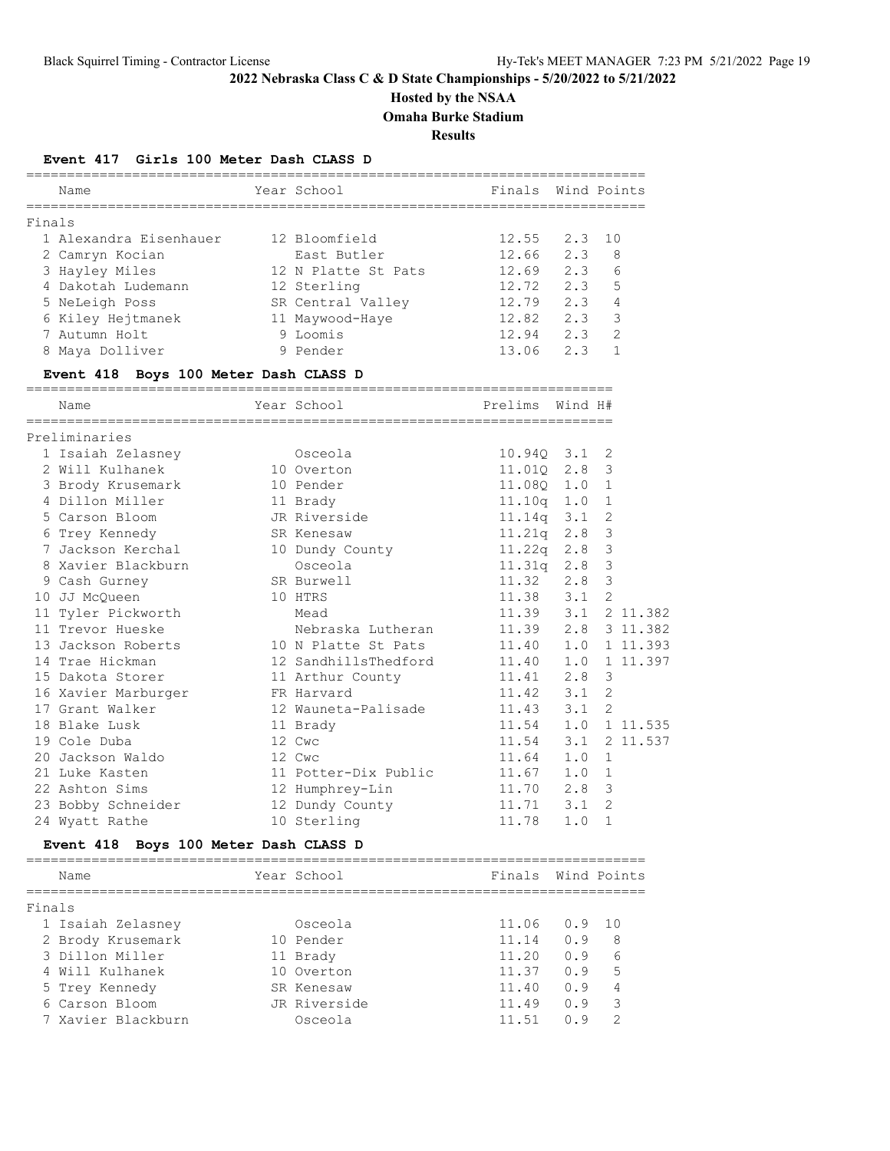# **Hosted by the NSAA**

**Omaha Burke Stadium**

**Results**

## **Event 417 Girls 100 Meter Dash CLASS D**

|        | Name                                  | Year School          | .===============================<br>Finals | Wind Points |                |          |
|--------|---------------------------------------|----------------------|--------------------------------------------|-------------|----------------|----------|
| Finals |                                       |                      |                                            |             |                |          |
|        | 1 Alexandra Eisenhauer                | 12 Bloomfield        | 12.55                                      | 2.3         | 10             |          |
|        | 2 Camryn Kocian                       | East Butler          | 12.66                                      | 2.3         | 8              |          |
|        | 3 Hayley Miles                        | 12 N Platte St Pats  | $12.69$ $2.3$                              |             | 6              |          |
|        | 4 Dakotah Ludemann                    | 12 Sterling          | 12.72                                      | 2.3         | 5              |          |
|        | 5 NeLeigh Poss                        | SR Central Valley    | $12.79$ 2.3                                |             | 4              |          |
|        | 6 Kiley Hejtmanek                     | 11 Maywood-Haye      | 12.82                                      | 2.3         | 3              |          |
|        | 7 Autumn Holt                         | 9 Loomis             | 12.94 2.3                                  |             | 2              |          |
|        | 8 Maya Dolliver                       | 9 Pender             | 13.06                                      | 2.3         | $\mathbf{1}$   |          |
|        | Event 418 Boys 100 Meter Dash CLASS D |                      |                                            |             |                |          |
|        | Name                                  | Year School          | Prelims                                    | Wind H#     |                |          |
|        | Preliminaries                         |                      |                                            |             |                |          |
|        | 1 Isaiah Zelasney                     | Osceola              | 10.940 3.1                                 |             | 2              |          |
|        | 2 Will Kulhanek                       | 10 Overton           | 11.010 2.8                                 |             | 3              |          |
|        | 3 Brody Krusemark                     | 10 Pender            | $11.08Q$ $1.0$                             |             | $\mathbf 1$    |          |
|        | 4 Dillon Miller                       | 11 Brady             | 11.10q 1.0                                 |             | $\mathbf 1$    |          |
|        | 5 Carson Bloom                        | JR Riverside         | $11.14q$ $3.1$                             |             | $\overline{2}$ |          |
|        | 6 Trey Kennedy                        | SR Kenesaw           | 11.21q 2.8                                 |             | 3              |          |
|        | 7 Jackson Kerchal                     | 10 Dundy County      | $11.22q$ 2.8                               |             | 3              |          |
|        | 8 Xavier Blackburn                    | Osceola              | 11.31q                                     | 2.8         | 3              |          |
|        | 9 Cash Gurney                         | SR Burwell           | 11.32                                      | 2.8         | 3              |          |
|        | 10 JJ McQueen                         | 10 HTRS              | 11.38                                      | 3.1         | $\overline{2}$ |          |
|        | 11 Tyler Pickworth                    | Mead                 | 11.39                                      | 3.1         |                | 2 11.382 |
|        | 11 Trevor Hueske                      | Nebraska Lutheran    | 11.39                                      | 2.8         |                | 3 11.382 |
|        | 13 Jackson Roberts                    | 10 N Platte St Pats  | 11.40                                      | 1.0         |                | 1 11.393 |
|        | 14 Trae Hickman                       | 12 SandhillsThedford | 11.40                                      | 1.0         |                | 1 11.397 |
|        | 15 Dakota Storer                      | 11 Arthur County     | 11.41                                      | 2.8         | 3              |          |
|        | 16 Xavier Marburger                   | FR Harvard           | 11.42                                      | 3.1         | 2              |          |
|        | 17 Grant Walker                       | 12 Wauneta-Palisade  | 11.43                                      | 3.1         | $\overline{2}$ |          |
|        | 18 Blake Lusk                         | 11 Brady             | 11.54                                      | 1.0         |                | 1 11.535 |
|        | 19 Cole Duba                          | 12 Cwc               | 11.54                                      | 3.1         |                | 2 11.537 |
|        | 20 Jackson Waldo                      | 12 Cwc               | 11.64                                      | 1.0         | $\mathbf 1$    |          |
|        | 21 Luke Kasten                        | 11 Potter-Dix Public | 11.67                                      | 1.0         | 1              |          |
|        | 22 Ashton Sims                        | 12 Humphrey-Lin      | 11.70                                      | 2.8         | 3              |          |
|        | 23 Bobby Schneider                    | 12 Dundy County      | 11.71                                      | 3.1         | $\overline{2}$ |          |
|        | 24 Wyatt Rathe                        | 10 Sterling          | 11.78                                      | 1.0         | $\mathbf{1}$   |          |

# **Event 418 Boys 100 Meter Dash CLASS D**

|        | Name               | Year School  | Finals |     | Wind Points |
|--------|--------------------|--------------|--------|-----|-------------|
| Finals |                    |              |        |     |             |
|        | 1 Isaiah Zelasney  | Osceola      | 11.06  | 0.9 | 1 O         |
|        | 2 Brody Krusemark  | 10 Pender    | 11.14  | O.9 | 8           |
|        | 3 Dillon Miller    | 11 Brady     | 11.20  | O.9 | 6           |
|        | 4 Will Kulhanek    | 10 Overton   | 11.37  | 0.9 | 5           |
|        | 5 Trey Kennedy     | SR Kenesaw   | 11.40  | O.9 | 4           |
|        | 6 Carson Bloom     | JR Riverside | 11.49  | O.9 | 3           |
|        | 7 Xavier Blackburn | Osceola      | 11.51  | n 9 |             |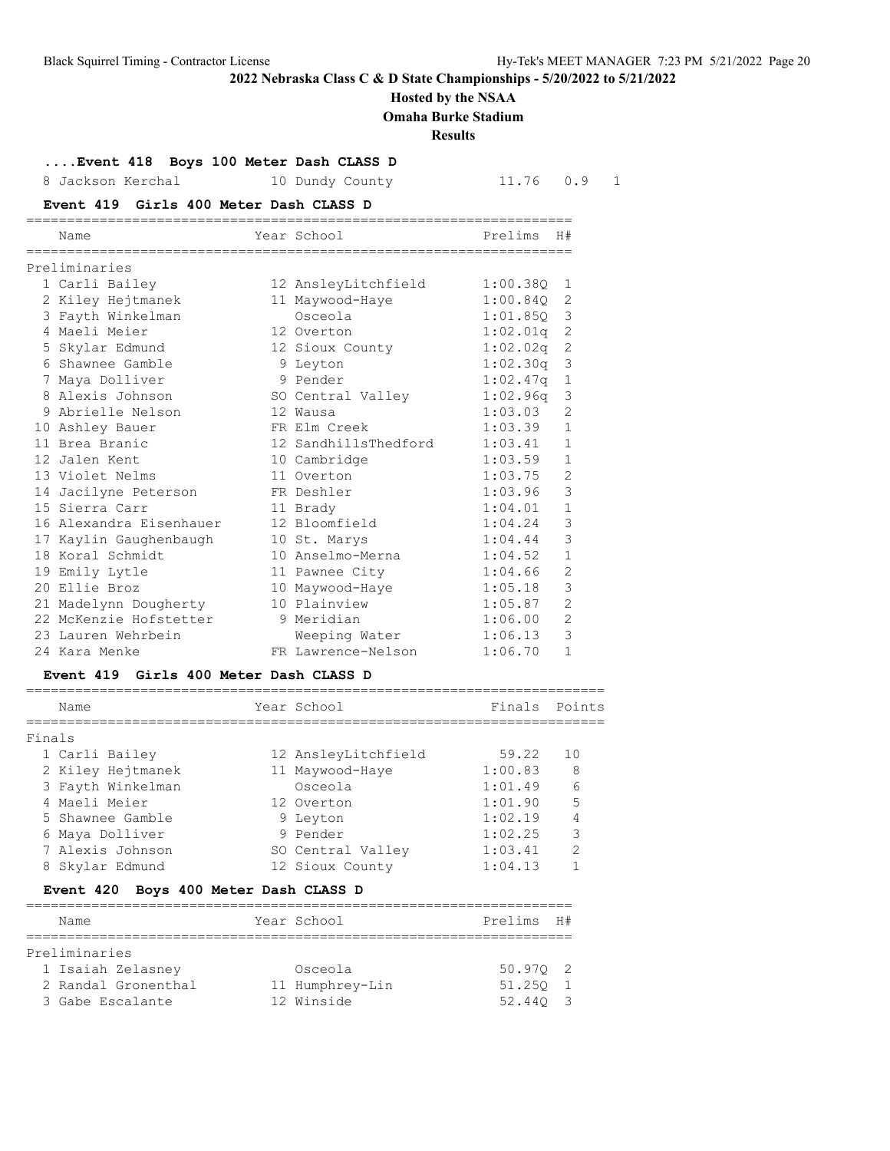## **Hosted by the NSAA**

**Omaha Burke Stadium**

**Results**

| Event 418 Boys 100 Meter Dash CLASS D |  |  |  |  |  |
|---------------------------------------|--|--|--|--|--|
|---------------------------------------|--|--|--|--|--|

| 8. | Jackson Kerchal                        | 10 Dundy County      | 11.76    | 0.9<br>$\mathbf{1}$ |
|----|----------------------------------------|----------------------|----------|---------------------|
|    | Event 419 Girls 400 Meter Dash CLASS D |                      |          |                     |
|    | Name                                   | Year School          | Prelims  | H#                  |
|    | Preliminaries                          |                      |          |                     |
|    | 1 Carli Bailey                         | 12 AnsleyLitchfield  | 1:00.380 | 1                   |
|    | 2 Kiley Hejtmanek                      | 11 Maywood-Haye      | 1:00.840 | 2                   |
|    | 3 Fayth Winkelman                      | Osceola              | 1:01.85Q | 3                   |
|    | 4 Maeli Meier                          | 12 Overton           | 1:02.01q | 2                   |
|    | 5 Skylar Edmund                        | 12 Sioux County      | 1:02.02q | $\mathbf{2}$        |
|    | 6 Shawnee Gamble                       | 9 Leyton             | 1:02.30q | $\mathbf{3}$        |
|    | 7 Maya Dolliver                        | 9 Pender             | 1:02.47q | $\mathbf{1}$        |
|    | 8 Alexis Johnson                       | SO Central Valley    | 1:02.96q | $\mathcal{S}$       |
|    | 9 Abrielle Nelson                      | 12 Wausa             | 1:03.03  | $\overline{2}$      |
|    | 10 Ashley Bauer                        | FR Elm Creek         | 1:03.39  | $\mathbf{1}$        |
|    | 11 Brea Branic                         | 12 SandhillsThedford | 1:03.41  | $\mathbf{1}$        |
|    | 12 Jalen Kent                          | 10 Cambridge         | 1:03.59  | $\mathbf{1}$        |
|    | 13 Violet Nelms                        | 11 Overton           | 1:03.75  | $\mathbf{2}$        |
|    | 14 Jacilyne Peterson                   | FR Deshler           | 1:03.96  | 3                   |
|    | 15 Sierra Carr                         | 11 Brady             | 1:04.01  | $\mathbf{1}$        |
|    | 16 Alexandra Eisenhauer 12 Bloomfield  |                      | 1:04.24  | 3                   |
|    | 17 Kaylin Gaughenbaugh                 | 10 St. Marys         | 1:04.44  | 3                   |
|    | 18 Koral Schmidt                       | 10 Anselmo-Merna     | 1:04.52  | $\mathbf{1}$        |
|    | 19 Emily Lytle                         | 11 Pawnee City       | 1:04.66  | $\mathbf{2}$        |
|    | 20 Ellie Broz                          | 10 Maywood-Haye      | 1:05.18  | 3                   |
|    | 21 Madelynn Dougherty                  | 10 Plainview         | 1:05.87  | $\overline{c}$      |
|    | 22 McKenzie Hofstetter                 | 9 Meridian           | 1:06.00  | $\mathbf{2}$        |
|    | 23 Lauren Wehrbein                     | Weeping Water        | 1:06.13  | 3                   |
|    | 24 Kara Menke                          | FR Lawrence-Nelson   | 1:06.70  | $\mathbf{1}$        |

### **Event 419 Girls 400 Meter Dash CLASS D**

|        | Name                                                                                                                                                         | Year School         | Finals  | Points        |
|--------|--------------------------------------------------------------------------------------------------------------------------------------------------------------|---------------------|---------|---------------|
| Finals |                                                                                                                                                              |                     |         |               |
|        | 1 Carli Bailey                                                                                                                                               | 12 AnsleyLitchfield | 59.22   | 10            |
|        | 2 Kiley Hejtmanek                                                                                                                                            | 11 Maywood-Haye     | 1:00.83 | 8             |
|        | 3 Fayth Winkelman                                                                                                                                            | Osceola             | 1:01.49 | 6             |
|        | 4 Maeli Meier                                                                                                                                                | 12 Overton          | 1:01.90 | 5             |
|        | 5 Shawnee Gamble                                                                                                                                             | 9 Leyton            | 1:02.19 | 4             |
|        | 6 Maya Dolliver                                                                                                                                              | 9 Pender            | 1:02.25 | 3             |
|        | 7 Alexis Johnson                                                                                                                                             | SO Central Valley   | 1:03.41 | $\mathcal{L}$ |
|        | 8 Skylar Edmund                                                                                                                                              | 12 Sioux County     | 1:04.13 |               |
|        | $E_{\text{total}}$ $\neq$ $A \cap \bigcirc$ $B_{\text{total}}$ $A \cap \bigcirc$ $B_{\text{total}}$ $B_{\text{total}}$ $B_{\text{total}}$ $B_{\text{total}}$ |                     |         |               |

#### **Event 420 Boys 400 Meter Dash CLASS D** ===================================================================

| Name                | Year School     | Prelims H# |  |
|---------------------|-----------------|------------|--|
|                     |                 |            |  |
| Preliminaries       |                 |            |  |
| 1 Isaiah Zelasney   | Osceola         | 50.970 2   |  |
| 2 Randal Gronenthal | 11 Humphrey-Lin | 51.250 1   |  |
| 3 Gabe Escalante    | 12 Winside      | 52.440 3   |  |
|                     |                 |            |  |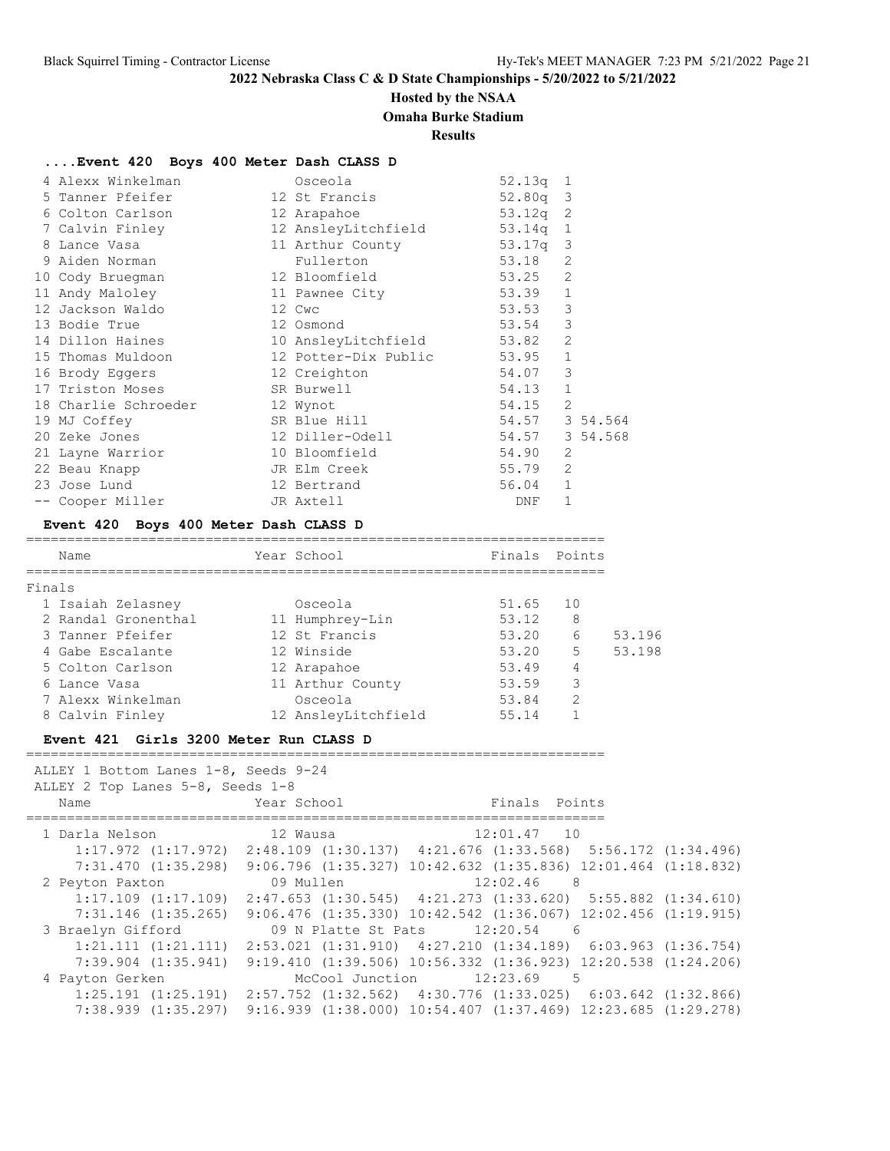# **Hosted by the NSAA**

**Omaha Burke Stadium**

## **Results**

=======================================================================

### **....Event 420 Boys 400 Meter Dash CLASS D**

| 4 Alexx Winkelman              | Osceola                    | $52.13q$ 1     |               |          |
|--------------------------------|----------------------------|----------------|---------------|----------|
| 5 Tanner Pfeifer               | 12 St Francis              | $52.80q$ 3     |               |          |
| 6 Colton Carlson               | 12 Arapahoe                | $53.12q$ 2     |               |          |
| 7 Calvin Finley                | 12 AnsleyLitchfield        | $53.14q$ 1     |               |          |
| 8 Lance Vasa                   | 11 Arthur County           | 53.17q 3       |               |          |
| 9 Aiden Norman                 | Fullerton                  | 53.18          | 2             |          |
| 10 Cody Bruegman               | 12 Bloomfield              | 53.25          | 2             |          |
| 11 Andy Maloley 11 Pawnee City |                            | 53.39          | $\mathbf{1}$  |          |
| 12 Jackson Waldo               | 12 Cwc                     | 53.53          | $\mathcal{E}$ |          |
| 13 Bodie True                  | 12 Osmond                  | 53.54          | 3             |          |
| 14 Dillon Haines               | 10 AnsleyLitchfield        | 53.82          | 2             |          |
| 15 Thomas Muldoon              | 12 Potter-Dix Public 53.95 |                | $\mathbf{1}$  |          |
| 16 Brody Eggers                | 12 Creighton               | 54.07          | 3             |          |
| 17 Triston Moses SR Burwell    |                            | 54.13          | $\mathbf{1}$  |          |
| 18 Charlie Schroeder           | 12 Wynot                   | 54.15          | 2             |          |
| 19 MJ Coffey                   | SR Blue Hill               | 54.57 3 54.564 |               |          |
| 20 Zeke Jones                  | 12 Diller-Odell            | 54.57          |               | 3 54.568 |
| 21 Layne Warrior               | 10 Bloomfield              | 54.90          | 2             |          |
| 22 Beau Knapp                  | JR Elm Creek               | 55.79          | 2             |          |
| 23 Jose Lund                   | 12 Bertrand                | 56.04          | $\mathbf{1}$  |          |
| -- Cooper Miller               | JR Axtell                  | DNF            | $\mathbf{1}$  |          |

### **Event 420 Boys 400 Meter Dash CLASS D**

| Name                | Year School         | Finals Points |    |        |
|---------------------|---------------------|---------------|----|--------|
|                     |                     |               |    |        |
| Finals              |                     |               |    |        |
| 1 Isaiah Zelasney   | Osceola             | 51.65         | 10 |        |
| 2 Randal Gronenthal | 11 Humphrey-Lin     | 53.12         | 8  |        |
| 3 Tanner Pfeifer    | 12 St Francis       | 53.20         | 6  | 53.196 |
| 4 Gabe Escalante    | 12 Winside          | 53.20         | 5  | 53.198 |
| 5 Colton Carlson    | 12 Arapahoe         | 53.49         | 4  |        |
| 6 Lance Vasa        | 11 Arthur County    | 53.59         | 3  |        |
| 7 Alexx Winkelman   | Osceola             | 53.84         | 2  |        |
| 8 Calvin Finley     | 12 AnsleyLitchfield | 55.14         |    |        |

=======================================================================

#### **Event 421 Girls 3200 Meter Run CLASS D**

 ALLEY 1 Bottom Lanes 1-8, Seeds 9-24 ALLEY 2 Top Lanes 5-8, Seeds 1-8

| ALLET Z TOP Lanes J-0, Seeus I-0 |                 |                                                                                                 |  |
|----------------------------------|-----------------|-------------------------------------------------------------------------------------------------|--|
| Name                             | Year School     | Finals Points                                                                                   |  |
| 1 Darla Nelson                   | 12 Wausa        | 12:01.47 10                                                                                     |  |
|                                  |                 | $1:17.972$ $(1:17.972)$ $2:48.109$ $(1:30.137)$ $4:21.676$ $(1:33.568)$ $5:56.172$ $(1:34.496)$ |  |
| 7:31.470(1:35.298)               |                 | $9:06.796$ $(1:35.327)$ $10:42.632$ $(1:35.836)$ $12:01.464$ $(1:18.832)$                       |  |
| 2 Peyton Paxton                  | 09 Mullen       | 12:02.46<br>- 8                                                                                 |  |
| $1:17.109$ $(1:17.109)$          |                 | $2:47.653$ $(1:30.545)$ $4:21.273$ $(1:33.620)$ $5:55.882$ $(1:34.610)$                         |  |
| $7:31.146$ $(1:35.265)$          |                 | $9:06.476$ $(1:35.330)$ $10:42.542$ $(1:36.067)$ $12:02.456$ $(1:19.915)$                       |  |
| 3 Braelyn Gifford                |                 | 09 N Platte St Pats 12:20.54<br>6                                                               |  |
| 1:21.111(1:21.111)               |                 | $2:53.021$ $(1:31.910)$ $4:27.210$ $(1:34.189)$ $6:03.963$ $(1:36.754)$                         |  |
| $7:39.904$ $(1:35.941)$          |                 | $9:19.410$ $(1:39.506)$ $10:56.332$ $(1:36.923)$ $12:20.538$ $(1:24.206)$                       |  |
| 4 Payton Gerken                  | McCool Junction | 12:23.69 5                                                                                      |  |
| $1:25.191$ $(1:25.191)$          |                 | $2:57.752$ $(1:32.562)$ $4:30.776$ $(1:33.025)$ $6:03.642$ $(1:32.866)$                         |  |
| $7:38.939$ $(1:35.297)$          |                 | $9:16.939$ $(1:38.000)$ $10:54.407$ $(1:37.469)$ $12:23.685$ $(1:29.278)$                       |  |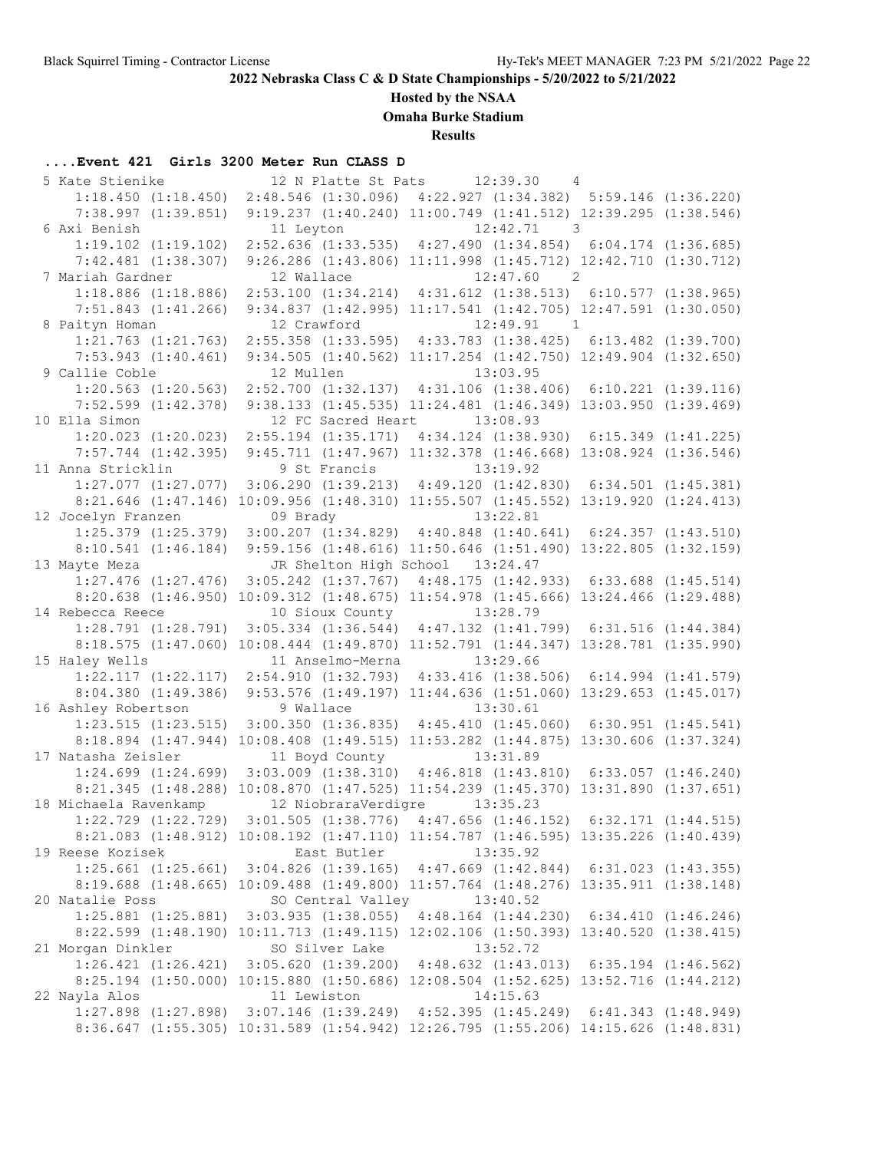## **Hosted by the NSAA**

**Omaha Burke Stadium**

**Results**

# **....Event 421 Girls 3200 Meter Run CLASS D**

| 5 Kate Stienike         |                              | 12 N Platte St Pats 12:39.30<br>$\overline{4}$                                                  |  |
|-------------------------|------------------------------|-------------------------------------------------------------------------------------------------|--|
| $1:18.450$ $(1:18.450)$ |                              | 2:48.546 (1:30.096) 4:22.927 (1:34.382) 5:59.146 (1:36.220)                                     |  |
| $7:38.997$ $(1:39.851)$ |                              | 9:19.237 (1:40.240) 11:00.749 (1:41.512) 12:39.295 (1:38.546)                                   |  |
| 6 Axi Benish            | 11 Leyton                    | $12:42.71$ 3                                                                                    |  |
| $1:19.102$ $(1:19.102)$ |                              | 2:52.636 (1:33.535) 4:27.490 (1:34.854) 6:04.174 (1:36.685)                                     |  |
| $7:42.481$ $(1:38.307)$ |                              | 9:26.286 (1:43.806) 11:11.998 (1:45.712) 12:42.710 (1:30.712)                                   |  |
| 7 Mariah Gardner        | 12 Wallace                   | 12:47.60 2                                                                                      |  |
| $1:18.886$ $(1:18.886)$ |                              | 2:53.100 (1:34.214) 4:31.612 (1:38.513) 6:10.577 (1:38.965)                                     |  |
| $7:51.843$ $(1:41.266)$ |                              | 9:34.837 (1:42.995) 11:17.541 (1:42.705) 12:47.591 (1:30.050)                                   |  |
| 8 Paityn Homan          | 12 Crawford                  | 12:49.91 1                                                                                      |  |
| $1:21.763$ $(1:21.763)$ |                              | 2:55.358 (1:33.595) 4:33.783 (1:38.425) 6:13.482 (1:39.700)                                     |  |
| $7:53.943$ $(1:40.461)$ |                              | 9:34.505 (1:40.562) 11:17.254 (1:42.750) 12:49.904 (1:32.650)                                   |  |
| 9 Callie Coble          | 12 Mullen                    | 13:03.95                                                                                        |  |
| $1:20.563$ $(1:20.563)$ |                              | 2:52.700 (1:32.137) 4:31.106 (1:38.406) 6:10.221 (1:39.116)                                     |  |
| $7:52.599$ $(1:42.378)$ |                              | 9:38.133 (1:45.535) 11:24.481 (1:46.349) 13:03.950 (1:39.469)                                   |  |
| 10 Ella Simon           |                              | 12 FC Sacred Heart 13:08.93                                                                     |  |
| $1:20.023$ $(1:20.023)$ |                              | $2:55.194$ (1:35.171) $4:34.124$ (1:38.930) 6:15.349 (1:41.225)                                 |  |
| $7:57.744$ $(1:42.395)$ |                              | 9:45.711 (1:47.967) 11:32.378 (1:46.668) 13:08.924 (1:36.546)                                   |  |
| 11 Anna Stricklin       | 9 St Francis                 | 13:19.92                                                                                        |  |
| $1:27.077$ $(1:27.077)$ |                              | $3:06.290$ $(1:39.213)$ $4:49.120$ $(1:42.830)$ $6:34.501$ $(1:45.381)$                         |  |
|                         |                              | 8:21.646 (1:47.146) 10:09.956 (1:48.310) 11:55.507 (1:45.552) 13:19.920 (1:24.413)              |  |
| 12 Jocelyn Franzen      | 09 Brady                     | 13:22.81                                                                                        |  |
|                         |                              | $1:25.379$ $(1:25.379)$ $3:00.207$ $(1:34.829)$ $4:40.848$ $(1:40.641)$ $6:24.357$ $(1:43.510)$ |  |
|                         |                              | 8:10.541 (1:46.184) 9:59.156 (1:48.616) 11:50.646 (1:51.490) 13:22.805 (1:32.159)               |  |
| 13 Mayte Meza           |                              | JR Shelton High School 13:24.47                                                                 |  |
|                         |                              | 1:27.476 (1:27.476) 3:05.242 (1:37.767) 4:48.175 (1:42.933) 6:33.688 (1:45.514)                 |  |
|                         |                              | 8:20.638 (1:46.950) 10:09.312 (1:48.675) 11:54.978 (1:45.666) 13:24.466 (1:29.488)              |  |
| 14 Rebecca Reece        |                              | 10 Sioux County 13:28.79                                                                        |  |
| $1:28.791$ $(1:28.791)$ |                              | 3:05.334 (1:36.544) 4:47.132 (1:41.799) 6:31.516 (1:44.384)                                     |  |
|                         |                              | 8:18.575 (1:47.060) 10:08.444 (1:49.870) 11:52.791 (1:44.347) 13:28.781 (1:35.990)              |  |
| 15 Haley Wells          | 11 Anselmo-Merna             | 13:29.66                                                                                        |  |
| $1:22.117$ $(1:22.117)$ |                              | 2:54.910 (1:32.793) 4:33.416 (1:38.506) 6:14.994 (1:41.579)                                     |  |
| $8:04.380$ $(1:49.386)$ |                              | 9:53.576 (1:49.197) 11:44.636 (1:51.060) 13:29.653 (1:45.017)                                   |  |
| 16 Ashley Robertson     | 9 Wallace                    | 13:30.61                                                                                        |  |
| $1:23.515$ $(1:23.515)$ |                              | $3:00.350$ $(1:36.835)$ $4:45.410$ $(1:45.060)$ $6:30.951$ $(1:45.541)$                         |  |
|                         |                              | 8:18.894 (1:47.944) 10:08.408 (1:49.515) 11:53.282 (1:44.875) 13:30.606 (1:37.324)              |  |
| 17 Natasha Zeisler      | 11 Boyd County               | 13:31.89                                                                                        |  |
|                         |                              | $1:24.699$ $(1:24.699)$ $3:03.009$ $(1:38.310)$ $4:46.818$ $(1:43.810)$ $6:33.057$ $(1:46.240)$ |  |
|                         |                              | 8:21.345 (1:48.288) 10:08.870 (1:47.525) 11:54.239 (1:45.370) 13:31.890 (1:37.651)              |  |
| 18 Michaela Ravenkamp   | 12 NiobraraVerdigre 13:35.23 |                                                                                                 |  |
| $1:22.729$ $(1:22.729)$ |                              | $3:01.505$ (1:38.776) $4:47.656$ (1:46.152) 6:32.171 (1:44.515)                                 |  |
|                         |                              | 8:21.083 (1:48.912) 10:08.192 (1:47.110) 11:54.787 (1:46.595) 13:35.226 (1:40.439)              |  |
| 19 Reese Kozisek        | East Butler                  | 13:35.92                                                                                        |  |
|                         |                              | $1:25.661$ $(1:25.661)$ $3:04.826$ $(1:39.165)$ $4:47.669$ $(1:42.844)$ $6:31.023$ $(1:43.355)$ |  |
|                         |                              | 8:19.688 (1:48.665) 10:09.488 (1:49.800) 11:57.764 (1:48.276) 13:35.911 (1:38.148)              |  |
| 20 Natalie Poss         | SO Central Valley            | 13:40.52                                                                                        |  |
|                         |                              | $1:25.881$ $(1:25.881)$ $3:03.935$ $(1:38.055)$ $4:48.164$ $(1:44.230)$ $6:34.410$ $(1:46.246)$ |  |
|                         |                              | 8:22.599 (1:48.190) 10:11.713 (1:49.115) 12:02.106 (1:50.393) 13:40.520 (1:38.415)              |  |
| 21 Morgan Dinkler       | SO Silver Lake               | 13:52.72                                                                                        |  |
|                         |                              | 1:26.421 (1:26.421) 3:05.620 (1:39.200) 4:48.632 (1:43.013) 6:35.194 (1:46.562)                 |  |
|                         |                              | 8:25.194 (1:50.000) 10:15.880 (1:50.686) 12:08.504 (1:52.625) 13:52.716 (1:44.212)              |  |
| 22 Nayla Alos           | 11 Lewiston                  | 14:15.63                                                                                        |  |
|                         |                              | 1:27.898 (1:27.898) 3:07.146 (1:39.249) 4:52.395 (1:45.249) 6:41.343 (1:48.949)                 |  |
|                         |                              | 8:36.647 (1:55.305) 10:31.589 (1:54.942) 12:26.795 (1:55.206) 14:15.626 (1:48.831)              |  |
|                         |                              |                                                                                                 |  |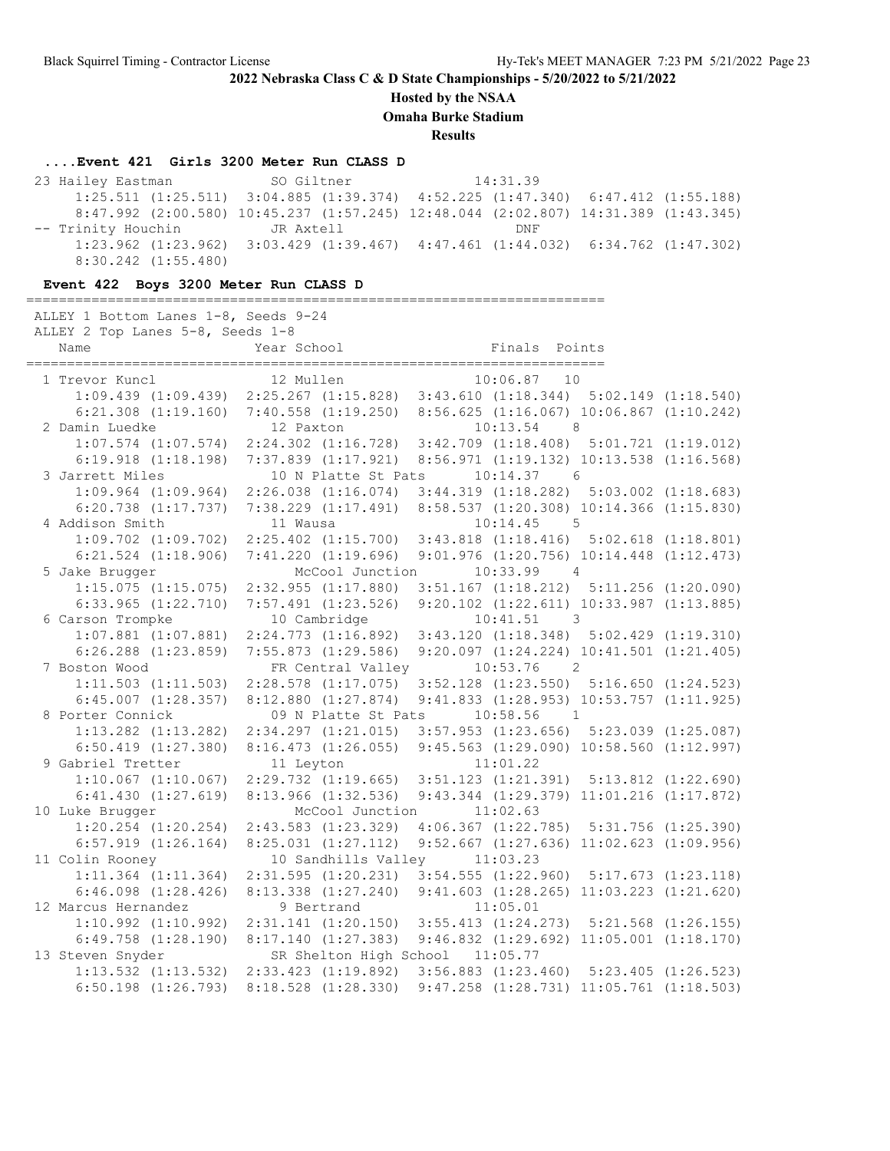**Hosted by the NSAA**

**Omaha Burke Stadium**

**Results**

### **....Event 421 Girls 3200 Meter Run CLASS D**

23 Hailey Eastman SO Giltner 14:31.39 1:25.511 (1:25.511) 3:04.885 (1:39.374) 4:52.225 (1:47.340) 6:47.412 (1:55.188) 8:47.992 (2:00.580) 10:45.237 (1:57.245) 12:48.044 (2:02.807) 14:31.389 (1:43.345) -- Trinity Houchin GR Axtell DNF 1:23.962 (1:23.962) 3:03.429 (1:39.467) 4:47.461 (1:44.032) 6:34.762 (1:47.302) 8:30.242 (1:55.480)

### **Event 422 Boys 3200 Meter Run CLASS D**

| ALLEY 1 Bottom Lanes 1-8, Seeds 9-24<br>ALLEY 2 Top Lanes 5-8, Seeds 1-8 |                                           |                                                                                                                     |  |
|--------------------------------------------------------------------------|-------------------------------------------|---------------------------------------------------------------------------------------------------------------------|--|
| Name                                                                     | Year School                               | Finals Points                                                                                                       |  |
| 1 Trevor Kuncl                                                           | 12 Mullen                                 | $10:06.87$ 10                                                                                                       |  |
|                                                                          |                                           | evor Kuncl 12 Mullen 10:06.87 10<br>1:09.439 (1:09.439) 2:25.267 (1:15.828) 3:43.610 (1:18.344) 5:02.149 (1:18.540) |  |
|                                                                          |                                           | $6:21.308$ $(1:19.160)$ $7:40.558$ $(1:19.250)$ $8:56.625$ $(1:16.067)$ $10:06.867$ $(1:10.242)$                    |  |
| 2 Damin Luedke                                                           | 12 Paxton                                 | $10:13.54$ 8                                                                                                        |  |
|                                                                          |                                           | $1:07.574$ $(1:07.574)$ $2:24.302$ $(1:16.728)$ $3:42.709$ $(1:18.408)$ $5:01.721$ $(1:19.012)$                     |  |
| $6:19.918$ $(1:18.198)$                                                  | 7:37.839 (1:17.921)                       | 8:56.971 (1:19.132) 10:13.538 (1:16.568)                                                                            |  |
| 3 Jarrett Miles                                                          | 10 N Platte St Pats                       | $10:14.37$ 6                                                                                                        |  |
| $1:09.964$ $(1:09.964)$                                                  |                                           | 2:26.038 (1:16.074) 3:44.319 (1:18.282) 5:03.002 (1:18.683)                                                         |  |
| $6:20.738$ $(1:17.737)$                                                  |                                           | 7:38.229 (1:17.491) 8:58.537 (1:20.308) 10:14.366 (1:15.830)                                                        |  |
| 4 Addison Smith                                                          | 11 Wausa                                  | $10:14.45$ 5                                                                                                        |  |
| $1:09.702$ $(1:09.702)$                                                  | $2:25.402$ $(1:15.700)$                   | $3:43.818$ $(1:18.416)$ $5:02.618$ $(1:18.801)$                                                                     |  |
| $6:21.524$ $(1:18.906)$                                                  |                                           | 7:41.220 (1:19.696) 9:01.976 (1:20.756) 10:14.448 (1:12.473)                                                        |  |
| 5 Jake Brugger                                                           | McCool Junction                           | $10:33.99$ 4                                                                                                        |  |
| $1:15.075$ $(1:15.075)$                                                  |                                           | 2:32.955 (1:17.880) 3:51.167 (1:18.212) 5:11.256 (1:20.090)                                                         |  |
| $6:33.965$ $(1:22.710)$                                                  | $7:57.491$ $(1:23.526)$                   | 9:20.102 (1:22.611) 10:33.987 (1:13.885)                                                                            |  |
| 6 Carson Trompke                                                         | 10 Cambridge                              | $10:41.51$ 3                                                                                                        |  |
| $1:07.881$ $(1:07.881)$                                                  | $2:24.773$ $(1:16.892)$                   | $3:43.120$ $(1:18.348)$ $5:02.429$ $(1:19.310)$                                                                     |  |
| $6:26.288$ $(1:23.859)$                                                  | 7:55.873(1:29.586)                        | $9:20.097$ $(1:24.224)$ $10:41.501$ $(1:21.405)$                                                                    |  |
| 7 Boston Wood<br>$1:11.503$ $(1:11.503)$                                 | FR Central Valley                         | $10:53.76$ 2                                                                                                        |  |
| $6:45.007$ $(1:28.357)$                                                  |                                           | 2:28.578 (1:17.075) 3:52.128 (1:23.550) 5:16.650 (1:24.523)<br>$9:41.833$ $(1:28.953)$ $10:53.757$ $(1:11.925)$     |  |
| 8 Porter Connick                                                         | 8:12.880(1:27.874)<br>09 N Platte St Pats | 10:58.56<br>$\overline{1}$                                                                                          |  |
| $1:13.282$ $(1:13.282)$                                                  |                                           | 2:34.297 (1:21.015) 3:57.953 (1:23.656) 5:23.039 (1:25.087)                                                         |  |
| $6:50.419$ $(1:27.380)$                                                  |                                           | 8:16.473 (1:26.055) 9:45.563 (1:29.090) 10:58.560 (1:12.997)                                                        |  |
| 9 Gabriel Tretter                                                        | 11 Leyton                                 | 11:01.22                                                                                                            |  |
| $1:10.067$ $(1:10.067)$                                                  |                                           | 2:29.732 (1:19.665) 3:51.123 (1:21.391) 5:13.812 (1:22.690)                                                         |  |
| 6:41.430(1:27.619)                                                       |                                           | 8:13.966 (1:32.536) 9:43.344 (1:29.379) 11:01.216 (1:17.872)                                                        |  |
| 10 Luke Brugger                                                          |                                           | McCool Junction 11:02.63                                                                                            |  |
| $1:20.254$ $(1:20.254)$                                                  | 2:43.583(1:23.329)                        | $4:06.367$ $(1:22.785)$ $5:31.756$ $(1:25.390)$                                                                     |  |
| $6:57.919$ $(1:26.164)$                                                  | 8:25.031(1:27.112)                        | $9:52.667$ $(1:27.636)$ $11:02.623$ $(1:09.956)$                                                                    |  |
| 11 Colin Rooney                                                          | 10 Sandhills Valley 11:03.23              |                                                                                                                     |  |
| $1:11.364$ $(1:11.364)$                                                  |                                           | 2:31.595 (1:20.231) 3:54.555 (1:22.960) 5:17.673 (1:23.118)                                                         |  |
| $6:46.098$ $(1:28.426)$                                                  | 8:13.338 (1:27.240)                       | $9:41.603$ $(1:28.265)$ $11:03.223$ $(1:21.620)$                                                                    |  |
| 12 Marcus Hernandez                                                      | 9 Bertrand                                | 11:05.01                                                                                                            |  |
| $1:10.992$ $(1:10.992)$                                                  |                                           | $2:31.141$ (1:20.150) 3:55.413 (1:24.273) 5:21.568 (1:26.155)                                                       |  |
| $6:49.758$ $(1:28.190)$                                                  |                                           | 8:17.140 (1:27.383) 9:46.832 (1:29.692) 11:05.001 (1:18.170)                                                        |  |
| 13 Steven Snyder                                                         | SR Shelton High School 11:05.77           |                                                                                                                     |  |
|                                                                          |                                           | 1:13.532 (1:13.532) 2:33.423 (1:19.892) 3:56.883 (1:23.460) 5:23.405 (1:26.523)                                     |  |
| $6:50.198$ $(1:26.793)$                                                  |                                           | 8:18.528 (1:28.330) 9:47.258 (1:28.731) 11:05.761 (1:18.503)                                                        |  |
|                                                                          |                                           |                                                                                                                     |  |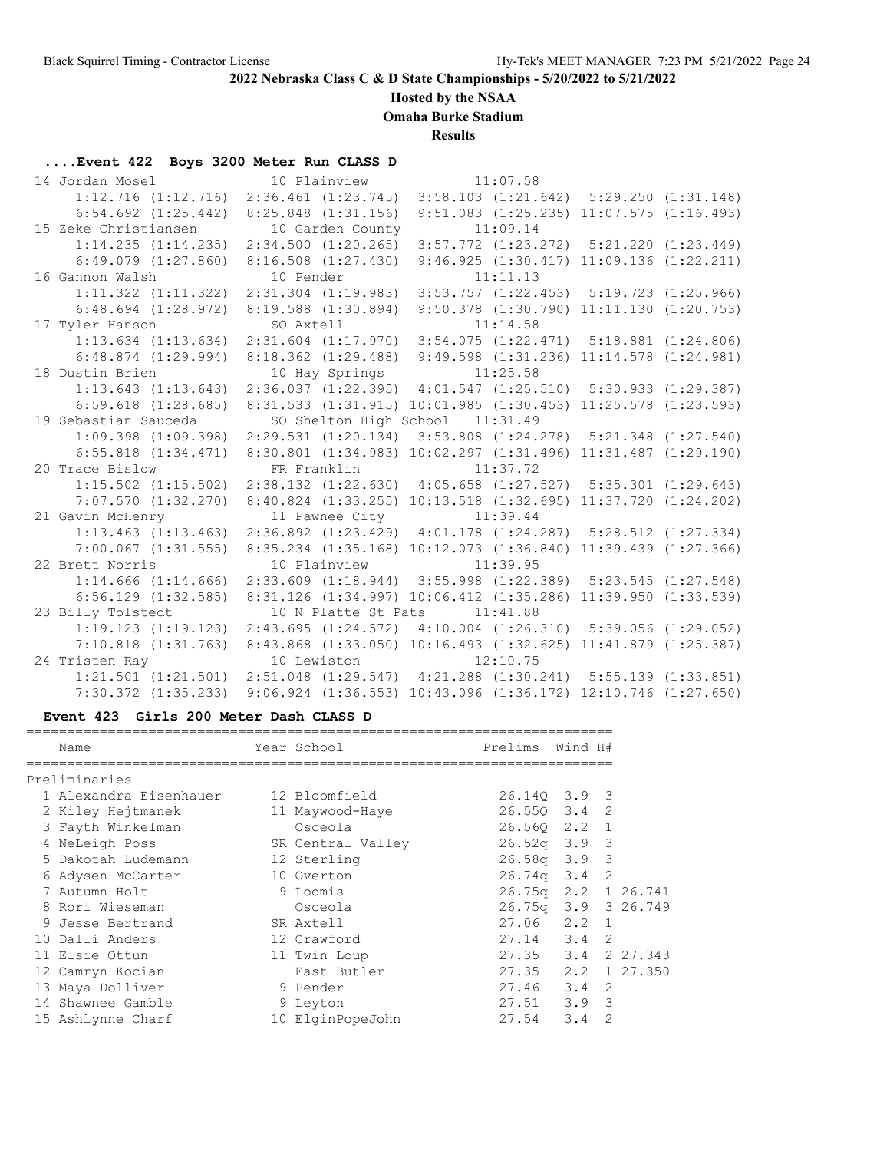## **Hosted by the NSAA**

**Omaha Burke Stadium**

**Results**

# **....Event 422 Boys 3200 Meter Run CLASS D**

| 14 Jordan Mosel 10 Plainview 11:07.58                                                           |                                                                           |                                 |                                                  |                          |
|-------------------------------------------------------------------------------------------------|---------------------------------------------------------------------------|---------------------------------|--------------------------------------------------|--------------------------|
| 1:12.716 (1:12.716) 2:36.461 (1:23.745) 3:58.103 (1:21.642) 5:29.250 (1:31.148)                 |                                                                           |                                 |                                                  |                          |
| $6:54.692$ $(1:25.442)$ $8:25.848$ $(1:31.156)$                                                 |                                                                           |                                 | $9:51.083$ $(1:25.235)$ $11:07.575$ $(1:16.493)$ |                          |
| 15 Zeke Christiansen 10 Garden County 11:09.14                                                  |                                                                           |                                 |                                                  |                          |
| 1:14.235 (1:14.235) 2:34.500 (1:20.265) 3:57.772 (1:23.272) 5:21.220 (1:23.449)                 |                                                                           |                                 |                                                  |                          |
| $6:49.079$ $(1:27.860)$                                                                         | 8:16.508(1:27.430)                                                        |                                 | 9:46.925(1:30.417)                               | 11:09.136(1:22.211)      |
| 16 Gannon Walsh                                                                                 | 10 Pender                                                                 | 11:11.13                        |                                                  |                          |
| $1:11.322$ $(1:11.322)$                                                                         | 2:31.304 (1:19.983) 3:53.757 (1:22.453) 5:19.723 (1:25.966)               |                                 |                                                  |                          |
| $6:48.694$ $(1:28.972)$                                                                         | 8:19.588 (1:30.894) 9:50.378 (1:30.790) 11:11.130 (1:20.753)              |                                 |                                                  |                          |
| 17 Tyler Hanson                                                                                 | SO Axtell                                                                 |                                 | 11:14.58                                         |                          |
| $1:13.634$ $(1:13.634)$ $2:31.604$ $(1:17.970)$ $3:54.075$ $(1:22.471)$ $5:18.881$ $(1:24.806)$ |                                                                           |                                 |                                                  |                          |
| $6:48.874$ (1:29.994) 8:18.362 (1:29.488) 9:49.598 (1:31.236) 11:14.578 (1:24.981)              |                                                                           |                                 |                                                  |                          |
| 18 Dustin Brien                                                                                 |                                                                           | 10 Hay Springs 11:25.58         |                                                  |                          |
| $1:13.643$ $(1:13.643)$                                                                         | 2:36.037 (1:22.395) 4:01.547 (1:25.510) 5:30.933 (1:29.387)               |                                 |                                                  |                          |
| $6:59.618$ $(1:28.685)$                                                                         | 8:31.533 (1:31.915) 10:01.985 (1:30.453) 11:25.578 (1:23.593)             |                                 |                                                  |                          |
| 19 Sebastian Sauceda                                                                            |                                                                           | SO Shelton High School 11:31.49 |                                                  |                          |
| $1:09.398$ (1:09.398) $2:29.531$ (1:20.134) $3:53.808$ (1:24.278) $5:21.348$ (1:27.540)         |                                                                           |                                 |                                                  |                          |
| 6:55.818 (1:34.471) 8:30.801 (1:34.983) 10:02.297 (1:31.496) 11:31.487 (1:29.190)               |                                                                           |                                 |                                                  |                          |
| 20 Trace Bislow                                                                                 | FR Franklin 11:37.72                                                      |                                 |                                                  |                          |
| 1:15.502 (1:15.502) 2:38.132 (1:22.630) 4:05.658 (1:27.527) 5:35.301 (1:29.643)                 |                                                                           |                                 |                                                  |                          |
| $7:07.570$ $(1:32.270)$                                                                         | 8:40.824 (1:33.255) 10:13.518 (1:32.695)                                  |                                 |                                                  | $11:37.720$ $(1:24.202)$ |
| 21 Gavin McHenry                                                                                | 11 Pawnee City 11:39.44                                                   |                                 |                                                  |                          |
| 1:13.463 (1:13.463) 2:36.892 (1:23.429) 4:01.178 (1:24.287) 5:28.512 (1:27.334)                 |                                                                           |                                 |                                                  |                          |
| $7:00.067$ $(1:31.555)$                                                                         | 8:35.234 (1:35.168) 10:12.073 (1:36.840) 11:39.439 (1:27.366)             |                                 |                                                  |                          |
| 22 Brett Norris                                                                                 |                                                                           | 10 Plainview 11:39.95           |                                                  |                          |
| 1:14.666 (1:14.666) 2:33.609 (1:18.944) 3:55.998 (1:22.389) 5:23.545 (1:27.548)                 |                                                                           |                                 |                                                  |                          |
| $6:56.129$ $(1:32.585)$                                                                         | 8:31.126 (1:34.997) 10:06.412 (1:35.286)                                  |                                 |                                                  | $11:39.950$ $(1:33.539)$ |
| 23 Billy Tolstedt                                                                               | 10 N Platte St Pats                                                       | 11:41.88                        |                                                  |                          |
| $1:19.123$ $(1:19.123)$                                                                         | $2:43.695$ $(1:24.572)$ $4:10.004$ $(1:26.310)$ $5:39.056$ $(1:29.052)$   |                                 |                                                  |                          |
| 7:10.818 (1:31.763) 8:43.868 (1:33.050) 10:16.493 (1:32.625) 11:41.879 (1:25.387)               |                                                                           |                                 |                                                  |                          |
| 24 Tristen Ray                                                                                  |                                                                           | 10 Lewiston 12:10.75            |                                                  |                          |
| $1:21.501$ $(1:21.501)$ $2:51.048$ $(1:29.547)$ $4:21.288$ $(1:30.241)$ $5:55.139$ $(1:33.851)$ |                                                                           |                                 |                                                  |                          |
| $7:30.372$ $(1:35.233)$                                                                         | $9:06.924$ $(1:36.553)$ $10:43.096$ $(1:36.172)$ $12:10.746$ $(1:27.650)$ |                                 |                                                  |                          |

### **Event 423 Girls 200 Meter Dash CLASS D**

|    | Name                   | Year School       | Prelims             | Wind H#       |                |  |
|----|------------------------|-------------------|---------------------|---------------|----------------|--|
|    | Preliminaries          |                   |                     |               |                |  |
|    | 1 Alexandra Eisenhauer | 12 Bloomfield     | 26.140 3.9 3        |               |                |  |
|    | 2 Kiley Hejtmanek      | 11 Maywood-Haye   | $26.550$ $3.4$ 2    |               |                |  |
|    | 3 Fayth Winkelman      | Osceola           | 26.560 2.2          |               | $\overline{1}$ |  |
|    | 4 NeLeigh Poss         | SR Central Valley | $26.52q$ $3.9$      |               | 3              |  |
|    | 5 Dakotah Ludemann     | 12 Sterling       | $26.58q$ $3.9$      |               | 3              |  |
|    | 6 Adysen McCarter      | 10 Overton        | $26.74q$ 3.4        |               | 2              |  |
|    | 7 Autumn Holt          | 9 Loomis          | $26.75q$ $2.2$      |               | 1 26.741       |  |
|    | 8 Rori Wieseman        | Osceola           | 26.75q 3.9 3 26.749 |               |                |  |
| 9. | Jesse Bertrand         | SR Axtell         | $27.06$ $2.2$       |               | $\overline{1}$ |  |
|    | 10 Dalli Anders        | 12 Crawford       | $27.14$ 3.4         |               | 2              |  |
|    | 11 Elsie Ottun         | 11 Twin Loup      | 27.35 3.4 2 27.343  |               |                |  |
|    | 12 Camryn Kocian       | East Butler       | 27.35 2.2 1 27.350  |               |                |  |
|    | 13 Maya Dolliver       | 9 Pender          | 27.46 3.4           |               | 2              |  |
|    | 14 Shawnee Gamble      | 9 Leyton          | 27.51               | $3.9 \quad 3$ |                |  |
|    | 15 Ashlynne Charf      | 10 ElginPopeJohn  | 27.54               | 3.4           | $\overline{2}$ |  |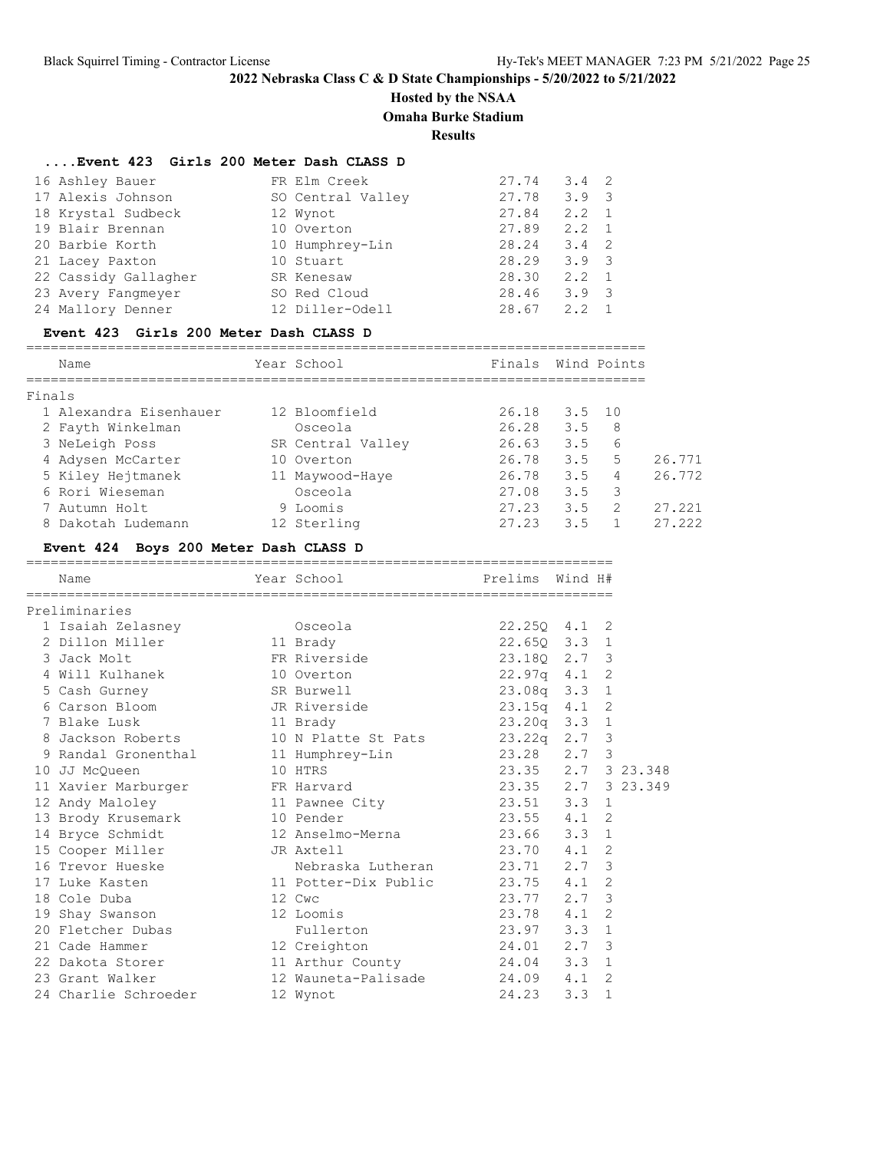### **Hosted by the NSAA**

**Omaha Burke Stadium**

**Results**

#### **....Event 423 Girls 200 Meter Dash CLASS D**

| 16 Ashley Bauer      | FR Elm Creek      | 27.74 | $3.4 \quad 2$ |  |
|----------------------|-------------------|-------|---------------|--|
| 17 Alexis Johnson    | SO Central Valley | 27.78 | $3.9 \quad 3$ |  |
| 18 Krystal Sudbeck   | 12 Wynot          | 27.84 | $2.2 \quad 1$ |  |
| 19 Blair Brennan     | 10 Overton        | 27.89 | $2.2 \quad 1$ |  |
| 20 Barbie Korth      | 10 Humphrey-Lin   | 28.24 | $3.4 \quad 2$ |  |
| 21 Lacey Paxton      | 10 Stuart         | 28.29 | $3.9 \quad 3$ |  |
| 22 Cassidy Gallagher | SR Kenesaw        | 28.30 | $2.2 \quad 1$ |  |
| 23 Avery Fangmeyer   | SO Red Cloud      | 28.46 | $3.9 \quad 3$ |  |
| 24 Mallory Denner    | 12 Diller-Odell   | 28.67 | 2.2           |  |

#### **Event 423 Girls 200 Meter Dash CLASS D**

============================================================================ Name Year School Finals Wind Points ============================================================================ Finals 1 Alexandra Eisenhauer 12 Bloomfield 26.18 3.5 10 2 Fayth Winkelman Osceola 26.28 3.5 8 3 NeLeigh Poss SR Central Valley 26.63 3.5 6 4 Adysen McCarter 10 Overton 26.78 3.5 5 26.771 5 Kiley Hejtmanek 11 Maywood-Haye 26.78 3.5 4 26.772 6 Rori Wieseman Osceola 27.08 3.5 3 7 Autumn Holt 9 Loomis 27.23 3.5 2 27.221

8 Dakotah Ludemann 12 Sterling 27.23 3.5 1 27.222

### **Event 424 Boys 200 Meter Dash CLASS D**

| Name                 | Year School School             | Prelims Wind H#    |     |                |  |
|----------------------|--------------------------------|--------------------|-----|----------------|--|
| Preliminaries        |                                |                    |     |                |  |
| 1 Isaiah Zelasney    | Osceola                        | 22.250 4.1 2       |     |                |  |
| 2 Dillon Miller      | 11 Brady                       | 22.65Q 3.3 1       |     |                |  |
| 3 Jack Molt          | FR Riverside                   | 23.18Q 2.7 3       |     |                |  |
| 4 Will Kulhanek      | 10 Overton                     | 22.97q 4.1 2       |     |                |  |
| 5 Cash Gurney        | SR Burwell                     | 23.08q 3.3 1       |     |                |  |
| 6 Carson Bloom       | JR Riverside                   | 23.15q 4.1 2       |     |                |  |
| 7 Blake Lusk         | 11 Brady                       | 23.20q 3.3 1       |     |                |  |
| 8 Jackson Roberts    | 10 N Platte St Pats            | 23.22q 2.7 3       |     |                |  |
| 9 Randal Gronenthal  | 23.28 2.7 3<br>11 Humphrey-Lin |                    |     |                |  |
| 10 JJ McQueen        | 10 HTRS                        | 23.35 2.7 3 23.348 |     |                |  |
| 11 Xavier Marburger  | FR Harvard                     | 23.35 2.7 3 23.349 |     |                |  |
| 12 Andy Maloley      | 11 Pawnee City                 | 23.51 3.3 1        |     |                |  |
| 13 Brody Krusemark   | 10 Pender                      | 23.55 4.1 2        |     |                |  |
| 14 Bryce Schmidt     | 12 Anselmo-Merna 23.66 3.3 1   |                    |     |                |  |
| 15 Cooper Miller     | JR Axtell                      | 23.70 4.1          |     | 2              |  |
| 16 Trevor Hueske     | Nebraska Lutheran 23.71 2.7    |                    |     | 3              |  |
| 17 Luke Kasten       | 11 Potter-Dix Public 23.75 4.1 |                    |     | 2              |  |
| 18 Cole Duba         | 12 Cwc                         | 23.77 2.7          |     | 3              |  |
| 19 Shay Swanson      | 12 Loomis                      | 23.78 4.1          |     | $\overline{2}$ |  |
| 20 Fletcher Dubas    | Fullerton                      | 23.97 3.3 1        |     |                |  |
| 21 Cade Hammer       | 12 Creighton                   | 24.01 2.7          |     | 3              |  |
| 22 Dakota Storer     | 11 Arthur County 24.04 3.3 1   |                    |     |                |  |
| 23 Grant Walker      | 12 Wauneta-Palisade 24.09 4.1  |                    |     | 2              |  |
| 24 Charlie Schroeder | 12 Wynot                       | 24.23              | 3.3 | $\mathbf{1}$   |  |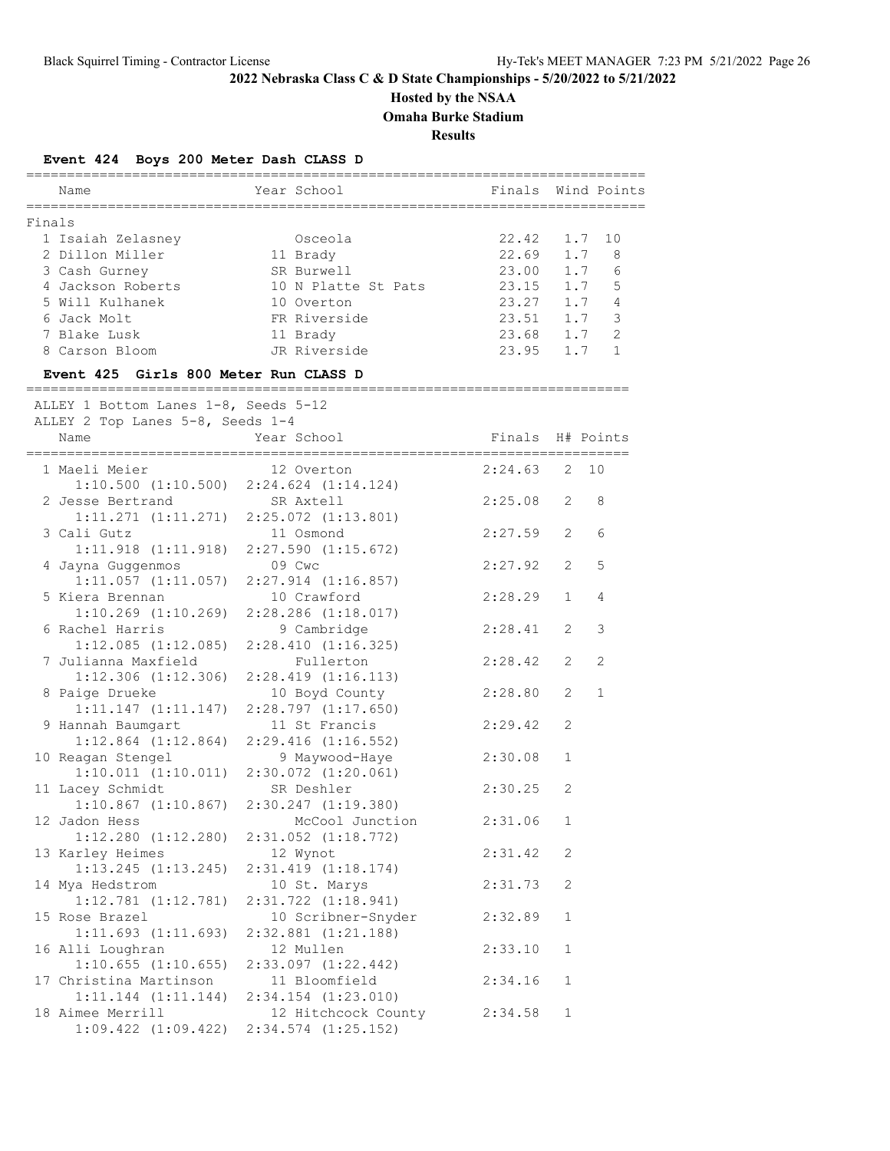**Hosted by the NSAA**

**Omaha Burke Stadium**

**Results**

## **Event 424 Boys 200 Meter Dash CLASS D**

|        |                                                                          | ==================================== |                  |              |                    |
|--------|--------------------------------------------------------------------------|--------------------------------------|------------------|--------------|--------------------|
|        | Name                                                                     | Year School                          |                  |              | Finals Wind Points |
|        |                                                                          |                                      |                  |              |                    |
| Finals |                                                                          |                                      |                  |              |                    |
|        | 1 Isaiah Zelasney                                                        | Osceola                              | 22.42            | 1.7          | 10                 |
|        | 2 Dillon Miller                                                          | 11 Brady                             | 22.69            | 1.7          | 8                  |
|        | 3 Cash Gurney                                                            | SR Burwell                           | 23.00            | 1.7          | 6                  |
|        | 4 Jackson Roberts                                                        | 10 N Platte St Pats                  | 23.15            | 1.7          | 5                  |
|        | 5 Will Kulhanek                                                          | 10 Overton                           | 23.27            | 1.7          | 4                  |
|        | 6 Jack Molt                                                              | FR Riverside                         | 23.51            |              | 3<br>1.7           |
|        | 7 Blake Lusk                                                             | 11 Brady                             | 23.68 1.7        |              | 2                  |
|        | 8 Carson Bloom                                                           | JR Riverside                         | 23.95 1.7        |              | 1                  |
|        | Event 425 Girls 800 Meter Run CLASS D                                    |                                      |                  |              |                    |
|        |                                                                          |                                      |                  |              |                    |
|        | ALLEY 1 Bottom Lanes 1-8, Seeds 5-12<br>ALLEY 2 Top Lanes 5-8, Seeds 1-4 |                                      |                  |              |                    |
|        | Name                                                                     | Year School                          | Finals H# Points |              |                    |
|        |                                                                          |                                      |                  |              |                    |
|        | 1 Maeli Meier                                                            | 12 Overton                           | 2:24.63          | 2            | 10                 |
|        | $1:10.500$ $(1:10.500)$ $2:24.624$ $(1:14.124)$                          |                                      |                  |              |                    |
|        | 2 Jesse Bertrand                                                         | SR Axtell                            | 2:25.08          | 2            | 8                  |
|        | $1:11.271$ $(1:11.271)$ $2:25.072$ $(1:13.801)$                          |                                      |                  |              |                    |
|        | 3 Cali Gutz                                                              | 11 Osmond                            | 2:27.59          | 2            | 6                  |
|        | $1:11.918$ $(1:11.918)$ $2:27.590$ $(1:15.672)$                          |                                      |                  |              |                    |
|        |                                                                          |                                      |                  |              |                    |
|        | 4 Jayna Guggenmos                                                        | 09 Cwc                               | 2:27.92          | 2            | 5                  |
|        | 1:11.057(1:11.057)                                                       | $2:27.914$ $(1:16.857)$              |                  |              |                    |
|        | 5 Kiera Brennan                                                          | 10 Crawford                          | 2:28.29          | $\mathbf{1}$ | 4                  |
|        | $1:10.269$ $(1:10.269)$                                                  | $2:28.286$ $(1:18.017)$              |                  |              |                    |
|        | 6 Rachel Harris                                                          | 9 Cambridge                          | 2:28.41          | 2            | 3                  |
|        | $1:12.085$ $(1:12.085)$                                                  | 2:28.410(1:16.325)                   |                  |              |                    |
|        | 7 Julianna Maxfield                                                      | Fullerton                            | 2:28.42          | 2            | 2                  |
|        | $1:12.306$ $(1:12.306)$                                                  | $2:28.419$ $(1:16.113)$              |                  |              |                    |
|        | 8 Paige Drueke                                                           | 10 Boyd County                       | 2:28.80          | 2            | $\mathbf{1}$       |
|        | 1:11.147(1:11.147)                                                       | 2:28.797(1:17.650)                   |                  |              |                    |
|        | 9 Hannah Baumgart                                                        | 11 St Francis                        | 2:29.42          | 2            |                    |
|        | $1:12.864$ $(1:12.864)$                                                  | $2:29.416$ $(1:16.552)$              |                  |              |                    |
|        | 10 Reagan Stengel                                                        | 9 Maywood-Haye                       | 2:30.08          | $\mathbf{1}$ |                    |
|        | $1:10.011$ $(1:10.011)$ $2:30.072$ $(1:20.061)$                          |                                      |                  |              |                    |
|        | 11 Lacey Schmidt                                                         | SR Deshler                           | 2:30.25          | 2            |                    |
|        | $1:10.867$ $(1:10.867)$ $2:30.247$ $(1:19.380)$                          |                                      |                  |              |                    |
|        | 12 Jadon Hess                                                            | McCool Junction                      | 2:31.06          | $\mathbf{1}$ |                    |
|        | 1:12.280 (1:12.280)                                                      | $2:31.052$ $(1:18.772)$              |                  |              |                    |
|        | 13 Karley Heimes                                                         | 12 Wynot                             | 2:31.42          | 2            |                    |
|        | $1:13.245$ $(1:13.245)$                                                  | $2:31.419$ $(1:18.174)$              |                  |              |                    |
|        | 14 Mya Hedstrom                                                          | 10 St. Marys                         | 2:31.73          | $\mathbf{2}$ |                    |
|        | $1:12.781$ $(1:12.781)$                                                  | $2:31.722$ $(1:18.941)$              |                  |              |                    |
|        | 15 Rose Brazel                                                           | 10 Scribner-Snyder                   | 2:32.89          | $\mathbf{1}$ |                    |
|        | 1:11.693(1:11.693)                                                       | $2:32.881$ $(1:21.188)$              |                  |              |                    |
|        |                                                                          |                                      |                  |              |                    |
|        | 16 Alli Loughran                                                         | 12 Mullen                            | 2:33.10          | $\mathbf{1}$ |                    |
|        | $1:10.655$ $(1:10.655)$                                                  | 2:33.097 (1:22.442)                  |                  |              |                    |
|        | 17 Christina Martinson                                                   | 11 Bloomfield                        | 2:34.16          | $\mathbf{1}$ |                    |
|        | $1:11.144$ $(1:11.144)$                                                  | $2:34.154$ $(1:23.010)$              |                  |              |                    |
|        | 18 Aimee Merrill                                                         | 12 Hitchcock County                  | 2:34.58          | $\mathbf{1}$ |                    |
|        | $1:09.422$ $(1:09.422)$                                                  | $2:34.574$ $(1:25.152)$              |                  |              |                    |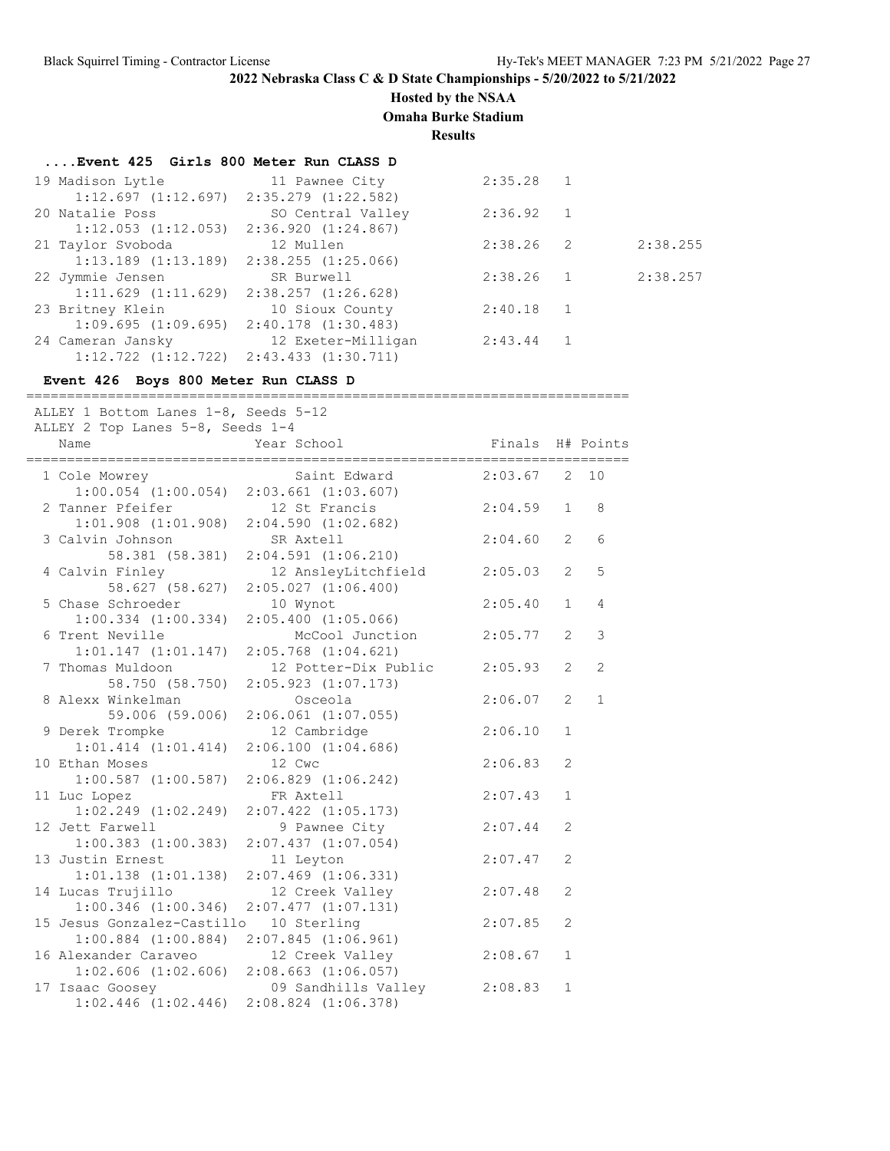## **Hosted by the NSAA**

**Omaha Burke Stadium**

**Results**

### **....Event 425 Girls 800 Meter Run CLASS D**

| 19 Madison Lytle                                | 11 Pawnee City          | 2:35.28     |                |          |
|-------------------------------------------------|-------------------------|-------------|----------------|----------|
| $1:12.697$ $(1:12.697)$ $2:35.279$ $(1:22.582)$ |                         |             |                |          |
| 20 Natalie Poss                                 | SO Central Valley       | 2:36.92 1   |                |          |
| $1:12.053$ $(1:12.053)$ $2:36.920$ $(1:24.867)$ |                         |             |                |          |
| 21 Taylor Svoboda                               | 12 Mullen               | 2:38.26     | $\overline{2}$ | 2:38.255 |
| $1:13.189$ $(1:13.189)$ $2:38.255$ $(1:25.066)$ |                         |             |                |          |
| 22 Jymmie Jensen                                | SR Burwell              | $2:38.26$ 1 |                | 2:38.257 |
| 1:11.629(1:11.629)                              | 2:38.257 (1:26.628)     |             |                |          |
| 23 Britney Klein                                | 10 Sioux County         | 2:40.18     |                |          |
| 1:09.695(1:09.695)                              | $2:40.178$ $(1:30.483)$ |             |                |          |
| 24 Cameran Jansky                               | 12 Exeter-Milligan      | 2:43.44     |                |          |
| $1:12.722$ $(1:12.722)$ $2:43.433$ $(1:30.711)$ |                         |             |                |          |

### **Event 426 Boys 800 Meter Run CLASS D**

| ALLEY 1 Bottom Lanes 1-8, Seeds 5-12<br>ALLEY 2 Top Lanes 5-8, Seeds 1-4 |                                     |                  |                |                |
|--------------------------------------------------------------------------|-------------------------------------|------------------|----------------|----------------|
| Name                                                                     | Year School                         | Finals H# Points |                |                |
| 1 Cole Mowrey                                                            | Saint Edward                        | $2:03.67$ 2 10   |                |                |
| $1:00.054$ $(1:00.054)$ $2:03.661$ $(1:03.607)$                          |                                     |                  |                |                |
| 2 Tanner Pfeifer                                                         | 12 St Francis                       | 2:04.59          | $\mathbf{1}$   | 8              |
| $1:01.908$ $(1:01.908)$ $2:04.590$ $(1:02.682)$                          |                                     |                  |                |                |
| 3 Calvin Johnson                                                         | SR Axtell                           | 2:04.60          | $\overline{2}$ | 6              |
| 58.381 (58.381)                                                          | $2:04.591$ $(1:06.210)$             |                  |                |                |
| 4 Calvin Finley                                                          | 12 AnsleyLitchfield                 | 2:05.03          | $\overline{2}$ | 5              |
| 58.627 (58.627)                                                          | $2:05.027$ $(1:06.400)$             |                  |                |                |
| 5 Chase Schroeder                                                        | 10 Wynot                            | 2:05.40          | $\mathbf{1}$   | 4              |
| $1:00.334$ $(1:00.334)$ $2:05.400$ $(1:05.066)$                          |                                     |                  |                |                |
| 6 Trent Neville                                                          | McCool Junction                     | 2:05.77          | 2              | 3              |
| $1:01.147$ $(1:01.147)$ $2:05.768$ $(1:04.621)$                          |                                     |                  |                |                |
| 7 Thomas Muldoon                                                         | 12 Potter-Dix Public                | 2:05.93          | 2              | $\overline{2}$ |
|                                                                          | 58.750 (58.750) 2:05.923 (1:07.173) |                  |                |                |
| 8 Alexx Winkelman                                                        | Osceola                             | 2:06.07          | $\overline{2}$ | $\mathbf{1}$   |
|                                                                          | 59.006 (59.006) 2:06.061 (1:07.055) |                  |                |                |
| 9 Derek Trompke                                                          | 12 Cambridge                        | 2:06.10          | $\mathbf{1}$   |                |
| $1:01.414$ $(1:01.414)$ $2:06.100$ $(1:04.686)$                          |                                     |                  |                |                |
| 10 Ethan Moses                                                           | 12 Cwc                              | 2:06.83          | $\overline{2}$ |                |
| $1:00.587$ $(1:00.587)$                                                  | $2:06.829$ $(1:06.242)$             |                  |                |                |
| 11 Luc Lopez                                                             | FR Axtell                           | 2:07.43          | 1              |                |
| $1:02.249$ $(1:02.249)$                                                  | $2:07.422$ $(1:05.173)$             |                  |                |                |
| 12 Jett Farwell                                                          | 9 Pawnee City                       | 2:07.44          | $\overline{2}$ |                |
| $1:00.383$ $(1:00.383)$                                                  | $2:07.437$ $(1:07.054)$             |                  |                |                |
| 13 Justin Ernest                                                         | 11 Leyton                           | 2:07.47          | $\mathfrak{D}$ |                |
| $1:01.138$ $(1:01.138)$                                                  | $2:07.469$ $(1:06.331)$             |                  |                |                |
| 14 Lucas Trujillo                                                        | 12 Creek Valley                     | 2:07.48          | $\overline{2}$ |                |
| $1:00.346$ $(1:00.346)$                                                  | $2:07.477$ $(1:07.131)$             |                  |                |                |
| 15 Jesus Gonzalez-Castillo                                               | 10 Sterling                         | 2:07.85          | $\overline{2}$ |                |
| $1:00.884$ $(1:00.884)$                                                  | $2:07.845$ $(1:06.961)$             |                  |                |                |
| 16 Alexander Caraveo                                                     | 12 Creek Valley                     | 2:08.67          | $\mathbf{1}$   |                |
| $1:02.606$ $(1:02.606)$ $2:08.663$ $(1:06.057)$                          |                                     |                  |                |                |
| 17 Isaac Goosey                                                          | 09 Sandhills Valley                 | 2:08.83          | $\mathbf{1}$   |                |
| $1:02.446$ $(1:02.446)$ $2:08.824$ $(1:06.378)$                          |                                     |                  |                |                |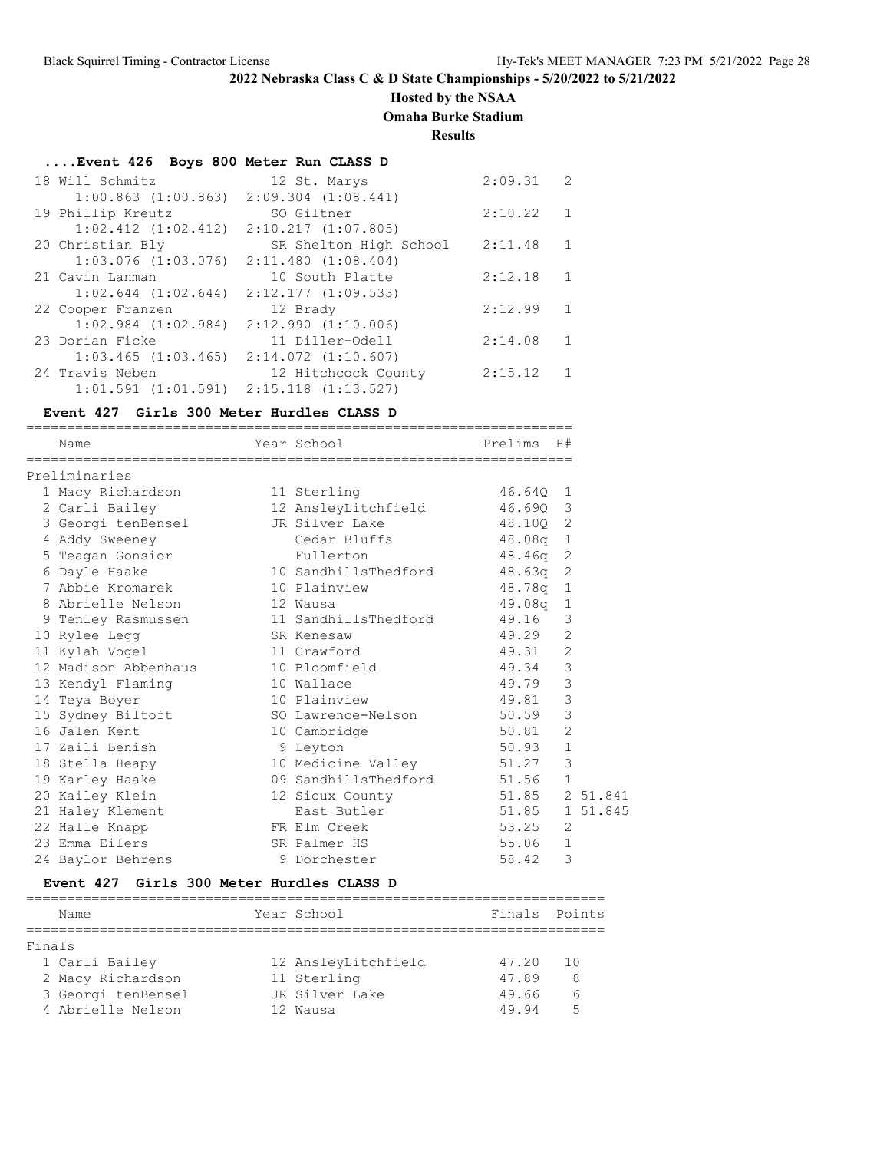# **Hosted by the NSAA**

**Omaha Burke Stadium**

**Results**

# **....Event 426 Boys 800 Meter Run CLASS D**

| 18 Will Schmitz                                 | 12 St. Marys            | 2:09.31 | $\mathcal{L}$ |
|-------------------------------------------------|-------------------------|---------|---------------|
| $1:00.863$ $(1:00.863)$                         | $2:09.304$ $(1:08.441)$ |         |               |
| 19 Phillip Kreutz                               | SO Giltner              | 2:10.22 |               |
| $1:02.412$ $(1:02.412)$                         | 2:10.217(1:07.805)      |         |               |
| 20 Christian Bly                                | SR Shelton High School  | 2:11.48 |               |
| $1:03.076$ $(1:03.076)$                         | $2:11.480$ $(1:08.404)$ |         |               |
| 21 Cavin Lanman                                 | 10 South Platte         | 2:12.18 | 1             |
| $1:02.644$ $(1:02.644)$                         | $2:12.177$ $(1:09.533)$ |         |               |
| 22 Cooper Franzen                               | 12 Brady                | 2:12.99 |               |
| $1:02.984$ $(1:02.984)$                         | 2:12.990(1:10.006)      |         |               |
| 23 Dorian Ficke                                 | 11 Diller-Odell         | 2:14.08 | 1             |
| $1:03.465$ $(1:03.465)$ $2:14.072$ $(1:10.607)$ |                         |         |               |
| 24 Travis Neben                                 | 12 Hitchcock County     | 2:15.12 |               |
| $1:01.591$ $(1:01.591)$ $2:15.118$ $(1:13.527)$ |                         |         |               |

### **Event 427 Girls 300 Meter Hurdles CLASS D**

| Name                              | Year School                   | Prelims H#     |                |  |
|-----------------------------------|-------------------------------|----------------|----------------|--|
| Preliminaries                     |                               |                |                |  |
| 1 Macy Richardson                 | 11 Sterling                   | 46.640 1       |                |  |
| 2 Carli Bailey                    | 12 AnsleyLitchfield           | 46.690 3       |                |  |
| 3 Georgi tenBensel JR Silver Lake |                               | 48.100 2       |                |  |
| 4 Addy Sweeney                    | Cedar Bluffs                  | 48.08a 1       |                |  |
| 5 Teagan Gonsior                  | Fullerton                     | 48.46q 2       |                |  |
| 6 Dayle Haake                     | 10 SandhillsThedford 48.63q 2 |                |                |  |
| 7 Abbie Kromarek                  | 10 Plainview                  | 48.78q 1       |                |  |
| 8 Abrielle Nelson                 | 12 Wausa                      | 49.08q 1       |                |  |
| 9 Tenley Rasmussen                | 11 SandhillsThedford 49.16 3  |                |                |  |
| 10 Rylee Legg                     | SR Kenesaw                    | 49.29          | 2              |  |
| 11 Kylah Voqel                    | 11 Crawford                   | 49.31 2        |                |  |
| 12 Madison Abbenhaus              | 10 Bloomfield                 | 49.34 3        |                |  |
| 13 Kendyl Flaming                 | 10 Wallace                    | 49.79          | 3              |  |
| 14 Teya Boyer                     | 10 Plainview                  | 49.81          | 3              |  |
| 15 Sydney Biltoft                 | SO Lawrence-Nelson 50.59      |                | 3              |  |
| 16 Jalen Kent                     | 10 Cambridge                  | 50.81          | $\overline{2}$ |  |
| 17 Zaili Benish                   | 9 Leyton                      | 50.93          | $\mathbf{1}$   |  |
| 18 Stella Heapy                   | 10 Medicine Valley 51.27      |                | $\mathcal{E}$  |  |
| 19 Karley Haake                   | 09 SandhillsThedford 51.56    |                | $\mathbf{1}$   |  |
| 20 Kailey Klein                   | 12 Sioux County               | 51.85 2 51.841 |                |  |
| 21 Haley Klement                  | East Butler                   | 51.85 1 51.845 |                |  |
| 22 Halle Knapp                    | FR Elm Creek                  | 53.25          | 2              |  |
| 23 Emma Eilers                    | SR Palmer HS                  | 55.06          | $\mathbf{1}$   |  |
| 24 Baylor Behrens                 | 9 Dorchester                  | 58.42          | 3              |  |

### **Event 427 Girls 300 Meter Hurdles CLASS D**

|        | Name               | Year School         | Finals Points |     |
|--------|--------------------|---------------------|---------------|-----|
|        |                    |                     |               |     |
| Finals |                    |                     |               |     |
|        | 1 Carli Bailey     | 12 AnsleyLitchfield | 47.20         | 1 O |
|        | 2 Macy Richardson  | 11 Sterling         | 47.89         | 8   |
|        | 3 Georgi tenBensel | JR Silver Lake      | 49.66         | 6   |
|        | 4 Abrielle Nelson  | 12 Wausa            | 49 94         | ς   |
|        |                    |                     |               |     |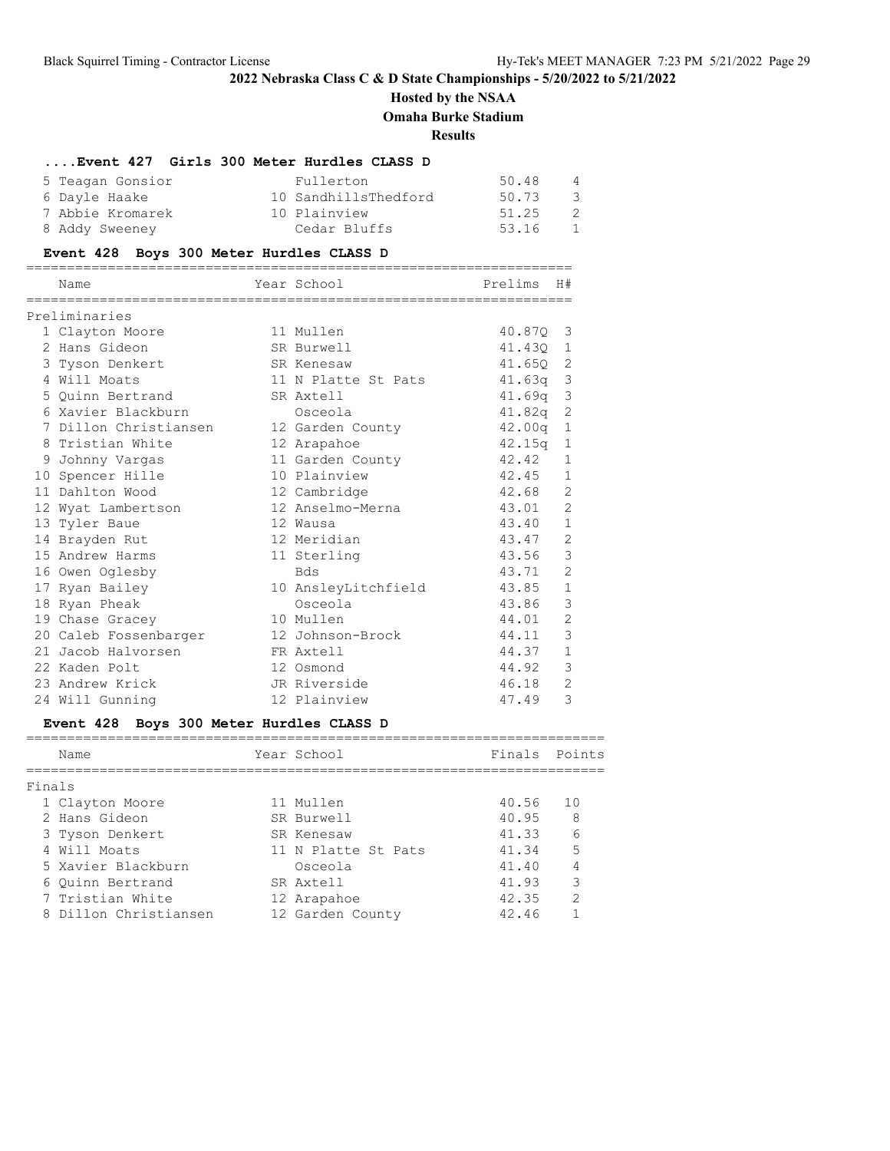# **Hosted by the NSAA Omaha Burke Stadium**

# **Results**

## **....Event 427 Girls 300 Meter Hurdles CLASS D**

| 5 Teagan Gonsior | Fullerton            | 50.48 | 4   |
|------------------|----------------------|-------|-----|
| 6 Dayle Haake    | 10 SandhillsThedford | 50.73 | - 3 |
| 7 Abbie Kromarek | 10 Plainview         | 51.25 | - 2 |
| 8 Addy Sweeney   | Cedar Bluffs         | 53.16 | 1   |

## **Event 428 Boys 300 Meter Hurdles CLASS D**

|   | Name                  | Year School         | Prelims            | H#             |
|---|-----------------------|---------------------|--------------------|----------------|
|   |                       |                     |                    |                |
|   | Preliminaries         |                     |                    |                |
|   | 1 Clayton Moore       | 11 Mullen           | 40.870             | 3              |
|   | 2 Hans Gideon         | SR Burwell          | 41.430             | 1              |
|   | 3 Tyson Denkert       | SR Kenesaw          | 41.650             | 2              |
|   | 4 Will Moats          | 11 N Platte St Pats | 41.63a             | 3              |
|   | 5 Ouinn Bertrand      | SR Axtell           | 41.69q             | 3              |
|   | 6 Xavier Blackburn    | Osceola             | 41.82q             | 2              |
|   | 7 Dillon Christiansen | 12 Garden County    | 42.00 <sub>q</sub> | 1              |
|   | 8 Tristian White      | 12 Arapahoe         | 42.15q             | $\mathbf 1$    |
| 9 | Johnny Vargas         | 11 Garden County    | 42.42              | $\mathbf{1}$   |
|   | 10 Spencer Hille      | 10 Plainview        | 42.45              | $\mathbf{1}$   |
|   | 11 Dahlton Wood       | 12 Cambridge        | 42.68              | $\overline{2}$ |
|   | 12 Wyat Lambertson    | 12 Anselmo-Merna    | 43.01              | $\overline{2}$ |
|   | 13 Tyler Baue         | 12 Wausa            | 43.40              | $\mathbf{1}$   |
|   | 14 Brayden Rut        | 12 Meridian         | 43.47              | $\overline{2}$ |
|   | 15 Andrew Harms       | 11 Sterling         | 43.56              | 3              |
|   | 16 Owen Oglesby       | <b>Bds</b>          | 43.71              | $\mathfrak{D}$ |
|   | 17 Ryan Bailey        | 10 AnsleyLitchfield | 43.85              | $\mathbf{1}$   |
|   | 18 Ryan Pheak         | Osceola             | 43.86              | 3              |
|   | 19 Chase Gracey       | 10 Mullen           | 44.01              | 2              |
|   | 20 Caleb Fossenbarger | 12 Johnson-Brock    | 44.11              | 3              |
|   | 21 Jacob Halvorsen    | FR Axtell           | 44.37              | $\mathbf{1}$   |
|   | 22 Kaden Polt         | 12 Osmond           | 44.92              | 3              |
|   | 23 Andrew Krick       | JR Riverside        | 46.18              | $\overline{2}$ |
|   | 24 Will Gunning       | 12 Plainview        | 47.49              | 3              |

# **Event 428 Boys 300 Meter Hurdles CLASS D**

|        | Name                  | Year School         | Finals Points |                 |
|--------|-----------------------|---------------------|---------------|-----------------|
| Finals |                       |                     |               |                 |
|        | 1 Clayton Moore       | 11 Mullen           | 40.56         | 1 O             |
|        | 2 Hans Gideon         | SR Burwell          | 40.95         | -8              |
|        | 3 Tyson Denkert       | SR Kenesaw          | 41.33         | $6\overline{6}$ |
|        | 4 Will Moats          | 11 N Platte St Pats | 41.34         | 5               |
|        | 5 Xavier Blackburn    | Osceola             | 41.40         |                 |
|        | 6 Ouinn Bertrand      | SR Axtell           | 41.93         | 3               |
|        | 7 Tristian White      | 12 Arapahoe         | 42.35         | $\mathcal{P}$   |
|        | 8 Dillon Christiansen | 12 Garden County    | 42.46         |                 |
|        |                       |                     |               |                 |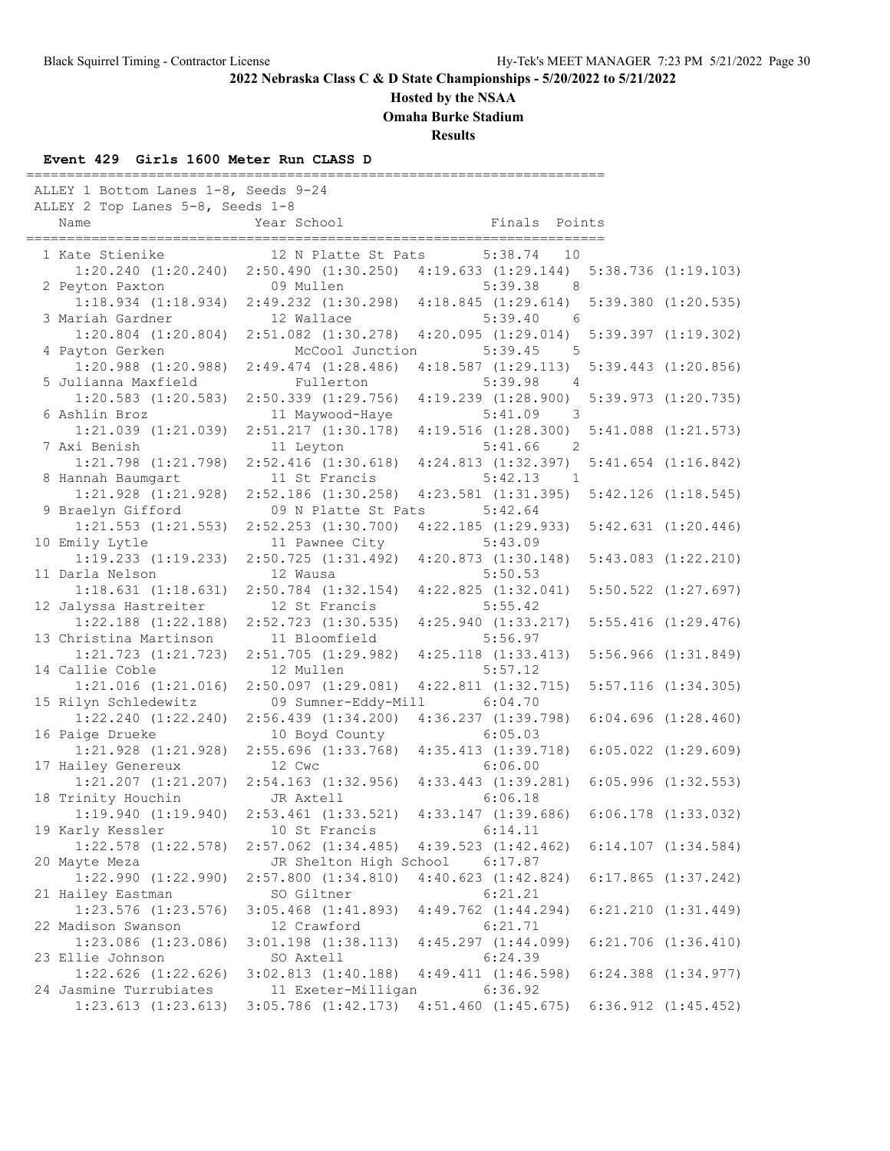## **Hosted by the NSAA**

**Omaha Burke Stadium**

**Results**

### **Event 429 Girls 1600 Meter Run CLASS D**

| ALLEY 1 Bottom Lanes 1-8, Seeds 9-24<br>ALLEY 2 Top Lanes 5-8, Seeds 1-8 |                                                 |                                                 |                         |
|--------------------------------------------------------------------------|-------------------------------------------------|-------------------------------------------------|-------------------------|
| Name                                                                     | Year School                                     | Finals Points                                   |                         |
| 1 Kate Stienike                                                          | 12 N Platte St Pats                             | 5:38.74<br>10                                   |                         |
| 1:20.240(1:20.240)                                                       |                                                 | $2:50.490$ $(1:30.250)$ $4:19.633$ $(1:29.144)$ | $5:38.736$ $(1:19.103)$ |
| 2 Peyton Paxton                                                          | 09 Mullen                                       | 5:39.38<br>- 8                                  |                         |
| $1:18.934$ $(1:18.934)$                                                  |                                                 | $2:49.232$ $(1:30.298)$ $4:18.845$ $(1:29.614)$ | $5:39.380$ $(1:20.535)$ |
| 3 Mariah Gardner                                                         | 12 Wallace                                      | 5:39.40<br>6                                    |                         |
| $1:20.804$ $(1:20.804)$                                                  | 2:51.082 (1:30.278)                             | 4:20.095(1:29.014)                              | $5:39.397$ $(1:19.302)$ |
| 4 Payton Gerken                                                          | McCool Junction                                 | 5:39.45<br>$5^{\circ}$                          |                         |
| $1:20.988$ $(1:20.988)$                                                  | $2:49.474$ $(1:28.486)$                         | 4:18.587(1:29.113)                              | $5:39.443$ $(1:20.856)$ |
| 5 Julianna Maxfield                                                      | Fullerton                                       | 5:39.98<br>$\overline{4}$                       |                         |
| $1:20.583$ $(1:20.583)$                                                  | $2:50.339$ $(1:29.756)$                         | 4:19.239(1:28.900)                              | $5:39.973$ $(1:20.735)$ |
| 6 Ashlin Broz                                                            | 11 Maywood-Haye                                 | 5:41.09<br>$\overline{\phantom{a}}$             |                         |
| 1:21.039 (1:21.039)                                                      | 2:51.217(1:30.178)                              | 4:19.516(1:28.300)                              | $5:41.088$ $(1:21.573)$ |
| 7 Axi Benish                                                             | 11 Leyton                                       | 5:41.66<br>$\overline{\phantom{0}}^2$           |                         |
| 1:21.798 (1:21.798)                                                      | $2:52.416$ $(1:30.618)$                         | 4:24.813(1:32.397)                              | $5:41.654$ $(1:16.842)$ |
| 8 Hannah Baumgart                                                        | 11 St Francis                                   | 5:42.13<br>$\sim$ 1                             |                         |
| $1:21.928$ $(1:21.928)$                                                  | $2:52.186$ $(1:30.258)$                         | $4:23.581$ $(1:31.395)$                         | $5:42.126$ $(1:18.545)$ |
| 9 Braelyn Gifford                                                        | 09 N Platte St Pats                             | 5:42.64                                         |                         |
| $1:21.553$ $(1:21.553)$                                                  | $2:52.253$ $(1:30.700)$                         | $4:22.185$ $(1:29.933)$                         | $5:42.631$ $(1:20.446)$ |
| 10 Emily Lytle<br>$1:19.233$ $(1:19.233)$                                | 11 Pawnee City<br>2:50.725(1:31.492)            | 5:43.09<br>$4:20.873$ $(1:30.148)$              | $5:43.083$ $(1:22.210)$ |
| 11 Darla Nelson                                                          | 12 Wausa                                        | 5:50.53                                         |                         |
| 1:18.631(1:18.631)                                                       | $2:50.784$ $(1:32.154)$                         | $4:22.825$ $(1:32.041)$                         | $5:50.522$ $(1:27.697)$ |
| 12 Jalyssa Hastreiter                                                    | 12 St Francis                                   | 5:55.42                                         |                         |
| $1:22.188$ $(1:22.188)$                                                  | $2:52.723$ $(1:30.535)$                         | $4:25.940$ $(1:33.217)$                         | $5:55.416$ $(1:29.476)$ |
| 13 Christina Martinson                                                   | 11 Bloomfield                                   | 5:56.97                                         |                         |
| $1:21.723$ $(1:21.723)$                                                  | $2:51.705$ $(1:29.982)$                         | $4:25.118$ $(1:33.413)$                         | $5:56.966$ $(1:31.849)$ |
| 14 Callie Coble                                                          | 12 Mullen                                       | 5:57.12                                         |                         |
| $1:21.016$ $(1:21.016)$                                                  | $2:50.097$ $(1:29.081)$                         | $4:22.811$ $(1:32.715)$                         | $5:57.116$ $(1:34.305)$ |
| 15 Rilyn Schledewitz                                                     | 09 Sumner-Eddy-Mill                             | 6:04.70                                         |                         |
| $1:22.240$ $(1:22.240)$                                                  | 2:56.439(1:34.200)                              | 4:36.237 (1:39.798)                             | $6:04.696$ $(1:28.460)$ |
| 16 Paige Drueke                                                          | 10 Boyd County                                  | 6:05.03                                         |                         |
| $1:21.928$ $(1:21.928)$                                                  |                                                 | 2:55.696 (1:33.768) 4:35.413 (1:39.718)         | $6:05.022$ $(1:29.609)$ |
| 17 Hailey Genereux                                                       | 12 Cwc                                          | 6:06.00                                         |                         |
| $1:21.207$ $(1:21.207)$                                                  | $2:54.163$ $(1:32.956)$ $4:33.443$ $(1:39.281)$ |                                                 | $6:05.996$ $(1:32.553)$ |
| 18 Trinity Houchin                                                       | JR Axtell                                       | 6:06.18                                         |                         |
| 1:19.940(1:19.940)                                                       | $2:53.461$ $(1:33.521)$                         | 4:33.147(1:39.686)                              | $6:06.178$ $(1:33.032)$ |
| 19 Karly Kessler                                                         | 10 St Francis                                   | 6:14.11                                         |                         |
| $1:22.578$ $(1:22.578)$                                                  | $2:57.062$ $(1:34.485)$                         | $4:39.523$ $(1:42.462)$                         | $6:14.107$ $(1:34.584)$ |
| 20 Mayte Meza                                                            | JR Shelton High School                          | 6:17.87                                         |                         |
| $1:22.990$ $(1:22.990)$                                                  | $2:57.800$ $(1:34.810)$                         | $4:40.623$ $(1:42.824)$                         | $6:17.865$ $(1:37.242)$ |
| 21 Hailey Eastman                                                        | SO Giltner                                      | 6:21.21                                         |                         |
| 1:23.576 (1:23.576)                                                      | $3:05.468$ $(1:41.893)$<br>12 Crawford          | $4:49.762$ $(1:44.294)$                         | $6:21.210$ $(1:31.449)$ |
| 22 Madison Swanson                                                       |                                                 | 6:21.71                                         | $6:21.706$ $(1:36.410)$ |
| $1:23.086$ $(1:23.086)$<br>23 Ellie Johnson                              | $3:01.198$ $(1:38.113)$<br>SO Axtell            | $4:45.297$ $(1:44.099)$<br>6:24.39              |                         |
| $1:22.626$ $(1:22.626)$                                                  | $3:02.813$ $(1:40.188)$                         | 4:49.411(1:46.598)                              | $6:24.388$ $(1:34.977)$ |
| 24 Jasmine Turrubiates                                                   | 11 Exeter-Milligan                              | 6:36.92                                         |                         |
| $1:23.613$ $(1:23.613)$                                                  | $3:05.786$ $(1:42.173)$                         | $4:51.460$ $(1:45.675)$                         | $6:36.912$ $(1:45.452)$ |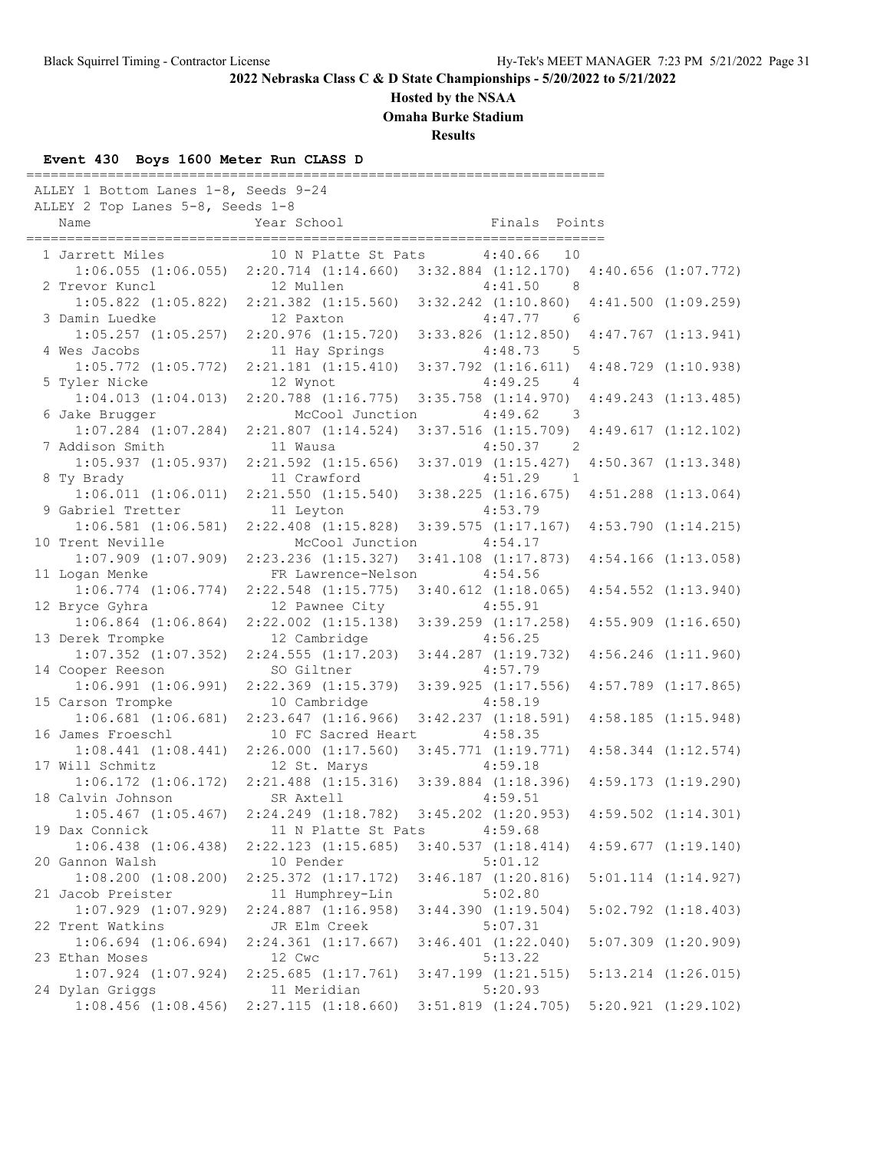## **Hosted by the NSAA**

**Omaha Burke Stadium**

**Results**

## **Event 430 Boys 1600 Meter Run CLASS D**

| ALLEY 1 Bottom Lanes 1-8, Seeds 9-24<br>ALLEY 2 Top Lanes 5-8, Seeds 1-8 |                                                                         |                                                                                 |                         |
|--------------------------------------------------------------------------|-------------------------------------------------------------------------|---------------------------------------------------------------------------------|-------------------------|
| Name                                                                     | Year School                                                             | Finals Points                                                                   |                         |
| 1 Jarrett Miles                                                          | 10 N Platte St Pats                                                     | 4:40.66<br>10                                                                   |                         |
|                                                                          |                                                                         | 1:06.055 (1:06.055) 2:20.714 (1:14.660) 3:32.884 (1:12.170) 4:40.656 (1:07.772) |                         |
| 2 Trevor Kuncl                                                           | 12 Mullen                                                               | 4:41.50<br>- 8                                                                  |                         |
|                                                                          | $1:05.822$ $(1:05.822)$ $2:21.382$ $(1:15.560)$                         | $3:32.242$ $(1:10.860)$ $4:41.500$ $(1:09.259)$                                 |                         |
| 3 Damin Luedke                                                           | 12 Paxton                                                               | 4:47.77<br>6                                                                    |                         |
| $1:05.257$ $(1:05.257)$                                                  | 2:20.976(1:15.720)                                                      | $3:33.826$ $(1:12.850)$ $4:47.767$ $(1:13.941)$                                 |                         |
| 4 Wes Jacobs                                                             | 11 Hay Springs                                                          | $4:48.73$ 5                                                                     |                         |
| $1:05.772$ $(1:05.772)$                                                  | $2:21.181$ $(1:15.410)$                                                 | $3:37.792$ $(1:16.611)$                                                         | $4:48.729$ $(1:10.938)$ |
| 5 Tyler Nicke                                                            | 12 Wynot                                                                | 4:49.25<br>$\overline{4}$                                                       |                         |
| 1:04.013(1:04.013)                                                       | $2:20.788$ $(1:16.775)$                                                 | $3:35.758$ $(1:14.970)$                                                         | $4:49.243$ $(1:13.485)$ |
| 6 Jake Brugger                                                           | McCool Junction                                                         | 4:49.62<br>$\overline{\phantom{a}}$                                             |                         |
| $1:07.284$ $(1:07.284)$                                                  | $2:21.807$ $(1:14.524)$                                                 | $3:37.516$ $(1:15.709)$ $4:49.617$ $(1:12.102)$                                 |                         |
| 7 Addison Smith                                                          | 11 Wausa                                                                | $4:50.37$ 2                                                                     |                         |
| $1:05.937$ $(1:05.937)$                                                  | $2:21.592$ $(1:15.656)$                                                 | $3:37.019$ $(1:15.427)$                                                         | $4:50.367$ $(1:13.348)$ |
| 8 Ty Brady                                                               | 11 Crawford                                                             | 4:51.29<br>$\overline{1}$                                                       |                         |
| $1:06.011$ $(1:06.011)$                                                  | 2:21.550(1:15.540)                                                      | $3:38.225$ $(1:16.675)$                                                         | $4:51.288$ $(1:13.064)$ |
| 9 Gabriel Tretter                                                        | 11 Leyton                                                               | 4:53.79                                                                         |                         |
| $1:06.581$ $(1:06.581)$                                                  | $2:22.408$ $(1:15.828)$                                                 | $3:39.575$ $(1:17.167)$                                                         | $4:53.790$ $(1:14.215)$ |
| 10 Trent Neville                                                         | McCool Junction                                                         | 4:54.17                                                                         |                         |
| $1:07.909$ $(1:07.909)$                                                  | $2:23.236$ $(1:15.327)$                                                 | $3:41.108$ $(1:17.873)$                                                         | $4:54.166$ $(1:13.058)$ |
| 11 Logan Menke<br>$1:06.774$ $(1:06.774)$                                | FR Lawrence-Nelson<br>$2:22.548$ $(1:15.775)$                           | 4:54.56                                                                         |                         |
| 12 Bryce Gyhra                                                           | 12 Pawnee City                                                          | $3:40.612$ $(1:18.065)$<br>4:55.91                                              | $4:54.552$ $(1:13.940)$ |
| $1:06.864$ $(1:06.864)$                                                  | $2:22.002$ $(1:15.138)$                                                 | $3:39.259$ $(1:17.258)$                                                         | $4:55.909$ $(1:16.650)$ |
| 13 Derek Trompke                                                         | 12 Cambridge                                                            | 4:56.25                                                                         |                         |
| $1:07.352$ $(1:07.352)$                                                  | 2:24.555(1:17.203)                                                      | $3:44.287$ $(1:19.732)$                                                         | $4:56.246$ $(1:11.960)$ |
| 14 Cooper Reeson                                                         | SO Giltner                                                              | 4:57.79                                                                         |                         |
| $1:06.991$ $(1:06.991)$                                                  | $2:22.369$ $(1:15.379)$                                                 | $3:39.925$ $(1:17.556)$                                                         | $4:57.789$ $(1:17.865)$ |
| 15 Carson Trompke                                                        | 10 Cambridge                                                            | 4:58.19                                                                         |                         |
| $1:06.681$ $(1:06.681)$                                                  | 2:23.647(1:16.966)                                                      | $3:42.237$ $(1:18.591)$                                                         | $4:58.185$ $(1:15.948)$ |
| 16 James Froeschl                                                        | 10 FC Sacred Heart                                                      | 4:58.35                                                                         |                         |
| 1:08.441(1:08.441)                                                       | 2:26.000(1:17.560)                                                      | $3:45.771$ $(1:19.771)$                                                         | $4:58.344$ $(1:12.574)$ |
| 17 Will Schmitz                                                          | 12 St. Marys                                                            | 4:59.18                                                                         |                         |
|                                                                          | $1:06.172$ $(1:06.172)$ $2:21.488$ $(1:15.316)$ $3:39.884$ $(1:18.396)$ |                                                                                 | $4:59.173$ $(1:19.290)$ |
| 18 Calvin Johnson                                                        | SR Axtell                                                               | 4:59.51                                                                         |                         |
| $1:05.467$ $(1:05.467)$                                                  |                                                                         | 2:24.249 (1:18.782) 3:45.202 (1:20.953) 4:59.502 (1:14.301)                     |                         |
| 19 Dax Connick                                                           | 11 N Platte St Pats                                                     | 4:59.68                                                                         |                         |
| $1:06.438$ $(1:06.438)$                                                  | $2:22.123$ $(1:15.685)$                                                 | 3:40.537(1:18.414)                                                              | $4:59.677$ $(1:19.140)$ |
| 20 Gannon Walsh                                                          | 10 Pender                                                               | 5:01.12                                                                         |                         |
| $1:08.200$ $(1:08.200)$                                                  | $2:25.372$ $(1:17.172)$                                                 | $3:46.187$ $(1:20.816)$                                                         | $5:01.114$ $(1:14.927)$ |
| 21 Jacob Preister                                                        | 11 Humphrey-Lin                                                         | 5:02.80                                                                         |                         |
| $1:07.929$ $(1:07.929)$                                                  | $2:24.887$ $(1:16.958)$                                                 | $3:44.390$ $(1:19.504)$                                                         | $5:02.792$ $(1:18.403)$ |
| 22 Trent Watkins                                                         | JR Elm Creek                                                            | 5:07.31                                                                         |                         |
|                                                                          |                                                                         |                                                                                 |                         |
| $1:06.694$ $(1:06.694)$                                                  | $2:24.361$ $(1:17.667)$                                                 | $3:46.401$ $(1:22.040)$                                                         | $5:07.309$ $(1:20.909)$ |
| 23 Ethan Moses                                                           | 12 Cwc                                                                  | 5:13.22                                                                         |                         |
| $1:07.924$ $(1:07.924)$<br>24 Dylan Griggs                               | $2:25.685$ $(1:17.761)$<br>11 Meridian                                  | $3:47.199$ $(1:21.515)$<br>5:20.93                                              | $5:13.214$ $(1:26.015)$ |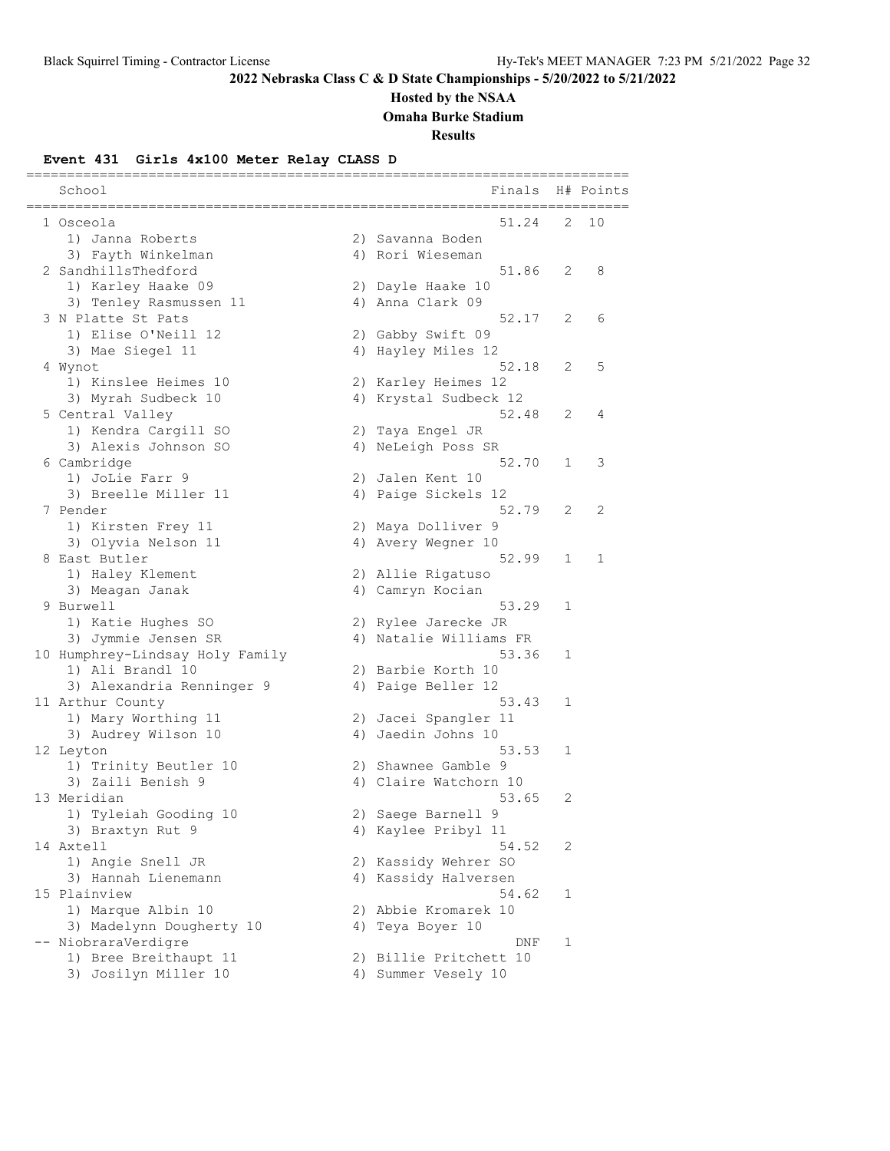# **Hosted by the NSAA**

**Omaha Burke Stadium**

### **Results**

## **Event 431 Girls 4x100 Meter Relay CLASS D**

| School                          | Finals                 |   | H# Points |
|---------------------------------|------------------------|---|-----------|
| 1 Osceola                       | 51.24                  | 2 | 10        |
| 1) Janna Roberts                | 2) Savanna Boden       |   |           |
| 3) Fayth Winkelman              | 4) Rori Wieseman       |   |           |
| 2 SandhillsThedford             | 51.86                  | 2 | 8         |
| 1) Karley Haake 09              | 2) Dayle Haake 10      |   |           |
| 3) Tenley Rasmussen 11          | 4) Anna Clark 09       |   |           |
| 3 N Platte St Pats              | 52.17                  | 2 | 6         |
| 1) Elise O'Neill 12             | 2) Gabby Swift 09      |   |           |
| 3) Mae Siegel 11                | 4) Hayley Miles 12     |   |           |
| 4 Wynot                         | 52.18                  | 2 | 5         |
| 1) Kinslee Heimes 10            | 2) Karley Heimes 12    |   |           |
| 3) Myrah Sudbeck 10             | 4) Krystal Sudbeck 12  |   |           |
| 5 Central Valley                | 52.48                  | 2 | 4         |
| 1) Kendra Cargill SO            | 2) Taya Engel JR       |   |           |
| 3) Alexis Johnson SO            | 4) NeLeigh Poss SR     |   |           |
| 6 Cambridge                     | 52.70                  | 1 | 3         |
| 1) JoLie Farr 9                 | 2) Jalen Kent 10       |   |           |
| 3) Breelle Miller 11            | 4) Paige Sickels 12    |   |           |
| 7 Pender                        | 52.79                  | 2 | 2         |
| 1) Kirsten Frey 11              | 2) Maya Dolliver 9     |   |           |
| 3) Olyvia Nelson 11             | 4) Avery Wegner 10     |   |           |
| 8 East Butler                   | 52.99                  | 1 | 1         |
| 1) Haley Klement                | 2) Allie Rigatuso      |   |           |
| 3) Meagan Janak                 | 4) Camryn Kocian       |   |           |
| 9 Burwell                       | 53.29                  | 1 |           |
| 1) Katie Hughes SO              | 2) Rylee Jarecke JR    |   |           |
| 3) Jymmie Jensen SR             | 4) Natalie Williams FR |   |           |
| 10 Humphrey-Lindsay Holy Family | 53.36                  | 1 |           |
| 1) Ali Brandl 10                | 2) Barbie Korth 10     |   |           |
| 3) Alexandria Renninger 9       | 4) Paige Beller 12     |   |           |
| 11 Arthur County                | 53.43                  | 1 |           |
| 1) Mary Worthing 11             | 2) Jacei Spangler 11   |   |           |
| 3) Audrey Wilson 10             | 4) Jaedin Johns 10     |   |           |
| 12 Leyton                       | 53.53                  | 1 |           |
| 1) Trinity Beutler 10           | 2) Shawnee Gamble 9    |   |           |
| 3) Zaili Benish 9               | 4) Claire Watchorn 10  |   |           |
| 13 Meridian                     | 53.65                  | 2 |           |
| 1) Tyleiah Gooding 10           | 2) Saege Barnell 9     |   |           |
| 3) Braxtyn Rut 9                | 4) Kaylee Pribyl 11    |   |           |
| 14 Axtell                       | 54.52                  | 2 |           |
| 1) Angie Snell JR               | 2) Kassidy Wehrer SO   |   |           |
| 3) Hannah Lienemann             | 4) Kassidy Halversen   |   |           |
| 15 Plainview                    | 54.62                  | 1 |           |
| 1) Marque Albin 10              | 2) Abbie Kromarek 10   |   |           |
| 3) Madelynn Dougherty 10        | 4) Teya Boyer 10       |   |           |
| -- NiobraraVerdigre             | DNF                    | 1 |           |
| 1) Bree Breithaupt 11           | 2) Billie Pritchett 10 |   |           |
| 3) Josilyn Miller 10            | 4) Summer Vesely 10    |   |           |
|                                 |                        |   |           |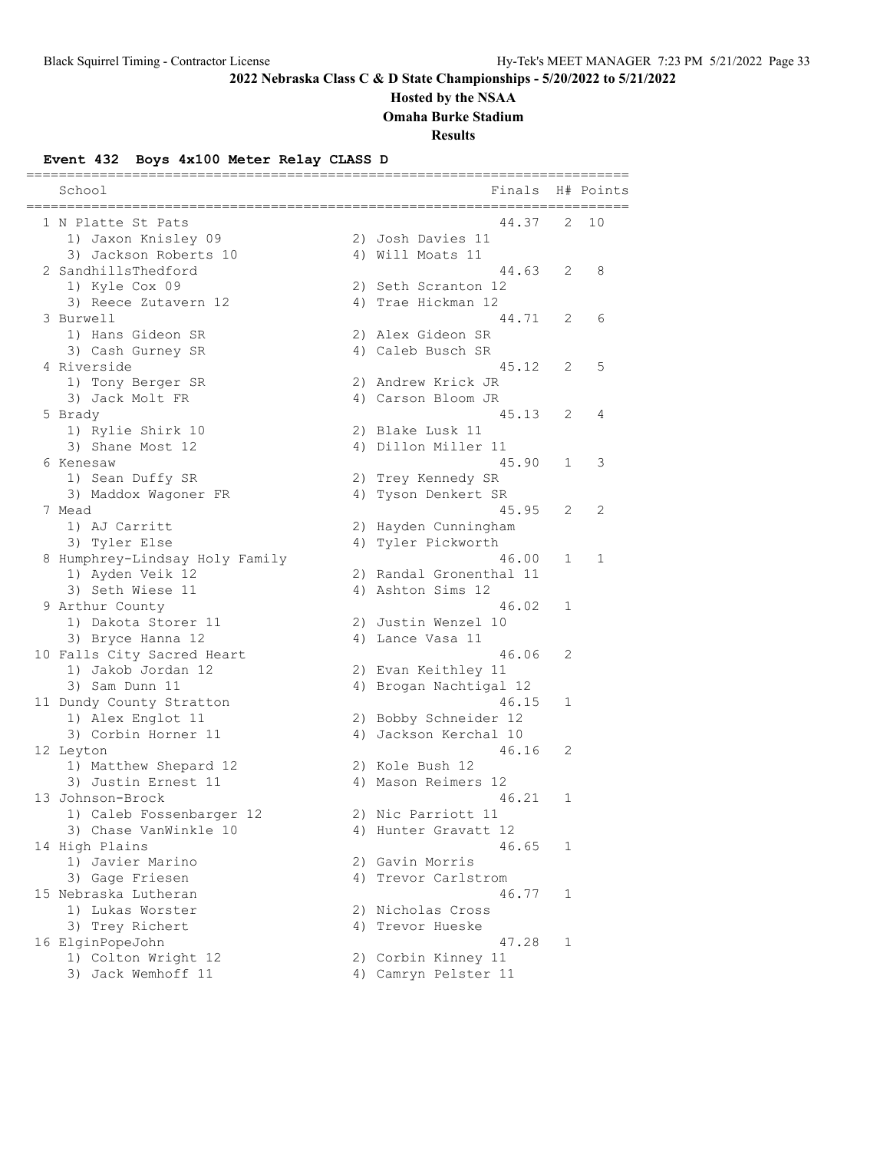# **Hosted by the NSAA**

**Omaha Burke Stadium**

**Results**

## **Event 432 Boys 4x100 Meter Relay CLASS D**

| School                         | Finals                  |   | H# Points |
|--------------------------------|-------------------------|---|-----------|
| 1 N Platte St Pats             | 44.37                   | 2 | 10        |
| 1) Jaxon Knisley 09            | 2) Josh Davies 11       |   |           |
| 3) Jackson Roberts 10          | 4) Will Moats 11        |   |           |
| 2 SandhillsThedford            | 44.63                   | 2 | 8         |
| 1) Kyle Cox 09                 | 2) Seth Scranton 12     |   |           |
| 3) Reece Zutavern 12           | 4) Trae Hickman 12      |   |           |
| 3 Burwell                      | 44.71                   | 2 | 6         |
| 1) Hans Gideon SR              | 2) Alex Gideon SR       |   |           |
| 3) Cash Gurney SR              | 4) Caleb Busch SR       |   |           |
| 4 Riverside                    | 45.12                   | 2 | 5         |
| 1) Tony Berger SR              | 2) Andrew Krick JR      |   |           |
| 3) Jack Molt FR                | 4) Carson Bloom JR      |   |           |
| 5 Brady                        | 45.13                   | 2 | 4         |
| 1) Rylie Shirk 10              | 2) Blake Lusk 11        |   |           |
| 3) Shane Most 12               | 4) Dillon Miller 11     |   |           |
| 6 Kenesaw                      | 45.90                   | 1 | 3         |
| 1) Sean Duffy SR               | 2) Trey Kennedy SR      |   |           |
| 3) Maddox Wagoner FR           | 4) Tyson Denkert SR     |   |           |
| 7 Mead                         | 45.95                   | 2 | 2         |
| 1) AJ Carritt                  | 2) Hayden Cunningham    |   |           |
| 3) Tyler Else                  | 4) Tyler Pickworth      |   |           |
| 8 Humphrey-Lindsay Holy Family | 46.00                   | 1 | 1         |
| 1) Ayden Veik 12               | 2) Randal Gronenthal 11 |   |           |
| 3) Seth Wiese 11               | 4) Ashton Sims 12       |   |           |
| 9 Arthur County                | 46.02                   | 1 |           |
| 1) Dakota Storer 11            | 2) Justin Wenzel 10     |   |           |
| 3) Bryce Hanna 12              | 4) Lance Vasa 11        |   |           |
| 10 Falls City Sacred Heart     | 46.06                   | 2 |           |
| 1) Jakob Jordan 12             | 2) Evan Keithley 11     |   |           |
| 3) Sam Dunn 11                 | 4) Brogan Nachtigal 12  |   |           |
| 11 Dundy County Stratton       | 46.15                   | 1 |           |
| 1) Alex Englot 11              | 2) Bobby Schneider 12   |   |           |
| 3) Corbin Horner 11            | 4) Jackson Kerchal 10   |   |           |
| 12 Leyton                      | 46.16                   | 2 |           |
| 1) Matthew Shepard 12          | 2) Kole Bush 12         |   |           |
| 3) Justin Ernest 11            | 4) Mason Reimers 12     |   |           |
| 13 Johnson-Brock               | 46.21                   | 1 |           |
| 1) Caleb Fossenbarger 12       | 2) Nic Parriott 11      |   |           |
| 3) Chase VanWinkle 10          | 4) Hunter Gravatt 12    |   |           |
| 14 High Plains                 | 46.65                   | 1 |           |
| 1) Javier Marino               | 2) Gavin Morris         |   |           |
| 3) Gage Friesen                | 4) Trevor Carlstrom     |   |           |
| 15 Nebraska Lutheran           | 46.77                   | 1 |           |
| 1) Lukas Worster               | 2) Nicholas Cross       |   |           |
| 3) Trey Richert                | 4) Trevor Hueske        |   |           |
| 16 ElginPopeJohn               | 47.28                   | 1 |           |
| 1) Colton Wright 12            | 2) Corbin Kinney 11     |   |           |
| 3) Jack Wemhoff 11             | 4) Camryn Pelster 11    |   |           |
|                                |                         |   |           |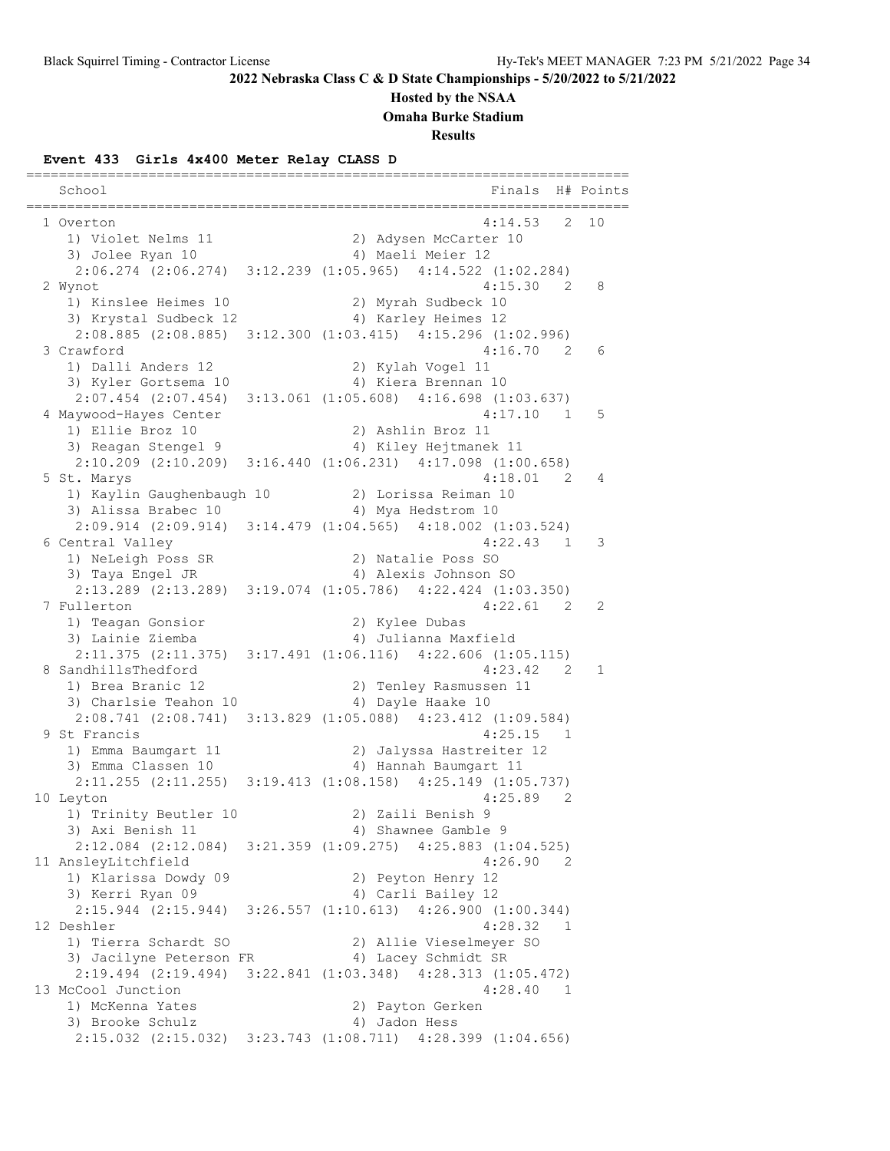### **Hosted by the NSAA**

**Omaha Burke Stadium**

**Results**

### **Event 433 Girls 4x400 Meter Relay CLASS D**

========================================================================== School Finals H# Points ========================================================================== 1 Overton 4:14.53 2 10 1) Violet Nelms 11 2) Adysen McCarter 10 3) Jolee Ryan 10 4) Maeli Meier 12 2:06.274 (2:06.274) 3:12.239 (1:05.965) 4:14.522 (1:02.284) 2 Wynot 4:15.30 2 8 1) Kinslee Heimes 10 2) Myrah Sudbeck 10 3) Krystal Sudbeck 12 1940 (4) Karley Heimes 12 2:08.885 (2:08.885) 3:12.300 (1:03.415) 4:15.296 (1:02.996) 3 Crawford 4:16.70 2 6 1) Dalli Anders 12 2) Kylah Vogel 11 3) Kyler Gortsema 10 4) Kiera Brennan 10 2:07.454 (2:07.454) 3:13.061 (1:05.608) 4:16.698 (1:03.637) 4 Maywood-Hayes Center 4:17.10 1 5 1) Ellie Broz 10 2) Ashlin Broz 11 3) Reagan Stengel 9 4) Kiley Hejtmanek 11 2:10.209 (2:10.209) 3:16.440 (1:06.231) 4:17.098 (1:00.658) 5 St. Marys 4:18.01 2 4 1) Kaylin Gaughenbaugh 10 2) Lorissa Reiman 10 3) Alissa Brabec 10 <a>
4) Mya Hedstrom 10 2:09.914 (2:09.914) 3:14.479 (1:04.565) 4:18.002 (1:03.524) 6 Central Valley 4:22.43 1 3 1) NeLeigh Poss SR 2) Natalie Poss SO 3) Taya Engel JR 4) Alexis Johnson SO 2:13.289 (2:13.289) 3:19.074 (1:05.786) 4:22.424 (1:03.350) 7 Fullerton 4:22.61 2 2 1) Teagan Gonsior 2) Kylee Dubas 3) Lainie Ziemba 4) Julianna Maxfield 2:11.375 (2:11.375) 3:17.491 (1:06.116) 4:22.606 (1:05.115) 8 SandhillsThedford 4:23.42 2 1 1) Brea Branic 12 2) Tenley Rasmussen 11 3) Charlsie Teahon 10  $\hskip1cm$  4) Dayle Haake 10 2:08.741 (2:08.741) 3:13.829 (1:05.088) 4:23.412 (1:09.584) 9 St Francis 4:25.15 1 1) Emma Baumgart 11 2) Jalyssa Hastreiter 12 3) Emma Classen 10 4) Hannah Baumgart 11 2:11.255 (2:11.255) 3:19.413 (1:08.158) 4:25.149 (1:05.737) 10 Leyton 4:25.89 2 1) Trinity Beutler 10 2) Zaili Benish 9 3) Axi Benish 11 (4) Shawnee Gamble 9 2:12.084 (2:12.084) 3:21.359 (1:09.275) 4:25.883 (1:04.525) 11 AnsleyLitchfield 4:26.90 2 1) Klarissa Dowdy 09 2) Peyton Henry 12 3) Kerri Ryan 09 4) Carli Bailey 12 2:15.944 (2:15.944) 3:26.557 (1:10.613) 4:26.900 (1:00.344)  $4:28.32$  1 1) Tierra Schardt SO 2) Allie Vieselmeyer SO 3) Jacilyne Peterson FR 4) Lacey Schmidt SR 2:19.494 (2:19.494) 3:22.841 (1:03.348) 4:28.313 (1:05.472) 13 McCool Junction 4:28.40 1 1) McKenna Yates 2) Payton Gerken 3) Brooke Schulz (4) Jadon Hess 2:15.032 (2:15.032) 3:23.743 (1:08.711) 4:28.399 (1:04.656)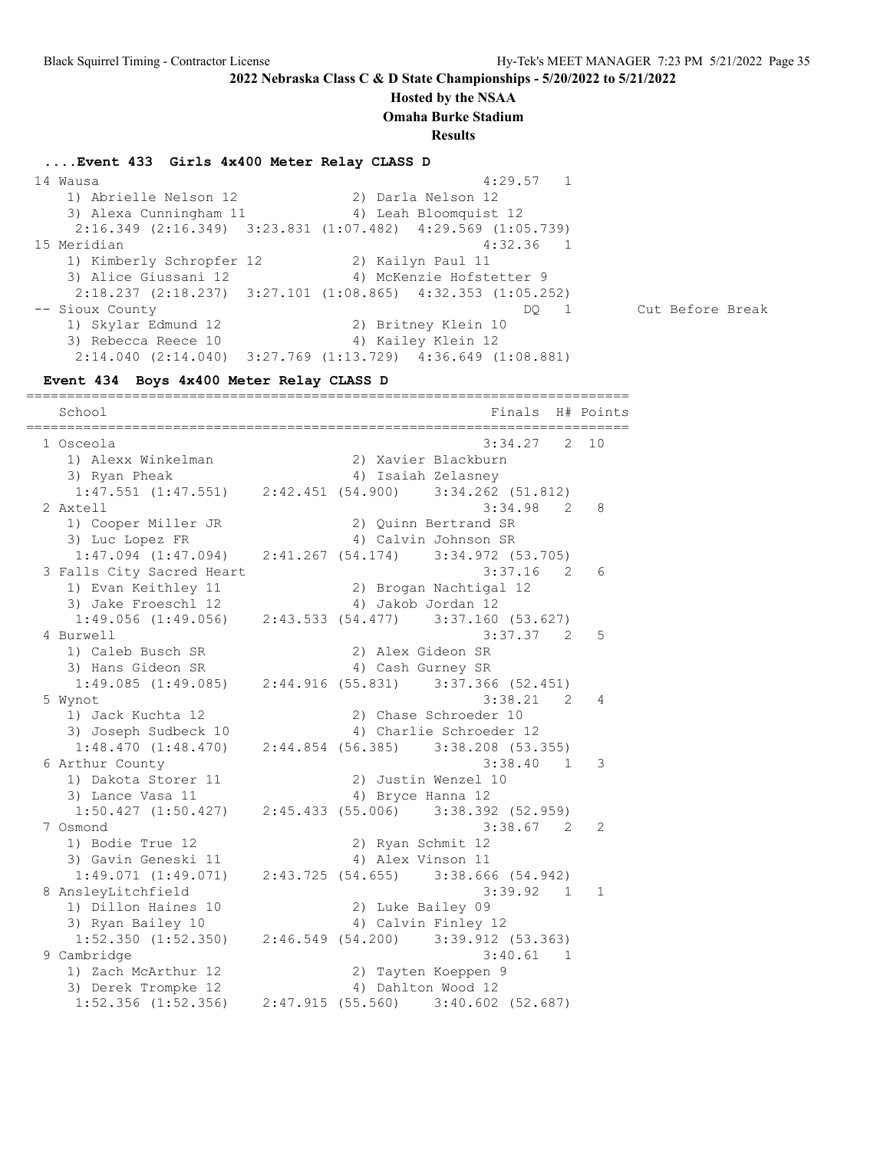### **Hosted by the NSAA**

**Omaha Burke Stadium**

**Results**

**....Event 433 Girls 4x400 Meter Relay CLASS D**

 14 Wausa 4:29.57 1 1) Abrielle Nelson 12 2) Darla Nelson 12 3) Alexa Cunningham 11 4) Leah Bloomquist 12 2:16.349 (2:16.349) 3:23.831 (1:07.482) 4:29.569 (1:05.739) 15 Meridian 4:32.36 1 1) Kimberly Schropfer 12 2) Kailyn Paul 11 3) Alice Giussani 12 4) McKenzie Hofstetter 9 2:18.237 (2:18.237) 3:27.101 (1:08.865) 4:32.353 (1:05.252) -- Sioux County DQ 1 Cut Before Break 1) Skylar Edmund 12 2) Britney Klein 10 3) Rebecca Reece 10 4) Kailey Klein 12 2:14.040 (2:14.040) 3:27.769 (1:13.729) 4:36.649 (1:08.881)

**Event 434 Boys 4x400 Meter Relay CLASS D**

========================================================================== School **Finals** H# Points ========================================================================== 1 Osceola 3:34.27 2 10 1) Alexx Winkelman 2) Xavier Blackburn 3) Ryan Pheak 4) Isaiah Zelasney 1:47.551 (1:47.551) 2:42.451 (54.900) 3:34.262 (51.812) 2 Axtell 3:34.98 2 8 1) Cooper Miller JR 2) Quinn Bertrand SR 3) Luc Lopez FR 4) Calvin Johnson SR 1:47.094 (1:47.094) 2:41.267 (54.174) 3:34.972 (53.705) 3 Falls City Sacred Heart 3:37.16 2 6 alis city cactor nears<br>1) Evan Keithley 11 2) Brogan Nachtigal 12 3) Jake Froeschl 12 (4) Jakob Jordan 12 1:49.056 (1:49.056) 2:43.533 (54.477) 3:37.160 (53.627) 4 Burwell 3:37.37 2 5 1) Caleb Busch SR 2) Alex Gideon SR<br>3) Hans Gideon SR 31 (2) Alex Gideon SR 3) Hans Gideon SR 4) Cash Gurney SR 1:49.085 (1:49.085) 2:44.916 (55.831) 3:37.366 (52.451) 5 Wynot 3:38.21 2 4 1) Jack Kuchta 12 2) Chase Schroeder 10 3) Joseph Sudbeck 10 4) Charlie Schroeder 12 1:48.470 (1:48.470) 2:44.854 (56.385) 3:38.208 (53.355) 6 Arthur County 3:38.40 1 3 1) Dakota Storer 11 2) Justin Wenzel 10 3) Lance Vasa 11 4) Bryce Hanna 12 1:50.427 (1:50.427) 2:45.433 (55.006) 3:38.392 (52.959) 7 Osmond 3:38.67 2 2 1) Bodie True 12 2) Ryan Schmit 12<br>3) Gavin Geneski 11 4) Alex Vinson 11 3) Gavin Geneski 11 <a>> 4) Alex Vinson 11 1:49.071 (1:49.071) 2:43.725 (54.655) 3:38.666 (54.942) 8 AnsleyLitchfield 3:39.92 1 1 1) Dillon Haines 10 2) Luke Bailey 09 3) Ryan Bailey 10 <a>4) Calvin Finley 12 1:52.350 (1:52.350) 2:46.549 (54.200) 3:39.912 (53.363) 9 Cambridge 3:40.61 1 1) Zach McArthur 12 2) Tayten Koeppen 9 3) Derek Trompke 12 (4) Dahlton Wood 12 1:52.356 (1:52.356) 2:47.915 (55.560) 3:40.602 (52.687)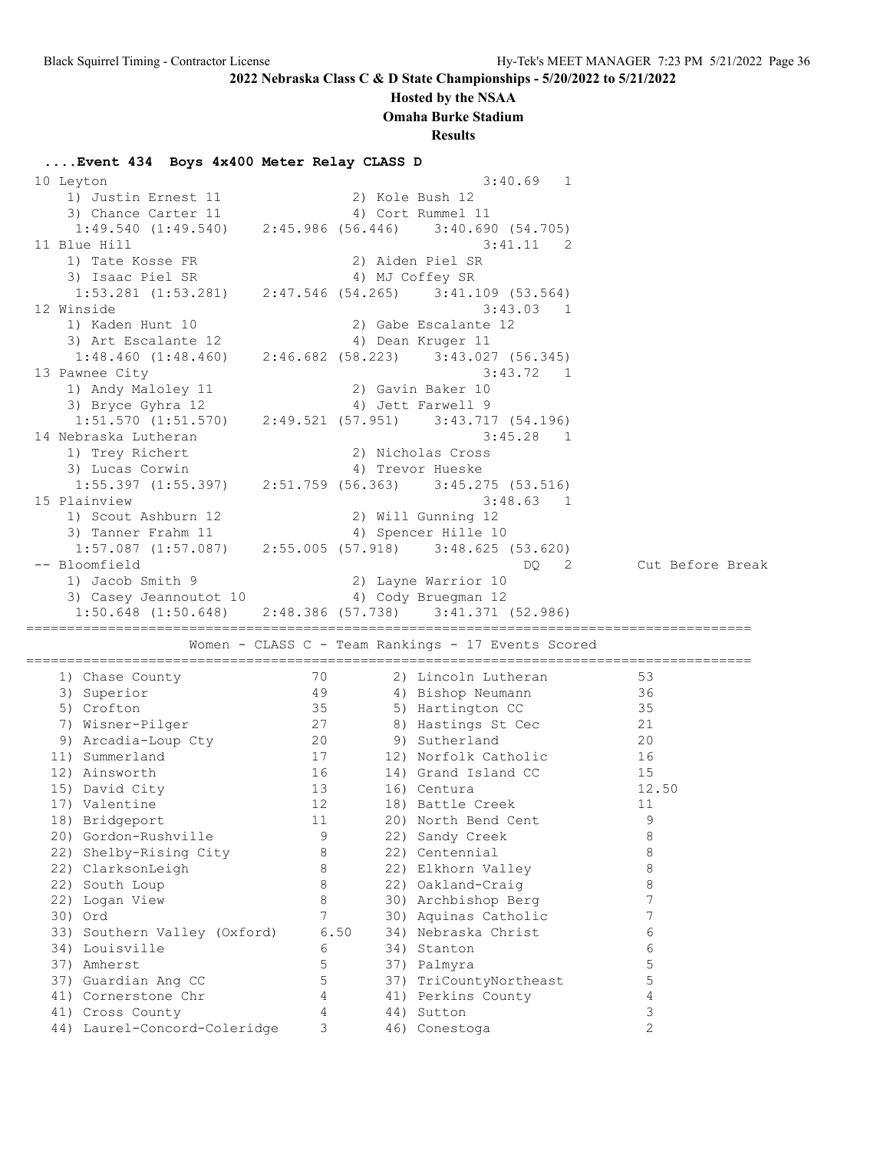## **Hosted by the NSAA**

**Omaha Burke Stadium**

**Results**

# **....Event 434 Boys 4x400 Meter Relay CLASS D**

| 10 Leyton                                        |        | 3:40.69<br>1                                                        |                     |
|--------------------------------------------------|--------|---------------------------------------------------------------------|---------------------|
| 1) Justin Ernest 11                              |        | 2) Kole Bush 12                                                     |                     |
| 3) Chance Carter 11                              |        | 4) Cort Rummel 11                                                   |                     |
|                                                  |        | $1:49.540$ (1:49.540) $2:45.986$ (56.446) $3:40.690$ (54.705)       |                     |
| 11 Blue Hill                                     |        | 3:41.11<br>$\overline{\phantom{0}}^2$                               |                     |
| 1) Tate Kosse FR                                 |        | 2) Aiden Piel SR                                                    |                     |
| 3) Isaac Piel SR                                 |        | 4) MJ Coffey SR                                                     |                     |
|                                                  |        | $1:53.281$ (1:53.281) $2:47.546$ (54.265) $3:41.109$ (53.564)       |                     |
| 12 Winside                                       |        | 3:43.03 1                                                           |                     |
| 1) Kaden Hunt 10                                 |        | 2) Gabe Escalante 12                                                |                     |
| 3) Art Escalante 12                              |        | 4) Dean Kruger 11                                                   |                     |
| $1:48.460$ $(1:48.460)$                          |        | 2:46.682 (58.223) 3:43.027 (56.345)                                 |                     |
| 13 Pawnee City                                   |        | 3:43.72 1                                                           |                     |
| 1) Andy Maloley 11                               |        | 2) Gavin Baker 10                                                   |                     |
| 3) Bryce Gyhra 12                                |        | 4) Jett Farwell 9                                                   |                     |
|                                                  |        | $1:51.570$ $(1:51.570)$ $2:49.521$ $(57.951)$ $3:43.717$ $(54.196)$ |                     |
| 14 Nebraska Lutheran                             |        | $3:45.28$ 1                                                         |                     |
| 1) Trey Richert                                  |        | 2) Nicholas Cross                                                   |                     |
| 3) Lucas Corwin                                  |        | 4) Trevor Hueske                                                    |                     |
|                                                  |        | $1:55.397$ $(1:55.397)$ $2:51.759$ $(56.363)$ $3:45.275$ $(53.516)$ |                     |
| 15 Plainview                                     |        | 3:48.63 1                                                           |                     |
| 1) Scout Ashburn 12                              |        | 2) Will Gunning 12                                                  |                     |
| 3) Tanner Frahm 11                               |        | 4) Spencer Hille 10                                                 |                     |
|                                                  |        | $1:57.087$ $(1:57.087)$ $2:55.005$ $(57.918)$ $3:48.625$ $(53.620)$ |                     |
| -- Bloomfield                                    |        | DQ.<br>$\overline{\phantom{0}}^2$                                   | Cut Before Break    |
| 1) Jacob Smith 9                                 |        | 2) Layne Warrior 10                                                 |                     |
| 3) Casey Jeannoutot 10 (4) Cody Bruegman 12      |        |                                                                     |                     |
|                                                  |        |                                                                     |                     |
| 1:50.648 (1:50.648)                              |        | 2:48.386 (57.738) 3:41.371 (52.986)                                 |                     |
|                                                  |        |                                                                     |                     |
|                                                  |        | Women - CLASS C - Team Rankings - 17 Events Scored                  |                     |
|                                                  |        |                                                                     |                     |
| 1) Chase County                                  | 70     | 2) Lincoln Lutheran                                                 | 53                  |
| 3) Superior                                      | 49     | 4) Bishop Neumann                                                   | 36                  |
| 5) Crofton                                       | 35     | 5) Hartington CC                                                    | 35                  |
| 7) Wisner-Pilger                                 | 27     | 8) Hastings St Cec                                                  | 21                  |
| 9) Arcadia-Loup Cty                              | 20     | 9) Sutherland                                                       | 20                  |
| 11) Summerland                                   | 17     | 12) Norfolk Catholic                                                | 16                  |
| 12) Ainsworth                                    | 16     | 14) Grand Island CC                                                 | 15                  |
| 15) David City                                   | 13     | 16) Centura                                                         | 12.50               |
| 17) Valentine                                    | 12     | 18) Battle Creek                                                    | 11                  |
| 18) Bridgeport                                   | 11     | 20) North Bend Cent                                                 | 9                   |
| 20) Gordon-Rushville                             | 9      | 22) Sandy Creek                                                     | 8                   |
| 22) Shelby-Rising City                           | 8      | 22) Centennial                                                      | 8                   |
| 22) ClarksonLeigh                                | 8      | 22) Elkhorn Valley                                                  | 8                   |
| 22) South Loup                                   | 8      | 22) Oakland-Craig                                                   | 8                   |
| 22) Logan View                                   | 8      | 30) Archbishop Berg                                                 | 7                   |
| 30) Ord                                          | 7      | 30) Aquinas Catholic                                                | 7                   |
| 33) Southern Valley (Oxford)                     |        | 6.50<br>34) Nebraska Christ                                         | 6                   |
| 34) Louisville                                   | 6      | 34) Stanton                                                         | 6                   |
| 37) Amherst                                      | 5      | 37) Palmyra                                                         | 5                   |
| 37) Guardian Ang CC                              | 5      | 37) TriCountyNortheast                                              | 5                   |
| 41) Cornerstone Chr                              | 4      | 41) Perkins County                                                  | 4                   |
| 41) Cross County<br>44) Laurel-Concord-Coleridge | 4<br>3 | 44) Sutton<br>46) Conestoga                                         | 3<br>$\overline{2}$ |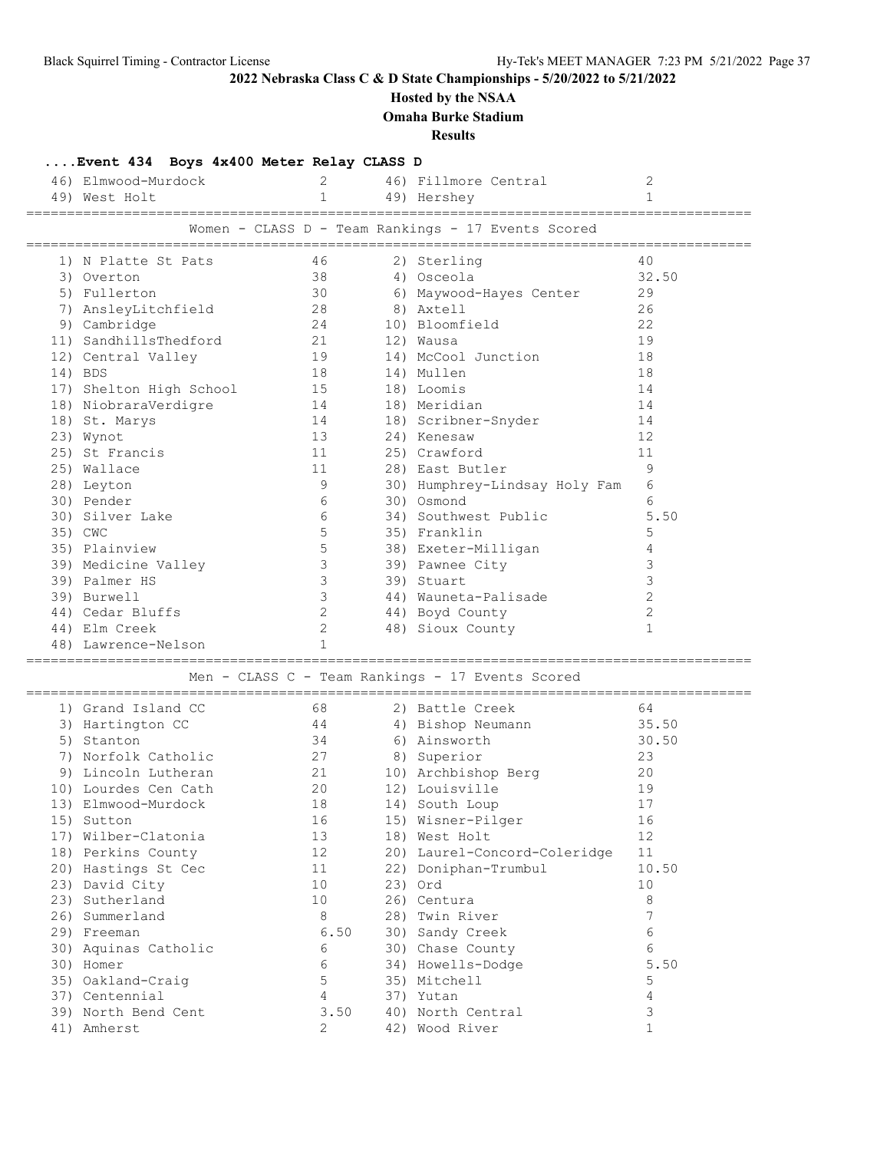# **Hosted by the NSAA**

**Omaha Burke Stadium**

**Results**

|                                                    | 46) Elmwood-Murdock<br>49) West Holt | $2^{\circ}$<br>$\mathbf{1}$ |  | 46) Fillmore Central<br>49) Hershey              | 2<br>$\mathbf{1}$ |  |  |  |  |  |
|----------------------------------------------------|--------------------------------------|-----------------------------|--|--------------------------------------------------|-------------------|--|--|--|--|--|
|                                                    |                                      |                             |  |                                                  |                   |  |  |  |  |  |
| Women - CLASS D - Team Rankings - 17 Events Scored |                                      |                             |  |                                                  |                   |  |  |  |  |  |
|                                                    | 1) N Platte St Pats                  | 46                          |  | 2) Sterling                                      | 40                |  |  |  |  |  |
|                                                    | 3) Overton                           | 38                          |  | 4) Osceola                                       | 32.50             |  |  |  |  |  |
|                                                    | 5) Fullerton                         | 30                          |  | 6) Maywood-Hayes Center                          | 29                |  |  |  |  |  |
|                                                    | 7) AnsleyLitchfield                  | 28                          |  | 8) Axtell                                        | 26                |  |  |  |  |  |
|                                                    | 9) Cambridge                         | 24                          |  | 10) Bloomfield                                   | 22                |  |  |  |  |  |
|                                                    | 11) SandhillsThedford                | 21                          |  | 12) Wausa                                        | 19                |  |  |  |  |  |
|                                                    | 12) Central Valley                   | 19                          |  | 14) McCool Junction                              | 18                |  |  |  |  |  |
|                                                    | 14) BDS                              | 18                          |  | 14) Mullen                                       | 18                |  |  |  |  |  |
|                                                    | 17) Shelton High School 15           |                             |  | 18) Loomis                                       | 14                |  |  |  |  |  |
|                                                    | 18) NiobraraVerdigre                 | 14                          |  | 18) Meridian                                     | 14                |  |  |  |  |  |
|                                                    | 18) St. Marys                        | 14                          |  | 18) Scribner-Snyder                              | 14                |  |  |  |  |  |
|                                                    | 23) Wynot                            | 13                          |  | 24) Kenesaw                                      | 12                |  |  |  |  |  |
|                                                    | 25) St Francis                       | 11                          |  | 25) Crawford                                     | 11                |  |  |  |  |  |
|                                                    | 25) Wallace                          | 11                          |  | 28) East Butler                                  | 9                 |  |  |  |  |  |
|                                                    | 28) Leyton                           | 9                           |  | 30) Humphrey-Lindsay Holy Fam                    | 6                 |  |  |  |  |  |
|                                                    | 30) Pender                           | 6                           |  | 30) Osmond                                       | 6                 |  |  |  |  |  |
|                                                    | 30) Silver Lake                      | 6                           |  | 34) Southwest Public                             | 5.50              |  |  |  |  |  |
|                                                    | 35) CWC                              | $5\phantom{.0}$             |  | 35) Franklin                                     | 5                 |  |  |  |  |  |
|                                                    | 35) Plainview                        | $5\phantom{.0}$             |  | 38) Exeter-Milligan                              | 4                 |  |  |  |  |  |
|                                                    | 39) Medicine Valley                  | $\mathcal{E}$               |  | 39) Pawnee City                                  | 3                 |  |  |  |  |  |
|                                                    | 39) Palmer HS                        | 3                           |  | 39) Stuart                                       | 3                 |  |  |  |  |  |
|                                                    | 39) Burwell                          | 3                           |  | 44) Wauneta-Palisade                             | $\overline{c}$    |  |  |  |  |  |
|                                                    | 44) Cedar Bluffs                     | $\mathbf{2}$                |  | 44) Boyd County                                  | $\mathbf{2}$      |  |  |  |  |  |
|                                                    | 44) Elm Creek                        | $\overline{2}$              |  | 48) Sioux County                                 | $\mathbf{1}$      |  |  |  |  |  |
|                                                    | 48) Lawrence-Nelson                  | $\mathbf{1}$                |  |                                                  |                   |  |  |  |  |  |
|                                                    |                                      |                             |  | Men - CLASS C - Team Rankings - 17 Events Scored |                   |  |  |  |  |  |
|                                                    | 1) Grand Island CC                   | 68                          |  | 2) Battle Creek                                  | 64                |  |  |  |  |  |
|                                                    | 3) Hartington CC                     | 44                          |  | 4) Bishop Neumann                                | 35.50             |  |  |  |  |  |
|                                                    | 5) Stanton                           | 34                          |  | 6) Ainsworth                                     | 30.50             |  |  |  |  |  |
|                                                    | 7) Norfolk Catholic                  | 27                          |  | 8) Superior                                      | 23                |  |  |  |  |  |
|                                                    | 9) Lincoln Lutheran                  | 21                          |  | 10) Archbishop Berg                              | 20                |  |  |  |  |  |
|                                                    | 10) Lourdes Cen Cath                 | 20                          |  | 12) Louisville                                   | 19                |  |  |  |  |  |
|                                                    | 13) Elmwood-Murdock                  | 18                          |  | 14) South Loup                                   | 17                |  |  |  |  |  |
|                                                    | 15) Sutton                           | 16                          |  | 15) Wisner-Pilger                                | 16                |  |  |  |  |  |
|                                                    | 17) Wilber-Clatonia                  | 13                          |  | 18) West Holt                                    | 12                |  |  |  |  |  |
|                                                    | 18) Perkins County                   | 12                          |  | 20) Laurel-Concord-Coleridge                     | 11                |  |  |  |  |  |
|                                                    | 20) Hastings St Cec                  | 11                          |  | 22) Doniphan-Trumbul                             | 10.50             |  |  |  |  |  |
|                                                    | 23) David City                       | 10                          |  | 23) Ord                                          | 10                |  |  |  |  |  |
|                                                    | 23) Sutherland                       | 10                          |  | 26) Centura                                      | 8                 |  |  |  |  |  |
|                                                    | 26) Summerland                       | 8                           |  | 28) Twin River                                   | 7                 |  |  |  |  |  |
|                                                    | 29) Freeman                          | 6.50                        |  | 30) Sandy Creek                                  | 6                 |  |  |  |  |  |
|                                                    | 30) Aquinas Catholic                 | 6                           |  | 30) Chase County                                 | 6                 |  |  |  |  |  |
|                                                    | 30) Homer                            | 6                           |  | 34) Howells-Dodge                                | 5.50              |  |  |  |  |  |
|                                                    | 35) Oakland-Craig                    | 5                           |  | 35) Mitchell                                     | 5                 |  |  |  |  |  |
|                                                    | 37) Centennial                       | 4                           |  | 37) Yutan                                        | 4                 |  |  |  |  |  |
|                                                    | 39) North Bend Cent                  | 3.50                        |  | 40) North Central                                | 3                 |  |  |  |  |  |
|                                                    | 41) Amherst                          | 2                           |  | 42) Wood River                                   | $\mathbf{1}$      |  |  |  |  |  |